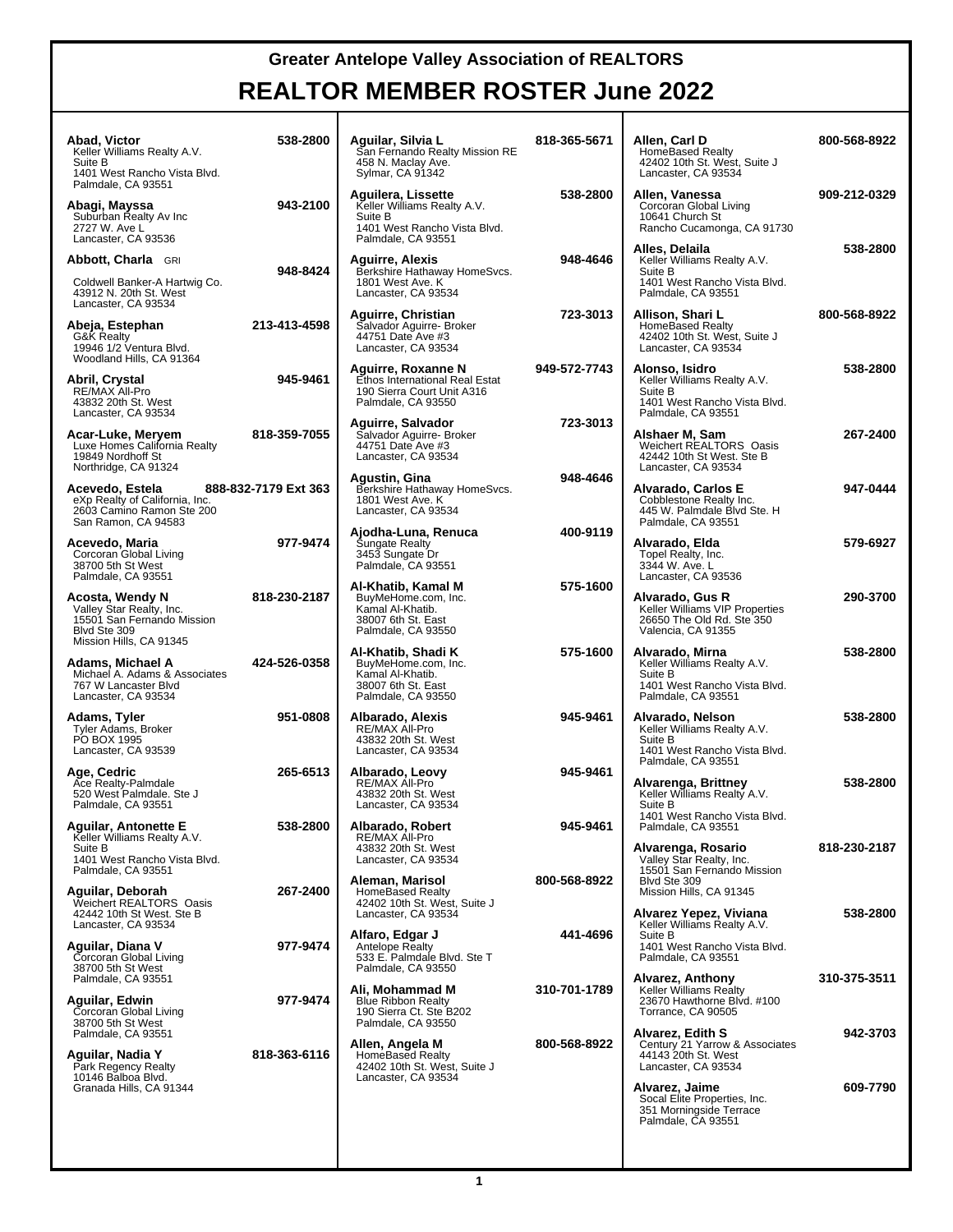| Abad, Victor<br>Keller Williams Realty A.V.<br>Suite B<br>1401 West Rancho Vista Blvd.                                      | 538-2800             | Aguilar, Silvia L<br>San Fernando Realty Mission RE<br>458 N. Maclay Ave.<br>Sylmar, CA 91342                      | 818-365-5671 | Allen, Carl D<br><b>HomeBased Realty</b><br>42402 10th St. West, Suite J<br>Lancaster, CA 93534                     | 800-568-8922 |
|-----------------------------------------------------------------------------------------------------------------------------|----------------------|--------------------------------------------------------------------------------------------------------------------|--------------|---------------------------------------------------------------------------------------------------------------------|--------------|
| Palmdale, CA 93551<br>Abagi, Mayssa<br>Suburban Realty Av Inc<br>2727 W. Ave L<br>Lancaster, CA 93536                       | 943-2100             | Aguilera, Lissette<br>Keller Williams Realty A.V.<br>Suite B<br>1401 West Rancho Vista Blvd.<br>Palmdale, CA 93551 | 538-2800     | Allen, Vanessa<br>Corcoran Global Living<br>10641 Church St<br>Rancho Cucamonga, CA 91730                           | 909-212-0329 |
| Abbott, Charla GRI<br>Coldwell Banker-A Hartwig Co.<br>43912 N. 20th St. West<br>Lancaster, CA 93534                        | 948-8424             | <b>Aguirre, Alexis</b><br>Berkshire Hathaway HomeSvcs.<br>1801 West Ave. K<br>Lancaster, CA 93534                  | 948-4646     | Alles, Delaila<br>Keller Williams Realty A.V.<br>Suite B<br>1401 West Rancho Vista Blvd.<br>Palmdale, CA 93551      | 538-2800     |
| Abeja, Estephan<br><b>G&amp;K Realty</b><br>19946 1/2 Ventura Blvd.                                                         | 213-413-4598         | Aguirre, Christian<br>Salvador Aguirre- Broker<br>44751 Date Ave #3<br>Lancaster, CA 93534                         | 723-3013     | Allison. Shari L<br>HomeBased Realty<br>42402 10th St. West, Suite J<br>Lancaster, CA 93534                         | 800-568-8922 |
| Woodland Hills, CA 91364<br>Abril, Crystal<br>RE/MAX All-Pro<br>43832 20th St. West<br>Lancaster, CA 93534                  | 945-9461             | Aguirre, Roxanne N<br>Ethos International Real Estat<br>190 Sierra Court Unit A316<br>Palmdale, CA 93550           | 949-572-7743 | Alonso, Isidro<br>Keller Williams Realty A.V.<br>Suite B<br>1401 West Rancho Vista Blvd.<br>Palmdale, CA 93551      | 538-2800     |
| Acar-Luke, Meryem<br>Luxe Homes California Realty<br>19849 Nordhoff St<br>Northridge, CA 91324                              | 818-359-7055         | Aguirre, Salvador<br>Salvador Aguirre- Broker<br>44751 Date Ave #3<br>Lancaster, CA 93534                          | 723-3013     | Alshaer M, Sam<br>Weichert REALTORS® Oasis<br>42442 10th St West. Ste B<br>Lancaster, CA 93534                      | 267-2400     |
| Acevedo, Estela<br>eXp Realty of California, Inc.<br>2603 Camino Ramon Ste 200<br>San Ramon, CA 94583                       | 888-832-7179 Ext 363 | Agustin, Gina<br>Berkshire Hathaway HomeSvcs.<br>1801 West Ave. K<br>Lancaster, CA 93534                           | 948-4646     | Alvarado, Carlos E<br>Cobblestone Realty Inc.<br>445 W. Palmdale Blvd Ste. H<br>Palmdale, CA 93551                  | 947-0444     |
| Acevedo, Maria<br>Corcoran Global Living<br>38700 5th St West<br>Palmdale, CA 93551                                         | 977-9474             | Ajodha-Luna, Renuca<br><b>Sungate Realty</b><br>3453 Sungate Dr<br>Palmdale, CA 93551                              | 400-9119     | Alvarado, Elda<br>Topel Realty, Inc.<br>3344 W. Ave. L<br>Lancaster, CA 93536                                       | 579-6927     |
| Acosta, Wendy N<br>Valley Star Realty, Inc.<br>15501 San Fernando Mission<br>Blvd Ste 309                                   | 818-230-2187         | Al-Khatib, Kamal M<br>BuyMeHome.com, Inc.<br>Kamal Al-Khatib.<br>38007 6th St. East<br>Palmdale, CA 93550          | 575-1600     | Alvarado, Gus R<br>Keller Williams VIP Properties<br>26650 The Old Rd. Ste 350<br>Valencia, CA 91355                | 290-3700     |
| Mission Hills, CA 91345<br>Adams, Michael A<br>Michael A. Adams & Associates<br>767 W Lancaster Blvd<br>Lancaster, CA 93534 | 424-526-0358         | Al-Khatib, Shadi K<br>BuyMeHome.com, Inc.<br>Kamal Al-Khatib.<br>38007 6th St. East<br>Palmdale, CA 93550          | 575-1600     | Alvarado, Mirna<br>Keller Williams Realty A.V.<br>Suite B<br>1401 West Rancho Vista Blvd.<br>Palmdale, CA 93551     | 538-2800     |
| Adams, Tyler<br>Tyler Adams, Broker<br>PO BOX 1995<br>Lancaster, CA 93539                                                   | 951-0808             | Albarado, Alexis<br>RE/MAX All-Pro<br>43832 20th St. West<br>Lancaster, CA 93534                                   | 945-9461     | Alvarado, Nelson<br>Keller Williams Realty A.V.<br>Suite B<br>1401 West Rancho Vista Blvd.                          | 538-2800     |
| Age, Cedric<br>Ace Realty-Palmdale<br>520 West Palmdale. Ste J<br>Palmdale, CA 93551                                        | 265-6513             | Albarado, Leovy<br>RE/MAX All-Pro<br>43832 20th St. West<br>Lancaster, CA 93534                                    | 945-9461     | Palmdale, CA 93551<br>Alvarenga, Brittney<br>Keller Williams Realty A.V.<br>Suite B<br>1401 West Rancho Vista Blvd. | 538-2800     |
| Aguilar, Antonette E<br>Keller Williams Realty A.V.<br>Suite B<br>1401 West Rancho Vista Blvd.<br>Palmdale, CA 93551        | 538-2800             | Albarado, Robert<br>RE/MAX All-Pro<br>43832 20th St. West<br>Lancaster, CA 93534                                   | 945-9461     | Palmdale, CA 93551<br>Alvarenga, Rosario<br>Valley Star Realty, Inc.<br>15501 San Fernando Mission                  | 818-230-2187 |
| Aguilar, Deborah<br>Weichert REALTORS® Oasis<br>42442 10th St West. Ste B                                                   | 267-2400             | Aleman, Marisol<br><b>HomeBased Realty</b><br>42402 10th St. West, Suite J<br>Lancaster, CA 93534                  | 800-568-8922 | Blvd Ste 309<br>Mission Hills, CA 91345<br>Alvarez Yepez, Viviana                                                   | 538-2800     |
| Lancaster, CA 93534<br>Aguilar, Diana V<br>Corcoran Global Living<br>38700 5th St West                                      | 977-9474             | Alfaro, Edgar J<br>Antelope Realty<br>533 E. Palmdale Blvd. Ste T<br>Palmdale, CA 93550                            | 441-4696     | Keller Williams Realty A.V.<br>Suite B<br>1401 West Rancho Vista Blvd.<br>Palmdale, CA 93551                        |              |
| Palmdale, CA 93551<br>Aguilar, Edwin<br>Corcoran Global Living<br>38700 5th St West                                         | 977-9474             | Ali, Mohammad M<br><b>Blue Ribbon Realty</b><br>190 Sierra Ct. Ste B202<br>Palmdale, CA 93550                      | 310-701-1789 | Alvarez, Anthony<br><b>Keller Williams Realty</b><br>23670 Hawthorne Blvd. #100<br>Torrance, CA 90505               | 310-375-3511 |
| Palmdale, CA 93551<br>Aguilar, Nadia Y<br>Park Regency Realty<br>10146 Balboa Blvd.                                         | 818-363-6116         | Allen, Angela M<br>HomeBased Realty<br>42402 10th St. West, Suite J<br>Lancaster, CA 93534                         | 800-568-8922 | Alvarez, Edith S<br>Century 21 Yarrow & Associates<br>44143 20th St. West<br>Lancaster, CA 93534                    | 942-3703     |
| Granada Hills, CA 91344                                                                                                     |                      |                                                                                                                    |              | Alvarez, Jaime<br>Socal Elite Properties, Inc.<br>351 Morningside Terrace<br>Palmdale, CA 93551                     | 609-7790     |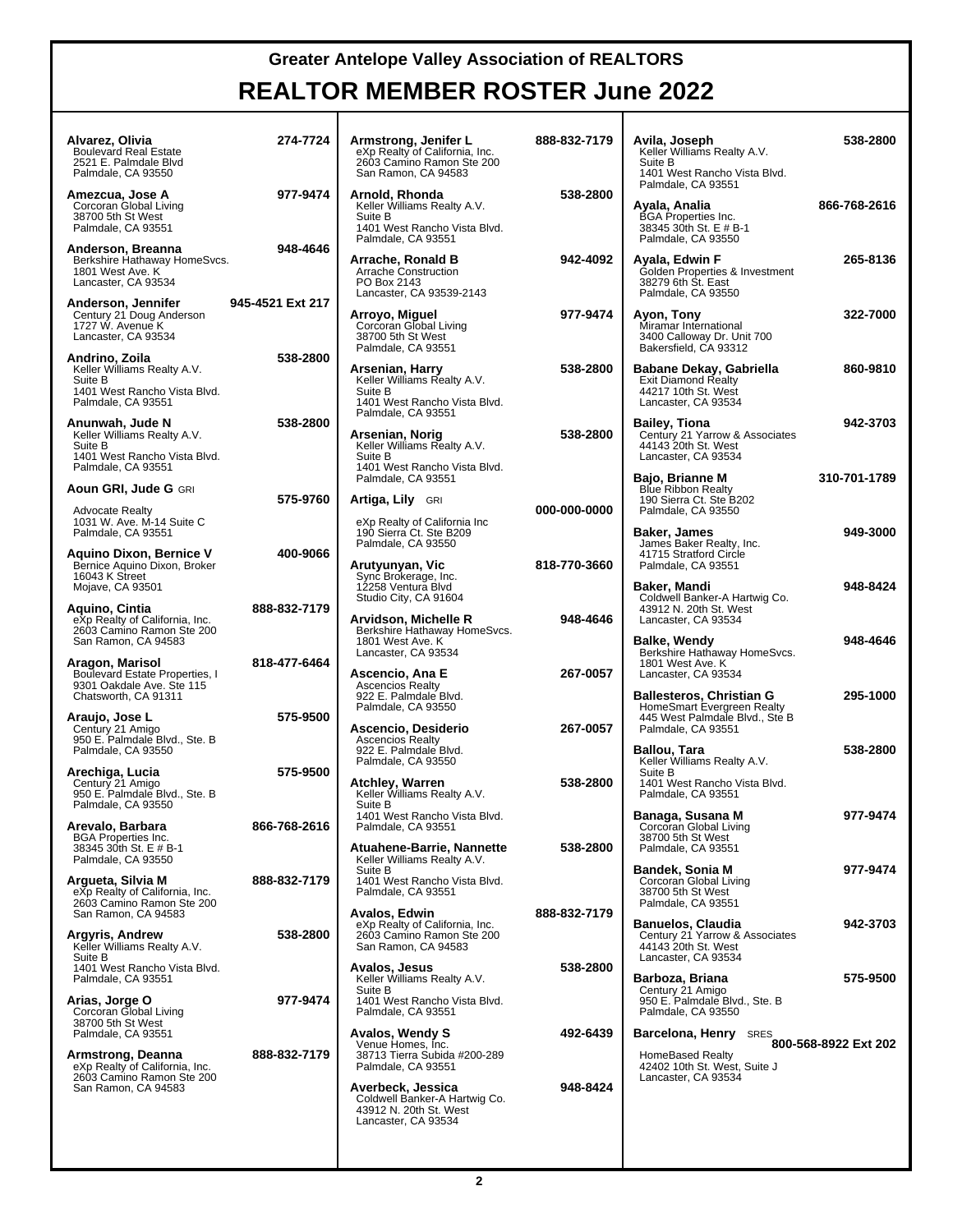# **REALTOR MEMBER ROSTER June 2022**

| Alvarez, Olivia<br><b>Boulevard Real Estate</b><br>2521 E. Palmdale Blvd<br>Palmdale, CA 93550                 | 274-7724         | Armstrong, Jenifer L<br>eXp Realty of California, Inc.<br>2603 Camino Ramon Ste 200<br>San Ramon, CA 94583                | 888-832-7179 | Avila, Joseph<br>Keller Williams Realty A.V.<br>Suite B<br>1401 West Rancho Vista Blvd.<br>Palmdale, CA 93551 | 538-2800             |
|----------------------------------------------------------------------------------------------------------------|------------------|---------------------------------------------------------------------------------------------------------------------------|--------------|---------------------------------------------------------------------------------------------------------------|----------------------|
| Amezcua, Jose A<br>Corcoran Global Living<br>38700 5th St West<br>Palmdale, CA 93551                           | 977-9474         | Arnold, Rhonda<br>Keller Williams Realty A.V.<br>Suite B<br>1401 West Rancho Vista Blvd.<br>Palmdale, CA 93551            | 538-2800     | Ayala, Analia<br><b>BGA</b> Properties Inc.<br>38345 30th St. E # B-1<br>Palmdale, CA 93550                   | 866-768-2616         |
| Anderson, Breanna<br>Berkshire Hathaway HomeSvcs.<br>1801 West Ave. K<br>Lancaster, CA 93534                   | 948-4646         | Arrache, Ronald B<br>Arrache Construction<br>PO Box 2143<br>Lancaster, CA 93539-2143                                      | 942-4092     | Ayala, Edwin F<br>Golden Properties & Investment<br>38279 6th St. East<br>Palmdale, CA 93550                  | 265-8136             |
| Anderson, Jennifer<br>Century 21 Doug Anderson<br>1727 W. Avenue K<br>Lancaster, CA 93534                      | 945-4521 Ext 217 | Arroyo, Miguel<br>Corcoran Global Living<br>38700 5th St West<br>Palmdale, CA 93551                                       | 977-9474     | Ayon, Tony<br>Miramar International<br>3400 Calloway Dr. Unit 700<br>Bakersfield, CA 93312                    | 322-7000             |
| Andrino, Zoila<br>Keller Williams Realty A.V.<br>Suite B<br>1401 West Rancho Vista Blvd.<br>Palmdale, CA 93551 | 538-2800         | Arsenian, Harry<br>Keller Williams Realty A.V.<br>Suite B<br>1401 West Rancho Vista Blvd.                                 | 538-2800     | Babane Dekay, Gabriella<br><b>Exit Diamond Realty</b><br>44217 10th St. West<br>Lancaster, CA 93534           | 860-9810             |
| Anunwah, Jude N<br>Keller Williams Realty A.V.<br>Suite B<br>1401 West Rancho Vista Blvd.                      | 538-2800         | Palmdale, CA 93551<br>Arsenian, Norig<br>Keller Williams Realty A.V.<br>Suite B                                           | 538-2800     | Bailey, Tiona<br>Century 21 Yarrow & Associates<br>44143 20th St. West<br>Lancaster, CA 93534                 | 942-3703             |
| Palmdale, CA 93551<br>Aoun GRI, Jude G GRI<br><b>Advocate Realty</b>                                           | 575-9760         | 1401 West Rancho Vista Blvd.<br>Palmdale, CA 93551<br>Artiga, Lily GRI                                                    | 000-000-0000 | Bajo, Brianne M<br><b>Blue Ribbon Realty</b><br>190 Sierra Ct. Ste B202<br>Palmdale, CA 93550                 | 310-701-1789         |
| 1031 W. Ave. M-14 Suite C<br>Palmdale, CA 93551<br>Aquino Dixon, Bernice V<br>Bernice Aquino Dixon, Broker     | 400-9066         | eXp Realty of California Inc<br>190 Sierra Ct. Ste B209<br>Palmdale, CA 93550<br>Arutyunyan, Vic                          | 818-770-3660 | Baker, James<br>James Baker Realty, Inc.<br>41715 Stratford Circle<br>Palmdale, CA 93551                      | 949-3000             |
| 16043 K Street<br>Mojave, CA 93501<br>Aquino, Cintia                                                           | 888-832-7179     | Sync Brokerage, Inc.<br>12258 Ventura Blvd<br>Studio City, CA 91604                                                       |              | Baker, Mandi<br>Coldwell Banker-A Hartwig Co.<br>43912 N. 20th St. West                                       | 948-8424             |
| eXp Realty of California, Inc.<br>2603 Camino Ramon Ste 200<br>San Ramon, CA 94583<br>Aragon, Marisol          | 818-477-6464     | Arvidson, Michelle R<br>Berkshire Hathaway HomeSvcs.<br>1801 West Ave. K<br>Lancaster, CA 93534                           | 948-4646     | Lancaster, CA 93534<br>Balke, Wendy<br>Berkshire Hathaway HomeSvcs.<br>1801 West Ave. K                       | 948-4646             |
| Boulevard Estate Properties, I<br>9301 Oakdale Ave. Ste 115<br>Chatsworth, CA 91311                            |                  | Ascencio, Ana E<br><b>Ascencios Realty</b><br>922 E. Palmdale Blvd.<br>Palmdale, CA 93550                                 | 267-0057     | Lancaster, CA 93534<br>Ballesteros, Christian G<br>HomeSmart Evergreen Realty                                 | 295-1000             |
| Araujo, Jose L<br>Century 21 Amigo<br>950 E. Palmdale Blvd., Ste. B<br>Palmdale, CA 93550                      | 575-9500         | Ascencio, Desiderio<br><b>Ascencios Realty</b><br>922 E. Palmdale Blvd.<br>Palmdale, CA 93550                             | 267-0057     | 445 West Palmdale Blvd., Ste B<br>Palmdale, CA 93551<br>Ballou, Tara<br>Keller Williams Realty A.V.           | 538-2800             |
| Arechiga, Lucia<br>Century 21 Amigo<br>950 E. Palmdale Blvd., Ste. B<br>Palmdale, CA 93550                     | 575-9500         | <b>Atchley, Warren</b><br>Keller Williams Realty A.V.<br>Suite B                                                          | 538-2800     | Suite B<br>1401 West Rancho Vista Blvd.<br>Palmdale, CA 93551                                                 |                      |
| Arevalo, Barbara<br><b>BGA Properties Inc.</b><br>38345 30th St. E # B-1<br>Palmdale, CA 93550                 | 866-768-2616     | 1401 West Rancho Vista Blvd.<br>Palmdale, CA 93551<br>Atuahene-Barrie, Nannette<br>Keller Williams Realty A.V.            | 538-2800     | Banaga, Susana M<br>Corcoran Global Living<br>38700 5th St West<br>Palmdale, CA 93551                         | 977-9474             |
| Argueta, Silvia M<br>eXp Realty of California, Inc.<br>2603 Camino Ramon Ste 200                               | 888-832-7179     | Suite B<br>1401 West Rancho Vista Blvd.<br>Palmdale, CA 93551                                                             |              | <b>Bandek, Sonia M</b><br>Corcoran Global Living<br>38700 5th St West<br>Palmdale, CA 93551                   | 977-9474             |
| San Ramon, CA 94583<br>Argyris, Andrew<br>Keller Williams Realty A.V.<br>Suite B                               | 538-2800         | Avalos, Edwin<br>eXp Realty of California, Inc.<br>2603 Camino Ramon Ste 200<br>San Ramon, CA 94583                       | 888-832-7179 | <b>Banuelos, Claudia</b><br>Century 21 Yarrow & Associates<br>44143 20th St. West<br>Lancaster, CA 93534      | 942-3703             |
| 1401 West Rancho Vista Blvd.<br>Palmdale, CA 93551<br>Arias, Jorge O                                           | 977-9474         | <b>Avalos, Jesus</b><br>Keller Williams Realty A.V.<br>Suite B<br>1401 West Rancho Vista Blvd.                            | 538-2800     | Barboza, Briana<br>Century 21 Amigo<br>950 E. Palmdale Blvd., Ste. B                                          | 575-9500             |
| Corcoran Global Living<br>38700 5th St West<br>Palmdale, CA 93551<br>Armstrong, Deanna                         | 888-832-7179     | Palmdale, CA 93551<br><b>Avalos, Wendy S</b><br>Venue Homes, Inc.<br>38713 Tierra Subida #200-289                         | 492-6439     | Palmdale, CA 93550<br>Barcelona, Henry<br><b>SRES</b><br><b>HomeBased Realty</b>                              | 800-568-8922 Ext 202 |
| eXp Realty of California, Inc.<br>2603 Camino Ramon Ste 200<br>San Ramon, CA 94583                             |                  | Palmdale, CA 93551<br>Averbeck, Jessica<br>Coldwell Banker-A Hartwig Co.<br>43912 N. 20th St. West<br>Lancaster, CA 93534 | 948-8424     | 42402 10th St. West, Suite J<br>Lancaster, CA 93534                                                           |                      |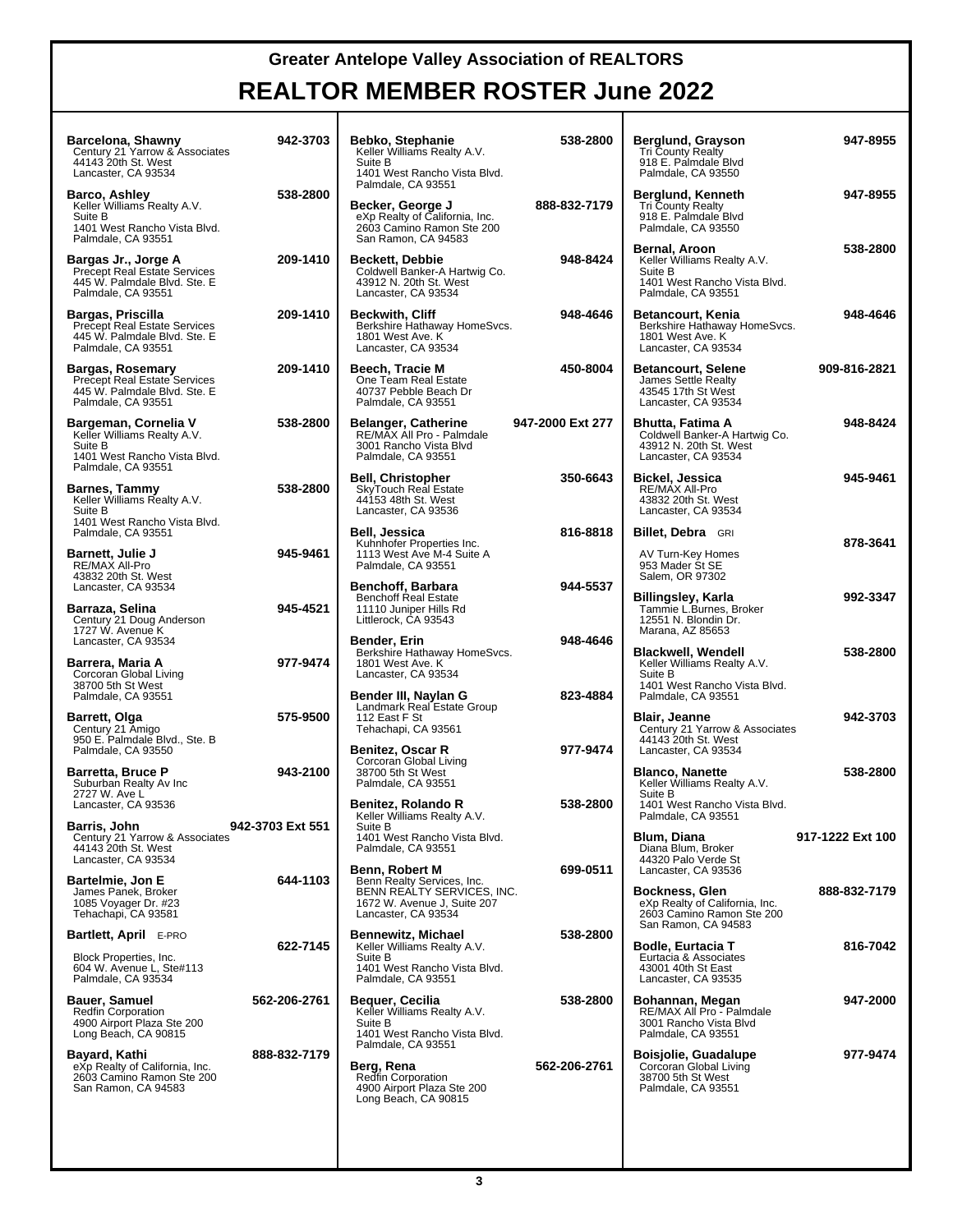| Barcelona, Shawny<br>Century 21 Yarrow & Associates<br>44143 20th St. West<br>Lancaster, CA 93534                    | 942-3703         | Bebko, Stephanie<br>Keller Williams Realty A.V.<br>Suite B<br>1401 West Rancho Vista Blvd.                                   | 538-2800         | Berglund, Grayson<br><b>Tri County Realty</b><br>918 E. Palmdale Blvd<br>Palmdale, CA 93550                   | 947-8955         |
|----------------------------------------------------------------------------------------------------------------------|------------------|------------------------------------------------------------------------------------------------------------------------------|------------------|---------------------------------------------------------------------------------------------------------------|------------------|
| <b>Barco, Ashley</b><br>Keller Williams Realty A.V.<br>Suite B<br>1401 West Rancho Vista Blvd.<br>Palmdale, CA 93551 | 538-2800         | Palmdale, CA 93551<br>Becker, George J<br>eXp Realty of California, Inc.<br>2603 Camino Ramon Ste 200<br>San Ramon, CA 94583 | 888-832-7179     | Berglund, Kenneth<br><b>Tri County Realty</b><br>918 E. Palmdale Blvd<br>Palmdale, CA 93550                   | 947-8955         |
| Bargas Jr., Jorge A<br><b>Precept Real Estate Services</b><br>445 W. Palmdale Blvd. Ste. E<br>Palmdale, CA 93551     | 209-1410         | <b>Beckett, Debbie</b><br>Coldwell Banker-A Hartwig Co.<br>43912 N. 20th St. West<br>Lancaster, CA 93534                     | 948-8424         | Bernal, Aroon<br>Keller Williams Realty A.V.<br>Suite B<br>1401 West Rancho Vista Blvd.<br>Palmdale, CA 93551 | 538-2800         |
| Bargas, Priscilla<br>Precept Real Estate Services<br>445 W. Palmdale Blvd. Ste. E<br>Palmdale, CA 93551              | 209-1410         | <b>Beckwith, Cliff</b><br>Berkshire Hathaway HomeSvcs.<br>1801 West Ave. K<br>Lancaster, CA 93534                            | 948-4646         | <b>Betancourt, Kenia</b><br>Berkshire Hathaway HomeSvcs.<br>1801 West Ave. K<br>Lancaster, CA 93534           | 948-4646         |
| Bargas, Rosemary<br>Precept Real Estate Services<br>445 W. Palmdale Blvd. Ste. E<br>Palmdale, CA 93551               | 209-1410         | Beech, Tracie M<br>One Team Real Estate<br>40737 Pebble Beach Dr<br>Palmdale, CA 93551                                       | 450-8004         | <b>Betancourt, Selene</b><br>James Settle Realty<br>43545 17th St West<br>Lancaster, CA 93534                 | 909-816-2821     |
| Bargeman, Cornelia V<br>Keller Williams Realty A.V.<br>Suite B<br>1401 West Rancho Vista Blvd.                       | 538-2800         | <b>Belanger, Catherine</b><br>RE/MAX All Pro - Palmdale<br>3001 Rancho Vista Blvd<br>Palmdale, CA 93551                      | 947-2000 Ext 277 | Bhutta, Fatima A<br>Coldwell Banker-A Hartwig Co.<br>43912 N. 20th St. West<br>Lancaster, CA 93534            | 948-8424         |
| Palmdale, CA 93551<br>Barnes, Tammy<br>Keller Williams Realty A.V.<br>Suite B                                        | 538-2800         | <b>Bell, Christopher</b><br>SkyTouch Real Estate<br>44153 48th St. West<br>Lancaster, CA 93536                               | 350-6643         | Bickel, Jessica<br>RE/MAX All-Pro<br>43832 20th St. West<br>Lancaster, CA 93534                               | 945-9461         |
| 1401 West Rancho Vista Blvd.<br>Palmdale, CA 93551<br><b>Barnett, Julie J</b><br>RE/MAX All-Pro                      | 945-9461         | Bell, Jessica<br>Kuhnhofer Properties Inc.<br>1113 West Ave M-4 Suite A<br>Palmdale, CA 93551                                | 816-8818         | <b>Billet, Debra</b> GRI<br>AV Turn-Key Homes<br>953 Mader St SE                                              | 878-3641         |
| 43832 20th St. West<br>Lancaster, CA 93534<br>Barraza, Selina<br>Century 21 Doug Anderson                            | 945-4521         | Benchoff, Barbara<br><b>Benchoff Real Estate</b><br>11110 Juniper Hills Rd<br>Littlerock, CA 93543                           | 944-5537         | Salem, OR 97302<br>Billingsley, Karla<br>Tammie L.Burnes, Broker<br>12551 N. Blondin Dr.                      | 992-3347         |
| 1727 W. Avenue K<br>Lancaster, CA 93534<br>Barrera, Maria A<br>Corcoran Global Living                                | 977-9474         | Bender, Erin<br>Berkshire Hathaway HomeSvcs.<br>1801 West Ave. K<br>Lancaster, CA 93534                                      | 948-4646         | Marana, AZ 85653<br><b>Blackwell, Wendell</b><br>Keller Williams Realty A.V.<br>Suite B                       | 538-2800         |
| 38700 5th St West<br>Palmdale, CA 93551<br>Barrett, Olga<br>Century 21 Amigo                                         | 575-9500         | Bender III, Naylan G<br>Landmark Real Estate Group<br>112 East F St<br>Tehachapi, CA 93561                                   | 823-4884         | 1401 West Rancho Vista Blvd.<br>Palmdale, CA 93551<br><b>Blair, Jeanne</b><br>Century 21 Yarrow & Associates  | 942-3703         |
| 950 E. Palmdale Blvd., Ste. B<br>Palmdale, CA 93550<br><b>Barretta, Bruce P</b><br>Suburban Realty Av Inc            | 943-2100         | <b>Benitez, Oscar R</b><br>Corcoran Global Living<br>38700 5th St West<br>Palmdale, CA 93551                                 | 977-9474         | 44143 20th St. West<br>Lancaster, CA 93534<br><b>Blanco, Nanette</b><br>Keller Williams Realty A.V.           | 538-2800         |
| 2727 W. Ave L<br>Lancaster, CA 93536<br>Barris, John                                                                 | 942-3703 Ext 551 | Benitez, Rolando R<br>Keller Williams Realty A.V.<br>Suite B                                                                 | 538-2800         | Suite B<br>1401 West Rancho Vista Blvd.<br>Palmdale, CA 93551                                                 |                  |
| Century 21 Yarrow & Associates<br>44143 20th St. West<br>Lancaster, CA 93534<br><b>Bartelmie, Jon E</b>              | 644-1103         | 1401 West Rancho Vista Blvd.<br>Palmdale, CA 93551<br><b>Benn, Robert M</b><br>Benn Realty Services, Inc.                    | 699-0511         | Blum, Diana<br>Diana Blum, Broker<br>44320 Palo Verde St<br>Lancaster, CA 93536                               | 917-1222 Ext 100 |
| James Panek, Broker<br>1085 Voyager Dr. #23<br>Tehachapi, CA 93581                                                   |                  | BENN REALTY SERVICES, INC.<br>1672 W. Avenue J, Suite 207<br>Lancaster, CA 93534                                             |                  | <b>Bockness, Glen</b><br>eXp Realty of California, Inc.<br>2603 Camino Ramon Ste 200<br>San Ramon, CA 94583   | 888-832-7179     |
| <b>Bartlett, April E-PRO</b><br>Block Properties, Inc.<br>604 W. Avenue L, Ste#113<br>Palmdale, CA 93534             | 622-7145         | <b>Bennewitz, Michael</b><br>Keller Williams Realty A.V.<br>Suite B<br>1401 West Rancho Vista Blvd.<br>Palmdale, CA 93551    | 538-2800         | <b>Bodle, Eurtacia T</b><br>Eurtacia & Associates<br>43001 40th St East<br>Lancaster, CA 93535                | 816-7042         |
| <b>Bauer, Samuel</b><br><b>Redfin Corporation</b><br>4900 Airport Plaza Ste 200<br>Long Beach, CA 90815              | 562-206-2761     | Bequer, Cecilia<br>Keller Williams Realty A.V.<br>Suite B<br>1401 West Rancho Vista Blvd.                                    | 538-2800         | Bohannan, Megan<br>RE/MAX All Pro - Palmdale<br>3001 Rancho Vista Blvd<br>Palmdale, CA 93551                  | 947-2000         |
| Bayard, Kathi<br>eXp Realty of California, Inc.<br>2603 Camino Ramon Ste 200<br>San Ramon, CA 94583                  | 888-832-7179     | Palmdale, CA 93551<br>Berg, Rena<br>Redfin Corporation<br>4900 Airport Plaza Ste 200<br>Long Beach, CA 90815                 | 562-206-2761     | <b>Boisjolie, Guadalupe</b><br>Corcoran Global Living<br>38700 5th St West<br>Palmdale, CA 93551              | 977-9474         |
|                                                                                                                      |                  |                                                                                                                              |                  |                                                                                                               |                  |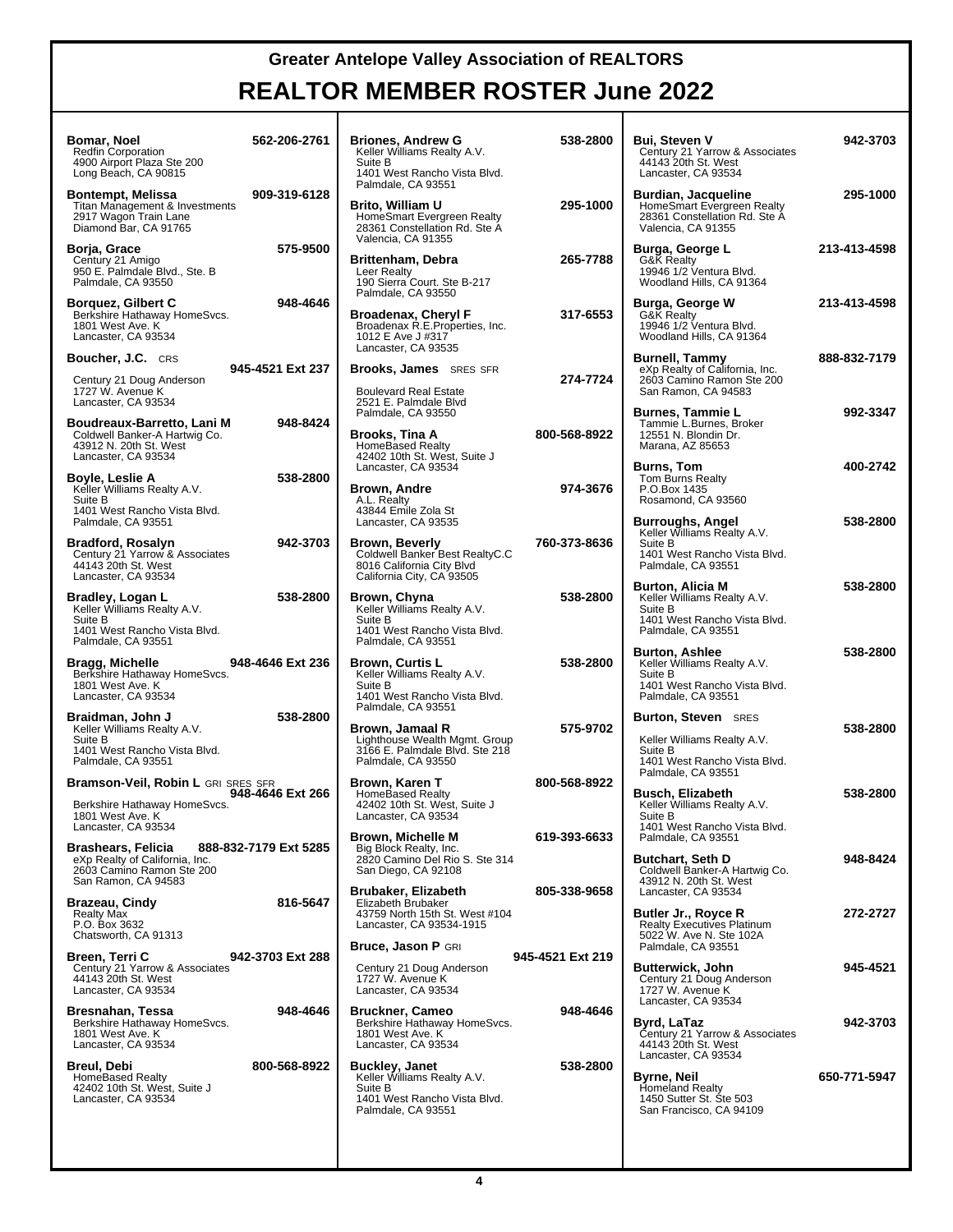| 562-206-2761<br>Bomar, Noel<br><b>Redfin Corporation</b><br>4900 Airport Plaza Ste 200<br>Long Beach, CA 90815                           | <b>Briones, Andrew G</b><br>Keller Williams Realty A.V.<br>Suite B<br>1401 West Rancho Vista Blvd.<br>Palmdale, CA 93551       | 538-2800         | <b>Bui. Steven V</b><br>Century 21 Yarrow & Associates<br>44143 20th St. West<br>Lancaster, CA 93534                                        | 942-3703     |
|------------------------------------------------------------------------------------------------------------------------------------------|--------------------------------------------------------------------------------------------------------------------------------|------------------|---------------------------------------------------------------------------------------------------------------------------------------------|--------------|
| 909-319-6128<br>Bontempt, Melissa<br>Titan Management & Investments<br>2917 Wagon Train Lane<br>Diamond Bar, CA 91765                    | Brito, William U<br>HomeSmart Evergreen Realty<br>28361 Constellation Rd. Ste A<br>Valencia, CA 91355                          | 295-1000         | Burdian, Jacqueline<br>HomeSmart Evergreen Realty<br>28361 Constellation Rd. Ste A<br>Valencia, CA 91355                                    | 295-1000     |
| 575-9500<br>Borja, Grace<br>Century 21 Amigo<br>950 E. Palmdale Blvd., Ste. B<br>Palmdale, CA 93550                                      | <b>Brittenham, Debra</b><br>Leer Realty<br>190 Sierra Court. Ste B-217<br>Palmdale, CA 93550                                   | 265-7788         | Burga, George L<br>G&K Realty<br>19946 1/2 Ventura Blvd.<br>Woodland Hills, CA 91364                                                        | 213-413-4598 |
| 948-4646<br><b>Borquez, Gilbert C</b><br>Berkshire Hathaway HomeSvcs.<br>1801 West Ave. K<br>Lancaster, CA 93534                         | <b>Broadenax, Chervl F</b><br>Broadenax R.E. Properties, Inc.<br>1012 E Ave J #317<br>Lancaster, CA 93535                      | 317-6553         | Burga, George W<br>G&K Realty<br>19946 1/2 Ventura Blvd.<br>Woodland Hills, CA 91364                                                        | 213-413-4598 |
| <b>Boucher, J.C.</b> CRS<br>945-4521 Ext 237<br>Century 21 Doug Anderson<br>1727 W. Avenue K<br>Lancaster, CA 93534                      | <b>Brooks, James</b> SRES SFR<br><b>Boulevard Real Estate</b><br>2521 E. Palmdale Blvd                                         | 274-7724         | Burnell, Tammy<br>eXp Realty of California, Inc.<br>2603 Camino Ramon Ste 200<br>San Ramon, CA 94583                                        | 888-832-7179 |
| 948-8424<br>Boudreaux-Barretto, Lani M<br>Coldwell Banker-A Hartwig Co.<br>43912 N. 20th St. West<br>Lancaster, CA 93534                 | Palmdale, CA 93550<br>Brooks, Tina A<br><b>HomeBased Realty</b><br>42402 10th St. West, Suite J                                | 800-568-8922     | Burnes, Tammie L<br>Tammie L.Burnes, Broker<br>12551 N. Blondin Dr.<br>Marana, AZ 85653                                                     | 992-3347     |
| 538-2800<br>Boyle, Leslie A<br>Keller Williams Realty A.V.<br>Suite B<br>1401 West Rancho Vista Blvd.                                    | Lancaster, CA 93534<br><b>Brown, Andre</b><br>A.L. Realty<br>43844 Emile Zola St                                               | 974-3676         | <b>Burns, Tom</b><br>Tom Burns Realty<br>P.O.Box 1435<br>Rosamond, CA 93560                                                                 | 400-2742     |
| Palmdale, CA 93551<br>942-3703<br>Bradford, Rosalyn<br>Century 21 Yarrow & Associates<br>44143 20th St. West                             | Lancaster, CA 93535<br><b>Brown, Beverly</b><br>Coldwell Banker Best RealtyC.C<br>8016 California City Blvd                    | 760-373-8636     | <b>Burroughs, Angel</b><br>Keller Williams Realty A.V.<br>Suite B<br>1401 West Rancho Vista Blvd.<br>Palmdale, CA 93551                     | 538-2800     |
| Lancaster, CA 93534<br>538-2800<br>Bradley, Logan L<br>Keller Williams Realty A.V.<br>Suite B<br>1401 West Rancho Vista Blvd.            | California City, CA 93505<br>Brown, Chyna<br>Keller Williams Realty A.V.<br>Suite B<br>1401 West Rancho Vista Blvd.            | 538-2800         | Burton, Alicia M<br>Keller Williams Realty A.V.<br>Suite B<br>1401 West Rancho Vista Blvd.                                                  | 538-2800     |
| Palmdale, CA 93551<br>948-4646 Ext 236<br>Bragg, Michelle<br>Berkshire Hathaway HomeSvcs.<br>1801 West Ave. K<br>Lancaster, CA 93534     | Palmdale, CA 93551<br><b>Brown, Curtis L</b><br>Keller Williams Realty A.V.<br>Suite B<br>1401 West Rancho Vista Blvd.         | 538-2800         | Palmdale, CA 93551<br><b>Burton, Ashlee</b><br>Keller Williams Realty A.V.<br>Suite B<br>1401 West Rancho Vista Blvd.<br>Palmdale, CA 93551 | 538-2800     |
| 538-2800<br>Braidman, John J<br>Keller Williams Realty A.V.<br>Suite B<br>1401 West Rancho Vista Blvd.<br>Palmdale, CA 93551             | Palmdale, CA 93551<br>Brown, Jamaal R<br>Lighthouse Wealth Mgmt. Group<br>3166 E. Palmdale Blvd. Ste 218<br>Palmdale, CA 93550 | 575-9702         | <b>Burton, Steven</b> SRES<br>Keller Williams Realty A.V.<br>Suite B<br>1401 West Rancho Vista Blvd.                                        | 538-2800     |
| Bramson-Veil, Robin L GRI SRES SFR<br>948-4646 Ext 266<br>Berkshire Hathaway HomeSvcs.<br>1801 West Ave. K<br>Lancaster, CA 93534        | Brown, Karen T<br><b>HomeBased Realty</b><br>42402 10th St. West, Suite J<br>Lancaster, CA 93534                               | 800-568-8922     | Palmdale, CA 93551<br>Busch, Elizabeth<br>Keller Williams Realty A.V.<br>Suite B<br>1401 West Rancho Vista Blvd.                            | 538-2800     |
| 888-832-7179 Ext 5285<br><b>Brashears, Felicia</b><br>eXp Realty of California, Inc.<br>2603 Camino Ramon Ste 200<br>San Ramon, CA 94583 | <b>Brown, Michelle M</b><br>Big Block Realty, Inc.<br>2820 Camino Del Rio S. Ste 314<br>San Diego, CA 92108                    | 619-393-6633     | Palmdale, CA 93551<br>Butchart, Seth D<br>Coldwell Banker-A Hartwig Co.<br>43912 N. 20th St. West                                           | 948-8424     |
| <b>Brazeau, Cindv</b><br>816-5647<br><b>Realty Max</b><br>P.O. Box 3632<br>Chatsworth, CA 91313                                          | Brubaker, Elizabeth<br>Elizabeth Brubaker<br>43759 North 15th St. West #104<br>Lancaster, CA 93534-1915                        | 805-338-9658     | Lancaster, CA 93534<br>Butler Jr., Royce R<br>Realty Executives Platinum<br>5022 W. Ave N. Ste 102A                                         | 272-2727     |
| Breen, Terri C<br>942-3703 Ext 288<br>Century 21 Yarrow & Associates<br>44143 20th St. West<br>Lancaster, CA 93534                       | <b>Bruce, Jason P GRI</b><br>Century 21 Doug Anderson<br>1727 W. Avenue K<br>Lancaster, CA 93534                               | 945-4521 Ext 219 | Palmdale, CA 93551<br>Butterwick, John<br>Century 21 Doug Anderson<br>1727 W. Avenue K                                                      | 945-4521     |
| 948-4646<br>Bresnahan, Tessa<br>Berkshire Hathaway HomeSvcs.<br>1801 West Ave. K<br>Lancaster, CA 93534                                  | <b>Bruckner, Cameo</b><br>Berkshire Hathaway HomeSvcs.<br>1801 West Ave. K<br>Lancaster, CA 93534                              | 948-4646         | Lancaster, CA 93534<br>Byrd, LaTaz<br>Century 21 Yarrow & Associates<br>44143 20th St. West                                                 | 942-3703     |
| 800-568-8922<br>Breul, Debi<br>HomeBased Realty<br>42402 10th St. West, Suite J<br>Lancaster, CA 93534                                   | <b>Buckley, Janet</b><br>Keller Williams Realty A.V.<br>Suite B<br>1401 West Rancho Vista Blvd.<br>Palmdale, CA 93551          | 538-2800         | Lancaster, CA 93534<br>Byrne, Neil<br><b>Homeland Realty</b><br>1450 Sutter St. Ste 503<br>San Francisco, CA 94109                          | 650-771-5947 |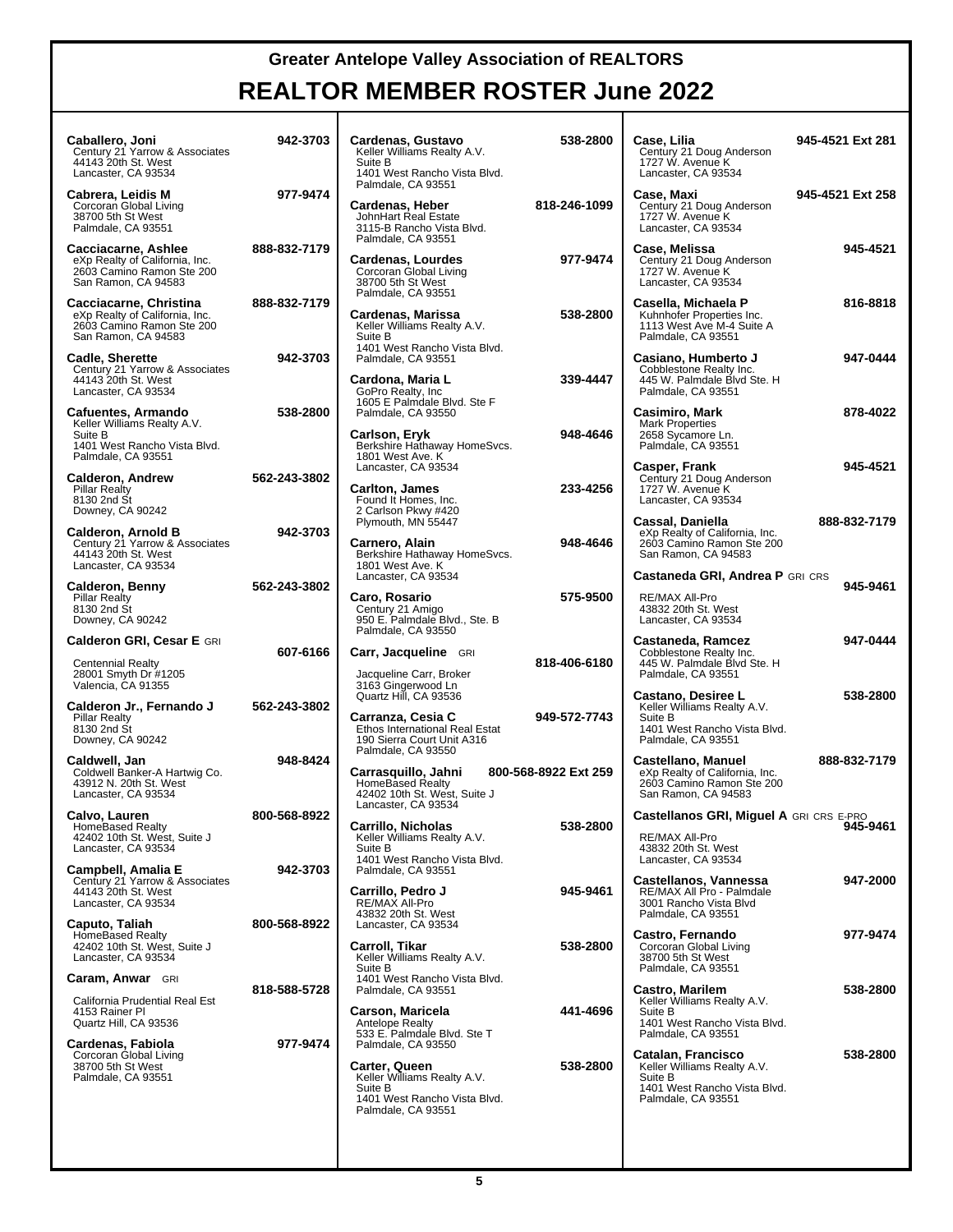| Caballero, Joni<br>Century 21 Yarrow & Associates<br>44143 20th St. West<br>Lancaster, CA 93534                    | 942-3703     | Cardenas, Gustavo<br>Keller Williams Realty A.V.<br>Suite B<br>1401 West Rancho Vista Blvd.                                                                        | 538-2800             | Case, Lilia<br>Century 21 Doug Anderson<br>1727 W. Avenue K<br>Lancaster, CA 93534                                                       | 945-4521 Ext 281 |
|--------------------------------------------------------------------------------------------------------------------|--------------|--------------------------------------------------------------------------------------------------------------------------------------------------------------------|----------------------|------------------------------------------------------------------------------------------------------------------------------------------|------------------|
| Cabrera, Leidis M<br>Corcoran Global Living<br>38700 5th St West<br>Palmdale, CA 93551                             | 977-9474     | Palmdale, CA 93551<br>Cardenas, Heber<br>JohnHart Real Estate<br>3115-B Rancho Vista Blvd.<br>Palmdale, CA 93551                                                   | 818-246-1099         | Case, Maxi<br>Century 21 Doug Anderson<br>1727 W. Avenue K<br>Lancaster, CA 93534                                                        | 945-4521 Ext 258 |
| Cacciacarne, Ashlee<br>eXp Realty of California, Inc.<br>2603 Camino Ramon Ste 200<br>San Ramon, CA 94583          | 888-832-7179 | Cardenas, Lourdes<br>Corcoran Global Living<br>38700 5th St West<br>Palmdale, CA 93551                                                                             | 977-9474             | Case, Melissa<br>Century 21 Doug Anderson<br>1727 W. Avenue K<br>Lancaster, CA 93534                                                     | 945-4521         |
| Cacciacarne, Christina<br>eXp Realty of California, Inc.<br>2603 Camino Ramon Ste 200<br>San Ramon, CA 94583       | 888-832-7179 | Cardenas, Marissa<br>Keller Williams Realty A.V.<br>Suite B                                                                                                        | 538-2800             | Casella, Michaela P<br>Kuhnhofer Properties Inc.<br>1113 West Ave M-4 Suite A<br>Palmdale, CA 93551                                      | 816-8818         |
| <b>Cadle, Sherette</b><br>Century 21 Yarrow & Associates<br>44143 20th St. West<br>Lancaster, CA 93534             | 942-3703     | 1401 West Rancho Vista Blvd.<br>Palmdale, CA 93551<br>Cardona, Maria L<br>GoPro Realty, Inc.                                                                       | 339-4447             | Casiano, Humberto J<br>Cobblestone Realty Inc.<br>445 W. Palmdale Blvd Ste. H<br>Palmdale, CA 93551                                      | 947-0444         |
| Cafuentes, Armando<br>Keller Williams Realty A.V.<br>Suite B<br>1401 West Rancho Vista Blvd.<br>Palmdale, CA 93551 | 538-2800     | 1605 E Palmdale Blvd. Ste F<br>Palmdale, CA 93550<br>Carlson, Eryk<br>Berkshire Hathaway HomeSvcs.<br>1801 West Ave. K                                             | 948-4646             | Casimiro, Mark<br><b>Mark Properties</b><br>2658 Sycamore Ln.<br>Palmdale, CA 93551                                                      | 878-4022         |
| <b>Calderon, Andrew</b><br><b>Pillar Realty</b><br>8130 2nd St<br>Downey, CA 90242                                 | 562-243-3802 | Lancaster, CA 93534<br><b>Carlton, James</b><br>Found It Homes, Inc.<br>2 Carlson Pkwy #420                                                                        | 233-4256             | Casper, Frank<br>Century 21 Doug Anderson<br>1727 W. Avenue K<br>Lancaster, CA 93534                                                     | 945-4521         |
| <b>Calderon, Arnold B</b><br>Century 21 Yarrow & Associates<br>44143 20th St. West<br>Lancaster, CA 93534          | 942-3703     | Plymouth, MN 55447<br>Carnero, Alain<br>Berkshire Hathaway HomeSvcs.<br>1801 West Ave. K                                                                           | 948-4646             | Cassal, Daniella<br>eXp Realty of California, Inc.<br>2603 Camino Ramon Ste 200<br>San Ramon, CA 94583                                   | 888-832-7179     |
| Calderon, Benny<br><b>Pillar Realty</b><br>8130 2nd St<br>Downey, CA 90242                                         | 562-243-3802 | Lancaster, CA 93534<br>Caro, Rosario<br>Century 21 Amigo<br>950 E. Palmdale Blvd., Ste. B                                                                          | 575-9500             | Castaneda GRI, Andrea P GRI CRS<br>RE/MAX All-Pro<br>43832 20th St. West<br>Lancaster, CA 93534                                          | 945-9461         |
| <b>Calderon GRI, Cesar E GRI</b><br><b>Centennial Realty</b><br>28001 Smyth Dr #1205<br>Valencia, CA 91355         | 607-6166     | Palmdale, CA 93550<br>Carr, Jacqueline GRI<br>Jacqueline Carr, Broker<br>3163 Gingerwood Ln                                                                        | 818-406-6180         | Castaneda, Ramcez<br>Cobblestone Realty Inc.<br>445 W. Palmdale Blvd Ste. H<br>Palmdale, CA 93551                                        | 947-0444         |
| Calderon Jr., Fernando J<br><b>Pillar Realty</b><br>8130 2nd St<br>Downey, CA 90242                                | 562-243-3802 | Quartz Hill, CA 93536<br>Carranza, Cesia C<br>Ethos International Real Estat<br>190 Sierra Court Unit A316                                                         | 949-572-7743         | Castano, Desiree L<br>Keller Williams Realty A.V.<br>Suite B<br>1401 West Rancho Vista Blvd.<br>Palmdale, CA 93551                       | 538-2800         |
| Caldwell, Jan<br>Coldwell Banker-A Hartwig Co.<br>43912 N. 20th St. West<br>Lancaster, CA 93534                    | 948-8424     | Palmdale, CA 93550<br>Carrasquillo, Jahni<br>HomeBased Realty<br>42402 10th St. West, Suite J                                                                      | 800-568-8922 Ext 259 | Castellano, Manuel<br>eXp Realty of California, Inc.<br>2603 Camino Ramon Ste 200<br>San Ramon, CA 94583                                 | 888-832-7179     |
| Calvo, Lauren<br>HomeBased Realty<br>42402 10th St. West, Suite J<br>Lancaster, CA 93534                           | 800-568-8922 | Lancaster, CA 93534<br>Carrillo, Nicholas<br>Keller Williams Realty A.V.<br>Suite B<br>1401 West Rancho Vista Blvd.                                                | 538-2800             | Castellanos GRI, Miguel A GRI CRS E-PRO<br>RE/MAX All-Pro<br>43832 20th St. West<br>Lancaster, CA 93534                                  | 945-9461         |
| <b>Campbell, Amalia E</b><br>Century 21 Yarrow & Associates<br>44143 20th St. West<br>Lancaster, CA 93534          | 942-3703     | Palmdale, CA 93551<br>Carrillo, Pedro J<br>RE/MAX All-Pro<br>43832 20th St. West                                                                                   | 945-9461             | Castellanos, Vannessa<br>RE/MAX All Pro - Palmdale<br>3001 Rancho Vista Blvd<br>Palmdale, CA 93551                                       | 947-2000         |
| Caputo, Taliah<br>HomeBased Realty<br>42402 10th St. West, Suite J<br>Lancaster, CA 93534                          | 800-568-8922 | Lancaster, CA 93534<br>Carroll, Tikar<br>Keller Williams Realty A.V.<br>Suite B                                                                                    | 538-2800             | Castro, Fernando<br>Corcoran Global Living<br>38700 5th St West<br>Palmdale, CA 93551                                                    | 977-9474         |
| <b>Caram, Anwar</b> GRI<br>California Prudential Real Est<br>4153 Rainer Pl<br>Quartz Hill, CA 93536               | 818-588-5728 | 1401 West Rancho Vista Blvd.<br>Palmdale, CA 93551<br>Carson, Maricela<br>Antelope Realty                                                                          | 441-4696             | Castro, Marilem<br>Keller Williams Realty A.V.<br>Suite B<br>1401 West Rancho Vista Blvd.                                                | 538-2800         |
| Cardenas, Fabiola<br>Corcoran Global Living<br>38700 5th St West<br>Palmdale, CA 93551                             | 977-9474     | 533 E. Palmdale Blvd. Ste T<br>Palmdale, CA 93550<br>Carter, Queen<br>Keller Williams Realty A.V.<br>Suite B<br>1401 West Rancho Vista Blvd.<br>Palmdale, CA 93551 | 538-2800             | Palmdale, CA 93551<br>Catalan, Francisco<br>Keller Williams Realty A.V.<br>Suite B<br>1401 West Rancho Vista Blvd.<br>Palmdale, CA 93551 | 538-2800         |
|                                                                                                                    |              |                                                                                                                                                                    |                      |                                                                                                                                          |                  |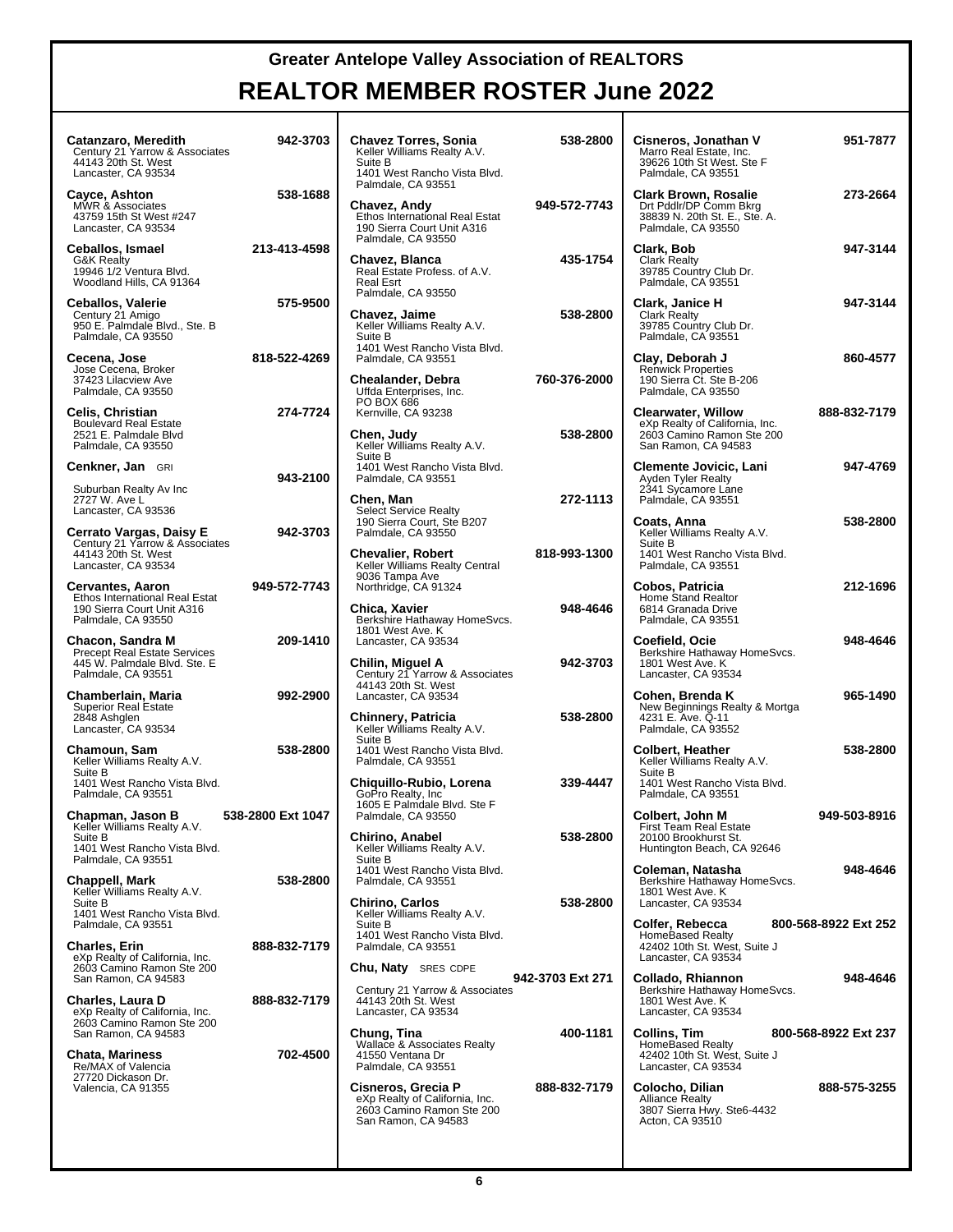| Catanzaro, Meredith<br>Century 21 Yarrow & Associates<br>44143 20th St. West<br>Lancaster, CA 93534            | 942-3703          | <b>Chavez Torres, Sonia</b><br>Keller Williams Realty A.V.<br>Suite B<br>1401 West Rancho Vista Blvd.<br>Palmdale, CA 93551 | 538-2800         | Cisneros, Jonathan V<br>Marro Real Estate, Inc.<br>39626 10th St West. Ste F<br>Palmdale, CA 93551              | 951-7877             |
|----------------------------------------------------------------------------------------------------------------|-------------------|-----------------------------------------------------------------------------------------------------------------------------|------------------|-----------------------------------------------------------------------------------------------------------------|----------------------|
| Cayce, Ashton<br>MWR & Associates<br>43759 15th St West #247<br>Lancaster, CA 93534                            | 538-1688          | Chavez, Andy<br>Ethos International Real Estat<br>190 Sierra Court Unit A316<br>Palmdale, CA 93550                          | 949-572-7743     | <b>Clark Brown, Rosalie</b><br>Drt Pddlr/DP Comm Bkrg<br>38839 N. 20th St. E., Ste. A.<br>Palmdale, CA 93550    | 273-2664             |
| Ceballos, Ismael<br><b>G&amp;K Realty</b><br>19946 1/2 Ventura Blvd.<br>Woodland Hills, CA 91364               | 213-413-4598      | Chavez, Blanca<br>Real Estate Profess. of A.V.<br><b>Real Esrt</b>                                                          | 435-1754         | Clark, Bob<br><b>Clark Realty</b><br>39785 Country Club Dr.<br>Palmdale, CA 93551                               | 947-3144             |
| <b>Ceballos, Valerie</b><br>Century 21 Amigo<br>950 E. Palmdale Blvd., Ste. B<br>Palmdale, CA 93550            | 575-9500          | Palmdale, CA 93550<br>Chavez, Jaime<br>Keller Williams Realty A.V.<br>Suite B                                               | 538-2800         | Clark, Janice H<br><b>Clark Realty</b><br>39785 Country Club Dr.<br>Palmdale, CA 93551                          | 947-3144             |
| Cecena, Jose<br>Jose Cecena, Broker<br>37423 Lilacview Ave<br>Palmdale, CA 93550                               | 818-522-4269      | 1401 West Rancho Vista Blvd.<br>Palmdale, CA 93551<br>Chealander, Debra<br>Uffda Enterprises, Inc.                          | 760-376-2000     | Clay, Deborah J<br><b>Renwick Properties</b><br>190 Sierra Ct. Ste B-206<br>Palmdale, CA 93550                  | 860-4577             |
| Celis, Christian<br><b>Boulevard Real Estate</b><br>2521 E. Palmdale Blvd<br>Palmdale, CA 93550                | 274-7724          | PO BOX 686<br>Kernville, CA 93238<br>Chen, Judy<br>Keller Williams Realty A.V.                                              | 538-2800         | <b>Clearwater, Willow</b><br>eXp Realty of California, Inc.<br>2603 Camino Ramon Ste 200<br>San Ramon, CA 94583 | 888-832-7179         |
| Cenkner, Jan GRI<br>Suburban Realty Av Inc<br>2727 W. Ave L                                                    | 943-2100          | Suite B<br>1401 West Rancho Vista Blvd.<br>Palmdale, CA 93551<br>Chen, Man                                                  | 272-1113         | <b>Clemente Jovicic, Lani</b><br><b>Ayden Tyler Realty</b><br>2341 Sycamore Lane<br>Palmdale, CA 93551          | 947-4769             |
| Lancaster, CA 93536<br>Cerrato Vargas, Daisy E<br>Century 21 Yarrow & Associates<br>44143 20th St. West        | 942-3703          | <b>Select Service Realty</b><br>190 Sierra Court, Ste B207<br>Palmdale, CA 93550<br><b>Chevalier, Robert</b>                | 818-993-1300     | Coats, Anna<br>Keller Williams Realty A.V.<br>Suite B<br>1401 West Rancho Vista Blvd.                           | 538-2800             |
| Lancaster, CA 93534<br><b>Cervantes, Aaron</b><br>Ethos International Real Estat<br>190 Sierra Court Unit A316 | 949-572-7743      | Keller Williams Realty Central<br>9036 Tampa Ave<br>Northridge, CA 91324<br>Chica, Xavier                                   | 948-4646         | Palmdale, CA 93551<br>Cobos, Patricia<br>Home Stand Realtor<br>6814 Granada Drive                               | 212-1696             |
| Palmdale, CA 93550<br>Chacon, Sandra M<br><b>Precept Real Estate Services</b><br>445 W. Palmdale Blvd. Ste. E  | 209-1410          | Berkshire Hathaway HomeSvcs.<br>1801 West Ave. K<br>Lancaster, CA 93534<br>Chilin, Miguel A                                 | 942-3703         | Palmdale, CA 93551<br>Coefield, Ocie<br>Berkshire Hathaway HomeSvcs.<br>1801 West Ave. K                        | 948-4646             |
| Palmdale, CA 93551<br>Chamberlain, Maria<br><b>Superior Real Estate</b><br>2848 Ashglen                        | 992-2900          | Century 21 Yarrow & Associates<br>44143 20th St. West<br>Lancaster, CA 93534<br>Chinnery, Patricia                          | 538-2800         | Lancaster, CA 93534<br>Cohen, Brenda K<br>New Beginnings Realty & Mortga<br>4231 E. Ave. Q-11                   | 965-1490             |
| Lancaster, CA 93534<br>Chamoun, Sam<br>Keller Williams Realty A.V.<br>Suite B                                  | 538-2800          | Keller Williams Realty A.V.<br>Suite B<br>1401 West Rancho Vista Blvd.<br>Palmdale, CA 93551                                |                  | Palmdale, CA 93552<br><b>Colbert, Heather</b><br>Keller Williams Realty A.V.<br>Suite B                         | 538-2800             |
| 1401 West Rancho Vista Blvd.<br>Palmdale, CA 93551<br>Chapman, Jason B                                         | 538-2800 Ext 1047 | Chiquillo-Rubio, Lorena<br>GoPro Realty, Inc.<br>1605 E Palmdale Blvd. Ste F<br>Palmdale, CA 93550                          | 339-4447         | 1401 West Rancho Vista Blvd.<br>Palmdale, CA 93551<br>Colbert, John M                                           | 949-503-8916         |
| Keller Williams Realty A.V.<br>Suite B<br>1401 West Rancho Vista Blvd.<br>Palmdale, CA 93551                   |                   | <b>Chirino, Anabel</b><br>Keller Williams Realty A.V.<br>Suite B<br>1401 West Rancho Vista Blvd.                            | 538-2800         | <b>First Team Real Estate</b><br>20100 Brookhurst St.<br>Huntington Beach, CA 92646<br>Coleman, Natasha         | 948-4646             |
| Chappell, Mark<br>Keller Williams Realty A.V.<br>Suite B<br>1401 West Rancho Vista Blvd.                       | 538-2800          | Palmdale, CA 93551<br><b>Chirino, Carlos</b><br>Keller Williams Realty A.V.                                                 | 538-2800         | Berkshire Hathaway HomeSvcs.<br>1801 West Ave. K<br>Lancaster, CA 93534                                         |                      |
| Palmdale, CA 93551<br><b>Charles, Erin</b><br>eXp Realty of California, Inc.<br>2603 Camino Ramon Ste 200      | 888-832-7179      | Suite B<br>1401 West Rancho Vista Blvd.<br>Palmdale, CA 93551<br><b>Chu, Naty</b> SRES CDPE                                 |                  | Colfer, Rebecca<br><b>HomeBased Realty</b><br>42402 10th St. West, Suite J<br>Lancaster, CA 93534               | 800-568-8922 Ext 252 |
| San Ramon, CA 94583<br>Charles, Laura D<br>eXp Realty of California, Inc.<br>2603 Camino Ramon Ste 200         | 888-832-7179      | Century 21 Yarrow & Associates<br>44143 20th St. West<br>Lancaster, CA 93534                                                | 942-3703 Ext 271 | Collado, Rhiannon<br>Berkshire Hathaway HomeSvcs.<br>1801 West Ave. K<br>Lancaster, CA 93534                    | 948-4646             |
| San Ramon, CA 94583<br><b>Chata, Mariness</b><br>Re/MAX of Valencia                                            | 702-4500          | Chung, Tina<br>Wallace & Associates Realty<br>41550 Ventana Dr<br>Palmdale, CA 93551                                        | 400-1181         | Collins, Tim<br><b>HomeBased Realty</b><br>42402 10th St. West, Suite J<br>Lancaster, CA 93534                  | 800-568-8922 Ext 237 |
| 27720 Dickason Dr.<br>Valencia, CA 91355                                                                       |                   | Cisneros, Grecia P<br>eXp Realty of California, Inc.<br>2603 Camino Ramon Ste 200<br>San Ramon, CA 94583                    | 888-832-7179     | Colocho, Dilian<br><b>Alliance Realty</b><br>3807 Sierra Hwy. Ste6-4432<br>Acton, CA 93510                      | 888-575-3255         |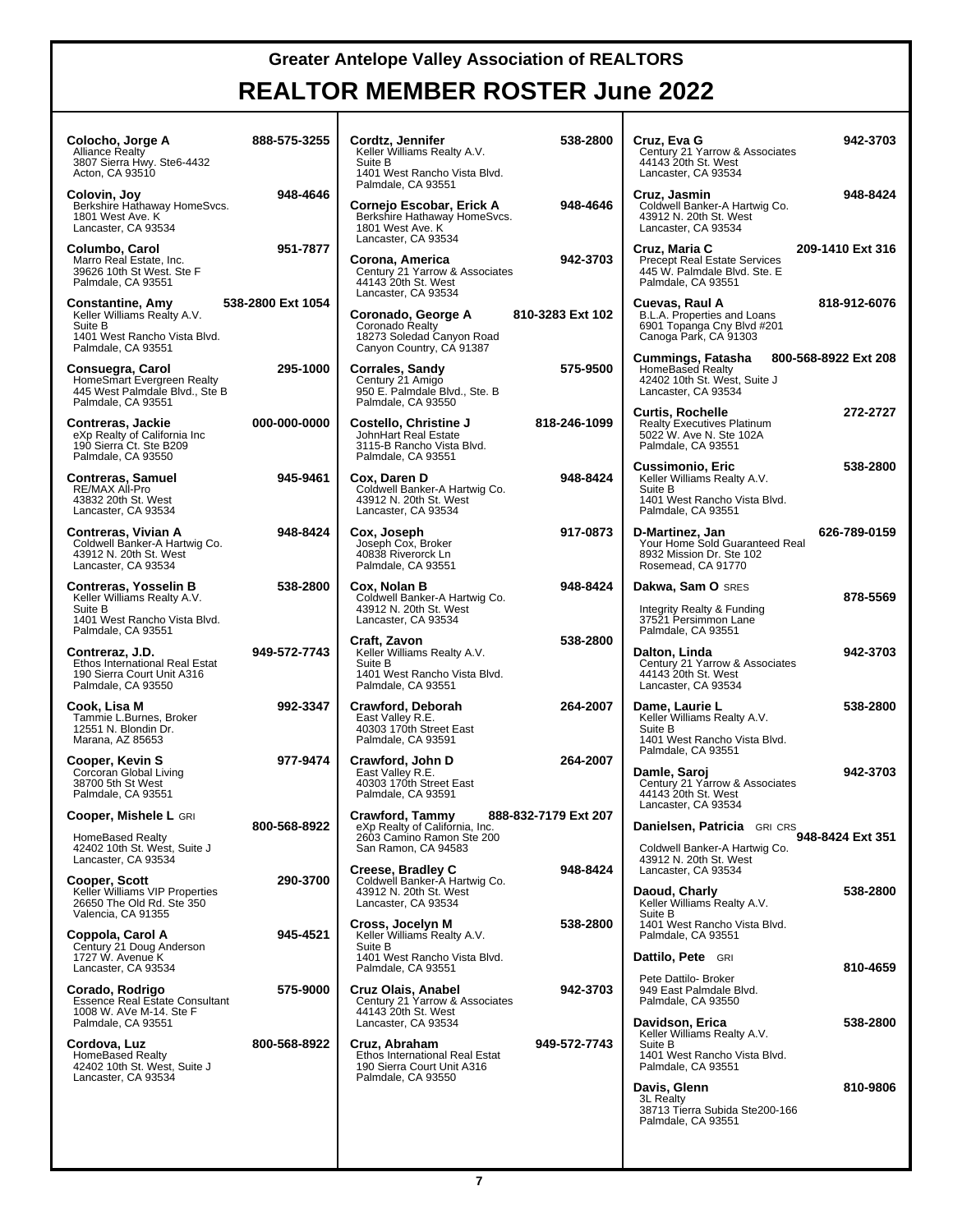#### **REALTOR MEMBER ROSTER June 2022**

| Colocho, Jorge A<br><b>Alliance Realty</b><br>3807 Sierra Hwy. Ste6-4432<br>Acton, CA 93510                                 | 888-575-3255      | Cordtz, Jennifer<br>Keller Williams Realty A.V.<br>Suite B<br>1401 West Rancho Vista Blvd.<br>Palmdale, CA 93551 | 538-2800             |
|-----------------------------------------------------------------------------------------------------------------------------|-------------------|------------------------------------------------------------------------------------------------------------------|----------------------|
| Colovin, Joy<br>Berkshire Hathaway HomeSvcs.<br>1801 West Ave. K<br>Lancaster, CA 93534                                     | 948-4646          | Cornejo Escobar, Erick A<br>Berkshire Hathaway HomeSvcs.<br>1801 West Ave. K<br>Lancaster, CA 93534              | 948-4646             |
| Columbo, Carol<br>Marro Real Estate, Inc.<br>39626 10th St West. Ste F<br>Palmdale, CA 93551                                | 951-7877          | Corona, America<br>Century 21 Yarrow & Associates<br>44143 20th St. West<br>Lancaster, CA 93534                  | 942-3703             |
| <b>Constantine, Amy</b><br>Keller Williams Realty A.V.<br>Suite B<br>1401 West Rancho Vista Blvd.<br>Palmdale, CA 93551     | 538-2800 Ext 1054 | Coronado, George A<br>Coronado Realty<br>18273 Soledad Canyon Road<br>Canyon Country, CA 91387                   | 810-3283 Ext 102     |
| Consuegra, Carol<br>HomeSmart Evergreen Realty<br>445 West Palmdale Blvd., Ste B<br>Palmdale, CA 93551                      | 295-1000          | Corrales, Sandy<br>Century 21 Amigo<br>950 E. Palmdale Blvd., Ste. B<br>Palmdale, CA 93550                       | 575-9500             |
| Contreras, Jackie<br>eXp Realty of California Inc<br>190 Sierra Ct. Ste B209<br>Palmdale, CA 93550                          | 000-000-0000      | Costello, Christine J<br>JohnHart Real Estate<br>3115-B Rancho Vista Blvd.<br>Palmdale, CA 93551                 | 818-246-1099         |
| <b>Contreras, Samuel</b><br>RE/MAX All-Pro<br>43832 20th St. West<br>Lancaster, CA 93534                                    | 945-9461          | Cox, Daren D<br>Coldwell Banker-A Hartwig Co.<br>43912 N. 20th St. West<br>Lancaster, CA 93534                   | 948-8424             |
| Contreras, Vivian A<br>Coldwell Banker-A Hartwig Co.<br>43912 N. 20th St. West<br>Lancaster, CA 93534                       | 948-8424          | Cox, Joseph<br>Joseph Cox, Broker<br>40838 Riverorck Ln<br>Palmdale, CA 93551                                    | 917-0873             |
| Contreras, Yosselin B<br>Keller Williams Realty A.V.<br>Suite B<br>1401 West Rancho Vista Blvd.                             | 538-2800          | Cox, Nolan B<br>Coldwell Banker-A Hartwig Co.<br>43912 N. 20th St. West<br>Lancaster, CA 93534                   | 948-8424             |
| Palmdale, CA 93551<br>Contreraz, J.D.<br>Ethos International Real Estat<br>190 Sierra Court Unit A316<br>Palmdale, CA 93550 | 949-572-7743      | Craft, Zavon<br>Keller Williams Realty A.V.<br>Suite B<br>1401 West Rancho Vista Blvd.<br>Palmdale, CA 93551     | 538-2800             |
| Cook, Lisa M<br>Tammie L.Burnes, Broker<br>12551 N. Blondin Dr.<br>Marana, AZ 85653                                         | 992-3347          | Crawford, Deborah<br>East Valley R.E.<br>40303 170th Street East<br>Palmdale, CA 93591                           | 264-2007             |
| Cooper, Kevin S<br>Corcoran Global Living<br>38700 5th St West<br>Palmdale, CA 93551                                        | 977-9474          | Crawford, John D<br>East Valley R.E.<br>40303 170th Street East<br>Palmdale, CA 93591                            | 264-2007             |
| Cooper, Mishele L GRI                                                                                                       | 800-568-8922      | Crawford, Tammy<br>eXp Realty of California, Inc.                                                                | 888-832-7179 Ext 207 |
| HomeBased Realty<br>42402 10th St. West, Suite J<br>Lancaster, CA 93534                                                     |                   | 2603 Camino Ramon Ste 200<br>San Ramon, CA 94583                                                                 |                      |
| Cooper, Scott<br>Keller Williams VIP Properties<br>26650 The Old Rd. Ste 350<br>Valencia, CA 91355                          | 290-3700          | Creese, Bradley C<br>Coldwell Banker-A Hartwig Co.<br>43912 N. 20th St. West<br>Lancaster, CA 93534              | 948-8424             |
| Coppola, Carol A<br>Century 21 Doug Anderson<br>1727 W. Avenue K<br>Lancaster, CA 93534                                     | 945-4521          | Cross, Jocelyn M<br>Keller Williams Realty A.V.<br>Suite B<br>1401 West Rancho Vista Blvd.<br>Palmdale, CA 93551 | 538-2800             |
| Corado, Rodrigo<br><b>Essence Real Estate Consultant</b><br>1008 W. AVe M-14. Ste F<br>Palmdale, CA 93551                   | 575-9000          | Cruz Olais, Anabel<br>Century 21 Yarrow & Associates<br>44143 20th St. West<br>Lancaster, CA 93534               | 942-3703             |
| Cordova, Luz<br>HomeBased Realty<br>42402 10th St. West, Suite J<br>Lancaster, CA 93534                                     | 800-568-8922      | Cruz, Abraham<br>Ethos International Real Estat<br>190 Sierra Court Unit A316<br>Palmdale, CA 93550              | 949-572-7743         |
|                                                                                                                             |                   |                                                                                                                  |                      |

| ⊧nnifer<br>ams Realty A.V.                                          | 538-2800             | Cruz, Eva G<br>Century 21 Yarrow & Associates<br>44143 20th St. West                                               | 942-3703             |
|---------------------------------------------------------------------|----------------------|--------------------------------------------------------------------------------------------------------------------|----------------------|
| Rancho Vista Blvd.<br>CA 93551                                      |                      | Lancaster, CA 93534                                                                                                |                      |
| scobar, Erick A<br>Hathaway HomeSvcs.<br>Ave. K<br>CA 93534         | 948-4646             | Cruz, Jasmin<br>Coldwell Banker-A Hartwig Co.<br>43912 N. 20th St. West<br>Lancaster, CA 93534                     | 948-8424             |
| merica<br>Yarrow & Associates<br>າ St. West<br>CA 93534             | 942-3703             | Cruz, Maria C<br><b>Precept Real Estate Services</b><br>445 W. Palmdale Blvd. Ste. E<br>Palmdale, CA 93551         | 209-1410 Ext 316     |
| <b>, George A</b><br>Realty<br>edad Canyon Road<br>งuntry, CA 91387 | 810-3283 Ext 102     | Cuevas, Raul A<br>B.L.A. Properties and Loans<br>6901 Topanga Cny Blvd #201<br>Canoga Park, CA 91303               | 818-912-6076         |
| Sandy<br>Amigo<br>ndale Blvd., Ste. B<br>CA 93550                   | 575-9500             | Cummings, Fatasha<br>HomeBased Realty<br>42402 10th St. West, Suite J<br>Lancaster, CA 93534                       | 800-568-8922 Ext 208 |
| Christine J<br>≀eal Estate<br>ncho Vista Blvd.<br>CA 93551          | 818-246-1099         | <b>Curtis, Rochelle</b><br><b>Realty Executives Platinum</b><br>5022 W. Ave N. Ste 102A<br>Palmdale, CA 93551      | 272-2727             |
| n D<br>anker-A Hartwig Co.<br>:0th St. West<br>CA 93534             | 948-8424             | Cussimonio, Eric<br>Keller Williams Realty A.V.<br>Suite B<br>1401 West Rancho Vista Blvd.<br>Palmdale, CA 93551   | 538-2800             |
| ph<br>x, Broker<br>erorck Ln<br>CA 93551                            | 917-0873             | D-Martinez, Jan<br>Your Home Sold Guaranteed Real<br>8932 Mission Dr. Ste 102<br>Rosemead, CA 91770                | 626-789-0159         |
| nВ<br>anker-A Hartwig Co.                                           | 948-8424             | Dakwa, Sam O SRES                                                                                                  | 878-5569             |
| :0th St. West<br>CA 93534                                           |                      | Integrity Realty & Funding<br>37521 Persimmon Lane<br>Palmdale, CA 93551                                           |                      |
| on<br>ams Realty A.V.                                               | 538-2800             | Dalton, Linda<br>Century 21 Yarrow & Associates                                                                    | 942-3703             |
| Rancho Vista Blvd.<br>CA 93551                                      |                      | 44143 20th St. West<br>Lancaster, CA 93534                                                                         |                      |
| Deborah<br>/ R.E.<br>th Street East<br>CA 93591                     | 264-2007             | Dame, Laurie L<br>Keller Williams Realty A.V.<br>Suite B<br>1401 West Rancho Vista Blvd.                           | 538-2800             |
| John D<br>/ R.E.<br>th Street East<br>CA 93591                      | 264-2007             | Palmdale, CA 93551<br>Damle, Saroj<br>Century 21 Yarrow & Associates<br>44143 20th St. West<br>Lancaster, CA 93534 | 942-3703             |
| <b>Tammy</b><br>of California, Inc.                                 | 888-832-7179 Ext 207 | Danielsen, Patricia GRI CRS                                                                                        |                      |
| no Ramon Ste 200<br>n, CA 94583<br>radlev C                         | 948-8424             | Coldwell Banker-A Hartwig Co.<br>43912 N. 20th St. West<br>Lancaster, CA 93534                                     | 948-8424 Ext 351     |
| anker-A Hartwig Co.<br>0th St. West<br>CA 93534                     |                      | Daoud, Charly<br>Keller Williams Realty A.V.<br>Suite B                                                            | 538-2800             |
| celyn M<br>ams Realty A.V.                                          | 538-2800             | 1401 West Rancho Vista Blvd.<br>Palmdale, CA 93551                                                                 |                      |
| Rancho Vista Blvd.<br>CA 93551                                      |                      | Dattilo, Pete GRI                                                                                                  | 810-4659             |
| ،, Anabel<br>Yarrow & Associates<br>າ St. West                      | 942-3703             | Pete Dattilo- Broker<br>949 East Palmdale Blvd.<br>Palmdale, CA 93550                                              |                      |
| CA 93534<br>aham<br>national Real Estat<br>Court Unit A316          | 949-572-7743         | Davidson, Erica<br>Keller Williams Realty A.V.<br>Suite B<br>1401 West Rancho Vista Blvd.<br>Palmdale, CA 93551    | 538-2800             |
| CA 93550                                                            |                      | Davis, Glenn<br>3L Realty<br>38713 Tierra Subida Ste200-166<br>Palmdale, CA 93551                                  | 810-9806             |
|                                                                     |                      |                                                                                                                    |                      |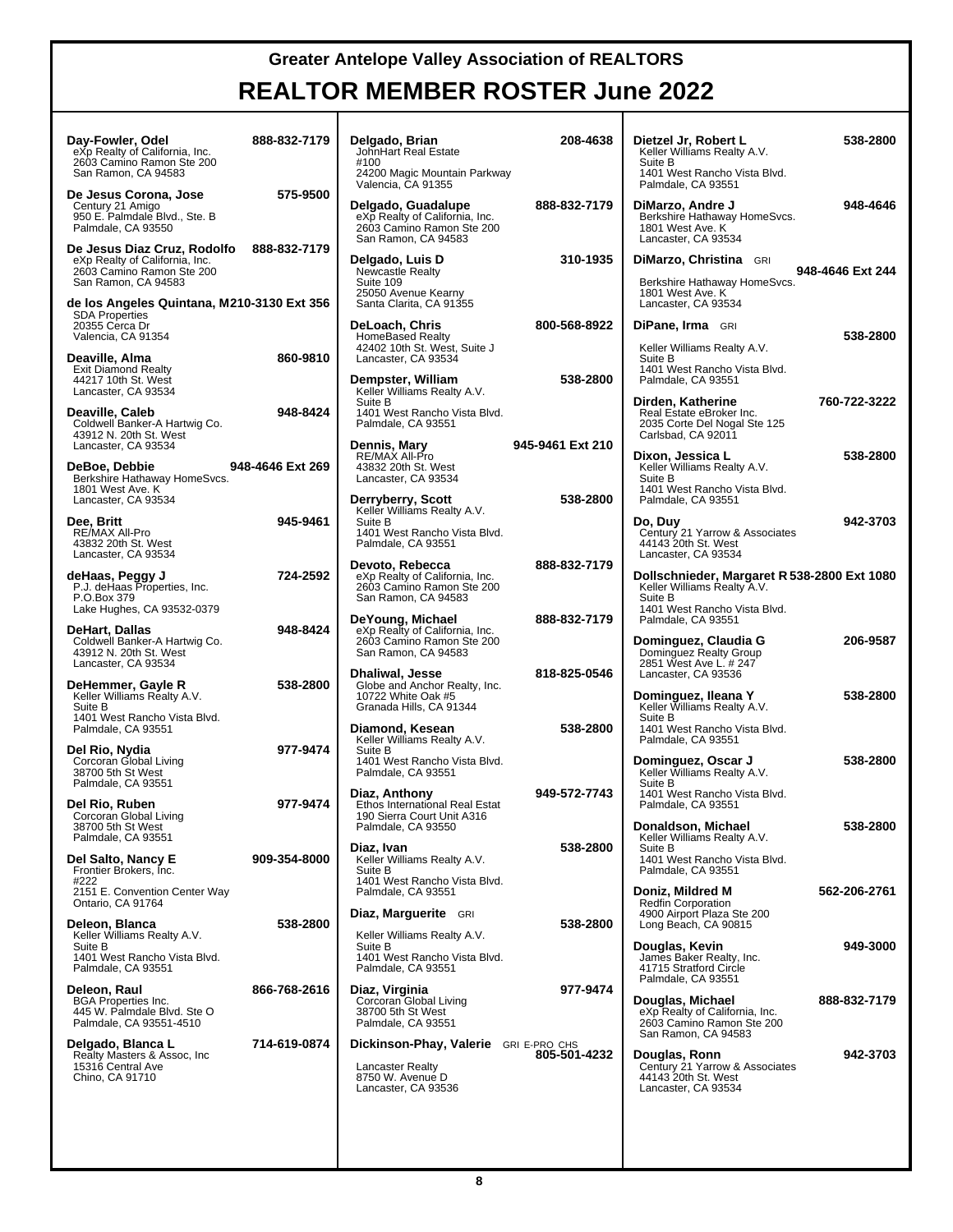| Day-Fowler, Odel<br>eXp Realty of California, Inc.<br>2603 Camino Ramon Ste 200<br>San Ramon, CA 94583            | 888-832-7179     | Delgado, Brian<br>JohnHart Real Estate<br>#100<br>24200 Magic Mountain Parkway<br>Valencia, CA 91355               | 208-4638         | Dietzel Jr, Robert L<br>Keller Williams Realty A.V.<br>Suite B<br>1401 West Rancho Vista Blvd.<br>Palmdale, CA 93551  | 538-2800         |
|-------------------------------------------------------------------------------------------------------------------|------------------|--------------------------------------------------------------------------------------------------------------------|------------------|-----------------------------------------------------------------------------------------------------------------------|------------------|
| De Jesus Corona, Jose<br>Century 21 Amigo<br>950 E. Palmdale Blvd., Ste. B<br>Palmdale, CA 93550                  | 575-9500         | Delgado, Guadalupe<br>eXp Realty of California, Inc.<br>2603 Camino Ramon Ste 200<br>San Ramon, CA 94583           | 888-832-7179     | DiMarzo, Andre J<br>Berkshire Hathaway HomeSvcs.<br>1801 West Ave. K<br>Lancaster, CA 93534                           | 948-4646         |
| De Jesus Diaz Cruz, Rodolfo<br>eXp Realty of California, Inc.<br>2603 Camino Ramon Ste 200<br>San Ramon, CA 94583 | 888-832-7179     | Delgado, Luis D<br>Newcastle Realty<br>Suite 109<br>25050 Avenue Kearny                                            | 310-1935         | DiMarzo, Christina GRI<br>Berkshire Hathaway HomeSvcs.<br>1801 West Ave. K                                            | 948-4646 Ext 244 |
| de los Angeles Quintana, M210-3130 Ext 356<br><b>SDA Properties</b><br>20355 Cerca Dr<br>Valencia, CA 91354       |                  | Santa Clarita, CA 91355<br>DeLoach, Chris<br>HomeBased Realty                                                      | 800-568-8922     | Lancaster, CA 93534<br><b>DiPane, Irma</b> GRI                                                                        | 538-2800         |
| Deaville, Alma<br><b>Exit Diamond Realty</b><br>44217 10th St. West<br>Lancaster, CA 93534                        | 860-9810         | 42402 10th St. West, Suite J<br>Lancaster, CA 93534<br>Dempster, William<br>Keller Williams Realty A.V.            | 538-2800         | Keller Williams Realty A.V.<br>Suite B<br>1401 West Rancho Vista Blvd.<br>Palmdale, CA 93551                          |                  |
| Deaville, Caleb<br>Coldwell Banker-A Hartwig Co.<br>43912 N. 20th St. West                                        | 948-8424         | Suite B<br>1401 West Rancho Vista Blvd.<br>Palmdale, CA 93551                                                      |                  | Dirden, Katherine<br>Real Estate eBroker Inc.<br>2035 Corte Del Nogal Ste 125<br>Carlsbad, CA 92011                   | 760-722-3222     |
| Lancaster, CA 93534<br>DeBoe, Debbie<br>Berkshire Hathaway HomeSvcs.<br>1801 West Ave. K                          | 948-4646 Ext 269 | <b>Dennis, Mary</b><br>RE/MAX All-Pro<br>43832 20th St. West<br>Lancaster, CA 93534                                | 945-9461 Ext 210 | Dixon, Jessica L<br>Keller Williams Realty A.V.<br>Suite B<br>1401 West Rancho Vista Blvd.                            | 538-2800         |
| Lancaster, CA 93534<br>Dee, Britt                                                                                 | 945-9461         | Derryberry, Scott<br>Keller Williams Realty A.V.<br>Suite B                                                        | 538-2800         | Palmdale, CA 93551<br>Do, Duy                                                                                         | 942-3703         |
| RE/MAX All-Pro<br>43832 20th St. West<br>Lancaster, CA 93534                                                      |                  | 1401 West Rancho Vista Blvd.<br>Palmdale, CA 93551                                                                 |                  | Century 21 Yarrow & Associates<br>44143 20th St. West<br>Lancaster, CA 93534                                          |                  |
| deHaas, Peggy J<br>P.J. deHaas Properties, Inc.<br>P.O.Box 379<br>Lake Hughes, CA 93532-0379                      | 724-2592         | Devoto, Rebecca<br>eXp Realty of California, Inc.<br>2603 Camino Ramon Ste 200<br>San Ramon, CA 94583              | 888-832-7179     | Dollschnieder, Margaret R 538-2800 Ext 1080<br>Keller Williams Realty A.V.<br>Suite B<br>1401 West Rancho Vista Blvd. |                  |
| DeHart, Dallas<br>Coldwell Banker-A Hartwig Co.<br>43912 N. 20th St. West<br>Lancaster, CA 93534                  | 948-8424         | DeYoung, Michael<br>eXp Realty of California, Inc.<br>2603 Camino Ramon Ste 200<br>San Ramon, CA 94583             | 888-832-7179     | Palmdale, CA 93551<br>Dominguez, Claudia G<br>Dominguez Realty Group<br>2851 West Ave L. # 247                        | 206-9587         |
| DeHemmer, Gayle R<br>Keller Williams Realty A.V.<br>Suite B                                                       | 538-2800         | Dhaliwal, Jesse<br>Globe and Anchor Realty, Inc.<br>10722 White Oak #5<br>Granada Hills, CA 91344                  | 818-825-0546     | Lancaster, CA 93536<br>Dominguez, Ileana Y<br>Keller Williams Realty A.V.<br>Suite B                                  | 538-2800         |
| 1401 West Rancho Vista Blvd.<br>Palmdale, CA 93551<br>Del Rio, Nydia                                              | 977-9474         | Diamond, Kesean<br>Keller Williams Realty A.V.<br>Suite B                                                          | 538-2800         | 1401 West Rancho Vista Blvd.<br>Palmdale, CA 93551                                                                    |                  |
| Corcoran Global Living<br>38700 5th St West<br>Palmdale, CA 93551                                                 |                  | 1401 West Rancho Vista Blvd.<br>Palmdale, CA 93551                                                                 |                  | Dominguez, Oscar J<br>Keller Williams Realty A.V.<br>Suite B                                                          | 538-2800         |
| Del Rio, Ruben<br>Corcoran Global Living<br>38700 5th St West                                                     | 977-9474         | Diaz, Anthony<br>Ethos International Real Estat<br>190 Sierra Court Unit A316<br>Palmdale, CA 93550                | 949-572-7743     | 1401 West Rancho Vista Blvd.<br>Palmdale, CA 93551<br>Donaldson, Michael                                              | 538-2800         |
| Palmdale, CA 93551<br>Del Salto, Nancy E<br>Frontier Brokers, Inc.                                                | 909-354-8000     | Diaz, Ivan<br>Keller Williams Realty A.V.<br>Suite B                                                               | 538-2800         | Keller Williams Realty A.V.<br>Suite B<br>1401 West Rancho Vista Blvd.<br>Palmdale, CA 93551                          |                  |
| #222<br>2151 E. Convention Center Way<br>Ontario, CA 91764                                                        |                  | 1401 West Rancho Vista Blvd.<br>Palmdale, CA 93551                                                                 |                  | Doniz, Mildred M<br><b>Redfin Corporation</b>                                                                         | 562-206-2761     |
| Deleon, Blanca<br>Keller Williams Realty A.V.                                                                     | 538-2800         | Diaz, Marguerite GRI<br>Keller Williams Realty A.V.                                                                | 538-2800         | 4900 Airport Plaza Ste 200<br>Long Beach, CA 90815                                                                    |                  |
| Suite B<br>1401 West Rancho Vista Blvd.<br>Palmdale, CA 93551                                                     |                  | Suite B<br>1401 West Rancho Vista Blvd.<br>Palmdale, CA 93551                                                      |                  | Douglas, Kevin<br>James Baker Realty, Inc.<br>41715 Stratford Circle                                                  | 949-3000         |
| Deleon, Raul<br><b>BGA Properties Inc.</b><br>445 W. Palmdale Blvd. Ste O<br>Palmdale, CA 93551-4510              | 866-768-2616     | Diaz, Virginia<br>Corcoran Global Living<br>38700 5th St West<br>Palmdale, CA 93551                                | 977-9474         | Palmdale, CA 93551<br>Douglas, Michael<br>eXp Realty of California, Inc.<br>2603 Camino Ramon Ste 200                 | 888-832-7179     |
| Delgado, Blanca L<br>Realty Masters & Assoc, Inc.<br>15316 Central Ave<br>Chino, CA 91710                         | 714-619-0874     | <b>Dickinson-Phay, Valerie</b> GRI E-PRO CHS<br><b>Lancaster Realty</b><br>8750 W. Avenue D<br>Lancaster, CA 93536 | 805-501-4232     | San Ramon, CA 94583<br>Douglas, Ronn<br>Century 21 Yarrow & Associates<br>44143 20th St. West<br>Lancaster, CA 93534  | 942-3703         |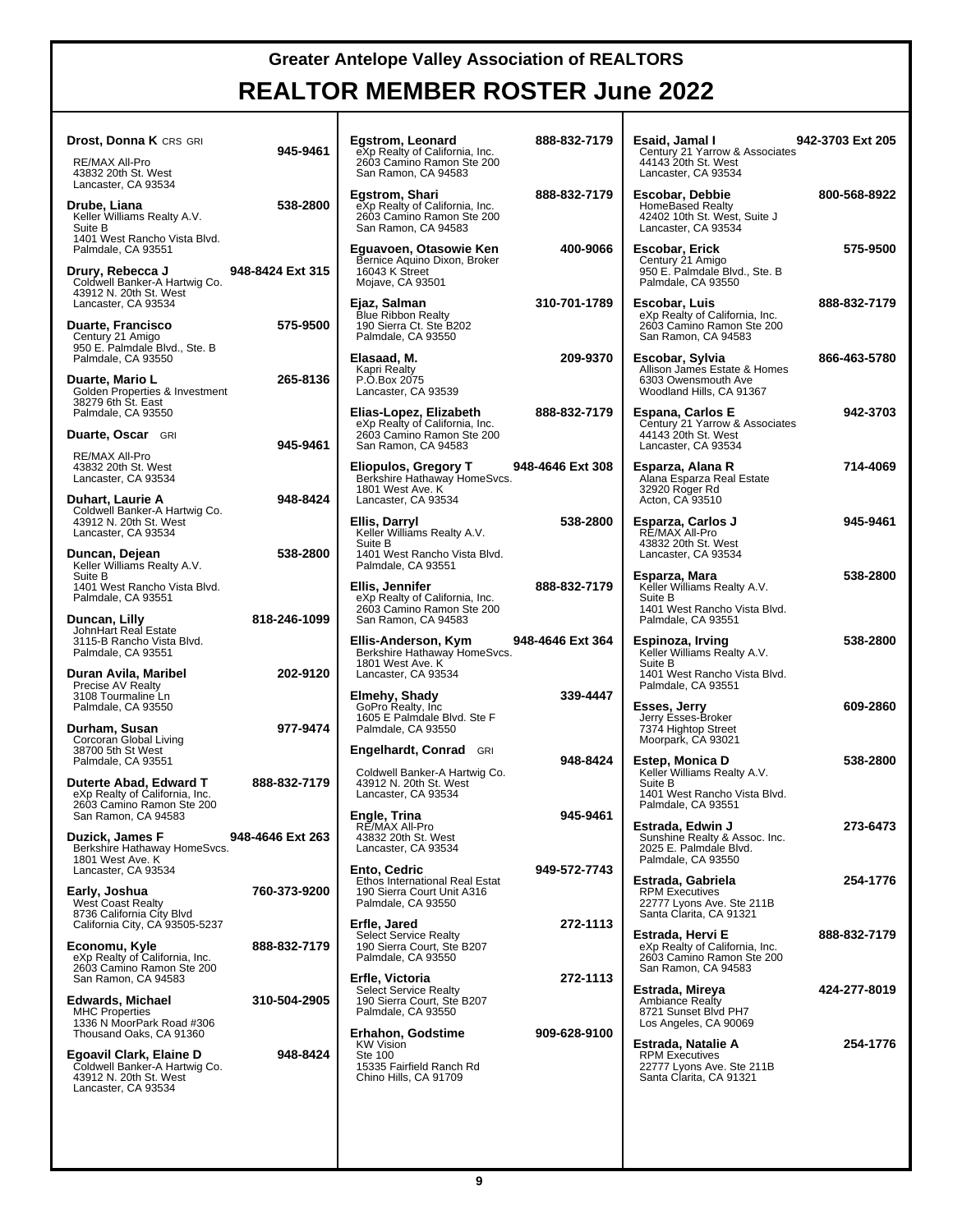| <b>Drost, Donna K CRS GRI</b>                                                                      | 945-9461         | Egstrom, Leonard<br>eXp Realty of California, Inc.                                                   | 888-832-7179     | Esaid, Jamal I<br>Century 21 Yarrow & Associates                                                  | 942-3703 Ext 205 |
|----------------------------------------------------------------------------------------------------|------------------|------------------------------------------------------------------------------------------------------|------------------|---------------------------------------------------------------------------------------------------|------------------|
| RE/MAX All-Pro<br>43832 20th St. West<br>Lancaster, CA 93534                                       |                  | 2603 Camino Ramon Ste 200<br>San Ramon, CA 94583                                                     |                  | 44143 20th St. West<br>Lancaster, CA 93534                                                        |                  |
| Drube, Liana<br>Keller Williams Realty A.V.<br>Suite B                                             | 538-2800         | Egstrom, Shari<br>eXp Realty of California, Inc.<br>2603 Camino Ramon Ste 200<br>San Ramon, CA 94583 | 888-832-7179     | Escobar, Debbie<br><b>HomeBased Realty</b><br>42402 10th St. West, Suite J<br>Lancaster, CA 93534 | 800-568-8922     |
| 1401 West Rancho Vista Blvd.<br>Palmdale, CA 93551                                                 |                  | Eguavoen, Otasowie Ken<br>Bernice Aquino Dixon, Broker                                               | 400-9066         | Escobar, Erick<br>Century 21 Amigo                                                                | 575-9500         |
| Drury, Rebecca J<br>Coldwell Banker-A Hartwig Co.<br>43912 N. 20th St. West<br>Lancaster, CA 93534 | 948-8424 Ext 315 | 16043 K Street<br>Mojave, CA 93501<br>Ejaz, Salman                                                   | 310-701-1789     | 950 E. Palmdale Blvd., Ste. B<br>Palmdale, CA 93550<br>Escobar, Luis                              | 888-832-7179     |
| <b>Duarte, Francisco</b><br>Century 21 Amigo<br>950 E. Palmdale Blvd., Ste. B                      | 575-9500         | Blue Ribbon Realty<br>190 Sierra Ct. Ste B202<br>Palmdale, CA 93550                                  |                  | eXp Realty of California, Inc.<br>2603 Camino Ramon Ste 200<br>San Ramon, CA 94583                |                  |
| Palmdale, CA 93550                                                                                 |                  | Elasaad, M.<br>Kapri Realty                                                                          | 209-9370         | Escobar, Sylvia<br>Allison James Estate & Homes                                                   | 866-463-5780     |
| Duarte, Mario L<br>Golden Properties & Investment<br>38279 6th St. East                            | 265-8136         | P.O.Box 2075<br>Lancaster, CA 93539                                                                  |                  | 6303 Owensmouth Ave<br>Woodland Hills, CA 91367                                                   |                  |
| Palmdale, CA 93550                                                                                 |                  | Elias-Lopez, Elizabeth<br>eXp Realty of California, Inc.                                             | 888-832-7179     | <b>Espana, Carlos E</b><br>Century 21 Yarrow & Associates                                         | 942-3703         |
| Duarte, Oscar GRI<br>RE/MAX All-Pro                                                                | 945-9461         | 2603 Camino Ramon Ste 200<br>San Ramon, CA 94583                                                     |                  | 44143 20th St. West<br>Lancaster, CA 93534                                                        |                  |
| 43832 20th St. West<br>Lancaster, CA 93534<br>Duhart, Laurie A                                     | 948-8424         | Eliopulos, Gregory T<br>Berkshire Hathaway HomeSvcs.<br>1801 West Ave. K<br>Lancaster, CA 93534      | 948-4646 Ext 308 | Esparza, Alana R<br>Alana Esparza Real Estate<br>32920 Roger Rd<br>Acton, CA 93510                | 714-4069         |
| Coldwell Banker-A Hartwig Co.<br>43912 N. 20th St. West<br>Lancaster, CA 93534                     |                  | Ellis, Darryl<br>Keller Williams Realty A.V.                                                         | 538-2800         | Esparza, Carlos J<br>RE/MAX All-Pro                                                               | 945-9461         |
| Duncan, Dejean                                                                                     | 538-2800         | Suite B<br>1401 West Rancho Vista Blvd.                                                              |                  | 43832 20th St. West<br>Lancaster, CA 93534                                                        |                  |
| Keller Williams Realty A.V.<br>Suite B<br>1401 West Rancho Vista Blvd.                             |                  | Palmdale, CA 93551<br>Ellis, Jennifer                                                                | 888-832-7179     | Esparza, Mara<br>Keller Williams Realty A.V.                                                      | 538-2800         |
| Palmdale, CA 93551<br>Duncan, Lilly                                                                | 818-246-1099     | eXp Realty of California, Inc.<br>2603 Camino Ramon Ste 200<br>San Ramon, CA 94583                   |                  | Suite B<br>1401 West Rancho Vista Blvd.<br>Palmdale, CA 93551                                     |                  |
| JohnHart Real Estate<br>3115-B Rancho Vista Blvd.<br>Palmdale, CA 93551                            |                  | Ellis-Anderson, Kym<br>Berkshire Hathaway HomeSvcs.                                                  | 948-4646 Ext 364 | Espinoza, Irving<br>Keller Williams Realty A.V.                                                   | 538-2800         |
| Duran Avila, Maribel<br>Precise AV Realty                                                          | 202-9120         | 1801 West Ave. K<br>Lancaster, CA 93534                                                              |                  | Suite B<br>1401 West Rancho Vista Blvd.<br>Palmdale, CA 93551                                     |                  |
| 3108 Tourmaline Ln<br>Palmdale, CA 93550                                                           |                  | Elmehy, Shady<br>GoPro Realty, Inc.<br>1605 E Palmdale Blvd. Ste F                                   | 339-4447         | Esses, Jerry<br>Jerry Esses-Broker                                                                | 609-2860         |
| Durham, Susan<br>Corcoran Global Living                                                            | 977-9474         | Palmdale, CA 93550                                                                                   |                  | 7374 Hightop Street<br>Moorpark, CA 93021                                                         |                  |
| 38700 5th St West<br>Palmdale, CA 93551                                                            |                  | <b>Engelhardt, Conrad GRI</b><br>Coldwell Banker-A Hartwig Co.                                       | 948-8424         | Estep, Monica D<br>Keller Williams Realty A.V.                                                    | 538-2800         |
| Duterte Abad, Edward T<br>eXp Realty of California, Inc.<br>2603 Camino Ramon Ste 200              | 888-832-7179     | 43912 N. 20th St. West<br>Lancaster, CA 93534                                                        |                  | Suite B<br>1401 West Rancho Vista Blvd.<br>Palmdale, CA 93551                                     |                  |
| San Ramon, CA 94583                                                                                |                  | Engle, Trina<br>RE/MAX All-Pro                                                                       | 945-9461         | Estrada, Edwin J                                                                                  | 273-6473         |
| Duzick, James F<br>Berkshire Hathaway HomeSvcs.<br>1801 West Ave. K                                | 948-4646 Ext 263 | 43832 20th St. West<br>Lancaster, CA 93534                                                           |                  | Sunshine Realty & Assoc. Inc.<br>2025 E. Palmdale Blvd.<br>Palmdale, CA 93550                     |                  |
| Lancaster, CA 93534                                                                                |                  | Ento, Cedric<br>Ethos International Real Estat                                                       | 949-572-7743     | Estrada, Gabriela                                                                                 | 254-1776         |
| Early, Joshua<br><b>West Coast Realty</b><br>8736 California City Blvd                             | 760-373-9200     | 190 Sierra Court Unit A316<br>Palmdale, CA 93550                                                     |                  | <b>RPM Executives</b><br>22777 Lyons Ave. Ste 211B<br>Santa Clarita, CA 91321                     |                  |
| California City, CA 93505-5237<br>Economu, Kyle                                                    | 888-832-7179     | Erfle, Jared<br>Select Service Realty<br>190 Sierra Court, Ste B207                                  | 272-1113         | Estrada, Hervi E<br>eXp Realty of California, Inc.                                                | 888-832-7179     |
| eXp Realty of California, Inc.<br>2603 Camino Ramon Ste 200                                        |                  | Palmdale, CA 93550                                                                                   |                  | 2603 Camino Ramon Ste 200<br>San Ramon, CA 94583                                                  |                  |
| San Ramon, CA 94583<br>Edwards, Michael                                                            | 310-504-2905     | Erfle, Victoria<br><b>Select Service Realty</b><br>190 Sierra Court, Ste B207                        | 272-1113         | Estrada, Mireya<br>Ambiance Realty                                                                | 424-277-8019     |
| <b>MHC Properties</b><br>1336 N MoorPark Road #306<br>Thousand Oaks, CA 91360                      |                  | Palmdale, CA 93550<br><b>Erhahon, Godstime</b>                                                       | 909-628-9100     | 8721 Sunset Blvd PH7<br>Los Angeles, CA 90069                                                     |                  |
| Egoavil Clark, Elaine D                                                                            | 948-8424         | <b>KW Vision</b><br><b>Ste 100</b>                                                                   |                  | Estrada, Natalie A<br><b>RPM Executives</b>                                                       | 254-1776         |
| Coldwell Banker-A Hartwig Co.<br>43912 N. 20th St. West<br>Lancaster, CA 93534                     |                  | 15335 Fairfield Ranch Rd<br>Chino Hills, CA 91709                                                    |                  | 22777 Lyons Ave. Ste 211B<br>Santa Clarita, CA 91321                                              |                  |
|                                                                                                    |                  |                                                                                                      |                  |                                                                                                   |                  |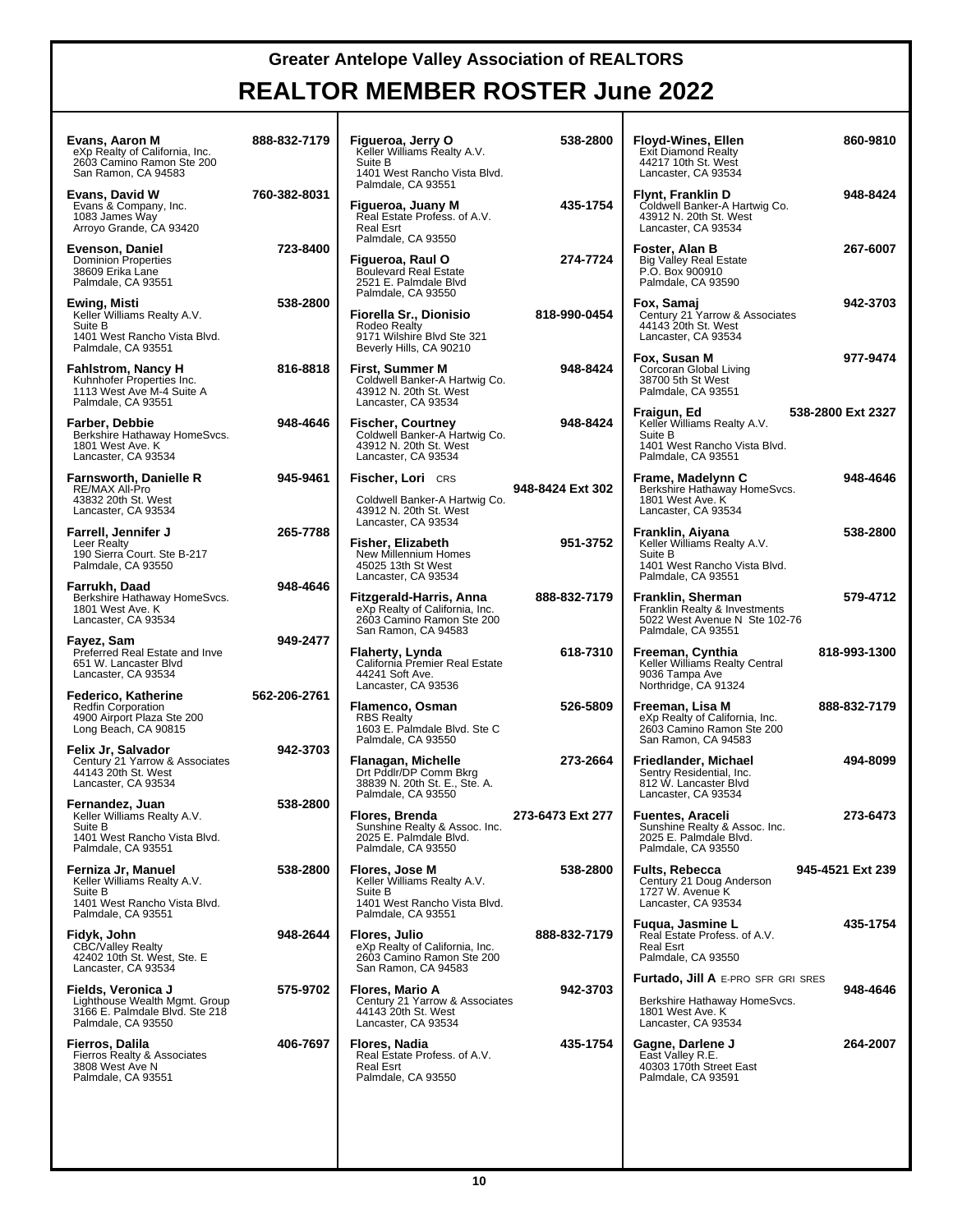| Evans, Aaron M<br>eXp Realty of California, Inc.<br>2603 Camino Ramon Ste 200<br>San Ramon, CA 94583                | 888-832-7179 | Figueroa, Jerry O<br>Keller Williams Realty A.V.<br>Suite B<br>1401 West Rancho Vista Blvd.                       | 538-2800         | <b>Floyd-Wines, Ellen</b><br>860-9810<br><b>Exit Diamond Realty</b><br>44217 10th St. West<br>Lancaster, CA 93534                |
|---------------------------------------------------------------------------------------------------------------------|--------------|-------------------------------------------------------------------------------------------------------------------|------------------|----------------------------------------------------------------------------------------------------------------------------------|
| Evans, David W<br>Evans & Company, Inc.<br>1083 James Way<br>Arroyo Grande, CA 93420                                | 760-382-8031 | Palmdale, CA 93551<br>Figueroa, Juany M<br>Real Estate Profess. of A.V.<br><b>Real Esrt</b><br>Palmdale, CA 93550 | 435-1754         | 948-8424<br>Flynt, Franklin D<br>Coldwell Banker-A Hartwig Co.<br>43912 N. 20th St. West<br>Lancaster, CA 93534                  |
| Evenson, Daniel<br><b>Dominion Properties</b><br>38609 Erika Lane<br>Palmdale, CA 93551                             | 723-8400     | Figueroa, Raul O<br><b>Boulevard Real Estate</b><br>2521 E. Palmdale Blvd<br>Palmdale, CA 93550                   | 274-7724         | Foster, Alan B<br>267-6007<br><b>Big Valley Real Estate</b><br>P.O. Box 900910<br>Palmdale, CA 93590                             |
| <b>Ewing, Misti</b><br>Keller Williams Realty A.V.<br>Suite B<br>1401 West Rancho Vista Blvd.<br>Palmdale, CA 93551 | 538-2800     | Fiorella Sr., Dionisio<br>Rodeo Realty<br>9171 Wilshire Blvd Ste 321<br>Beverly Hills, CA 90210                   | 818-990-0454     | Fox, Samaj<br>942-3703<br>Century 21 Yarrow & Associates<br>44143 20th St. West<br>Lancaster, CA 93534                           |
| <b>Fahlstrom, Nancy H</b><br>Kuhnhofer Properties Inc.<br>1113 West Ave M-4 Suite A<br>Palmdale, CA 93551           | 816-8818     | First, Summer M<br>Coldwell Banker-A Hartwig Co.<br>43912 N. 20th St. West<br>Lancaster, CA 93534                 | 948-8424         | Fox, Susan M<br>977-9474<br>Corcoran Global Living<br>38700 5th St West<br>Palmdale, CA 93551                                    |
| Farber, Debbie<br>Berkshire Hathaway HomeSvcs.<br>1801 West Ave. K<br>Lancaster, CA 93534                           | 948-4646     | <b>Fischer, Courtney</b><br>Coldwell Banker-A Hartwig Co.<br>43912 N. 20th St. West<br>Lancaster, CA 93534        | 948-8424         | 538-2800 Ext 2327<br>Fraigun, Ed<br>Keller Williams Realty A.V.<br>Suite B<br>1401 West Rancho Vista Blvd.<br>Palmdale, CA 93551 |
| <b>Farnsworth, Danielle R</b><br>RE/MAX All-Pro<br>43832 20th St. West<br>Lancaster, CA 93534                       | 945-9461     | <b>Fischer, Lori</b> CRS<br>Coldwell Banker-A Hartwig Co.<br>43912 N. 20th St. West                               | 948-8424 Ext 302 | 948-4646<br>Frame, Madelynn C<br>Berkshire Hathaway HomeSvcs.<br>1801 West Ave. K<br>Lancaster, CA 93534                         |
| Farrell, Jennifer J<br>Leer Realty<br>190 Sierra Court. Ste B-217<br>Palmdale, CA 93550                             | 265-7788     | Lancaster, CA 93534<br>Fisher, Elizabeth<br>New Millennium Homes<br>45025 13th St West<br>Lancaster, CA 93534     | 951-3752         | 538-2800<br>Franklin, Aiyana<br>Keller Williams Realty A.V.<br>Suite B<br>1401 West Rancho Vista Blvd.<br>Palmdale, CA 93551     |
| Farrukh, Daad<br>Berkshire Hathaway HomeSvcs.<br>1801 West Ave. K<br>Lancaster, CA 93534                            | 948-4646     | Fitzgerald-Harris, Anna<br>eXp Realty of California, Inc.<br>2603 Camino Ramon Ste 200<br>San Ramon, CA 94583     | 888-832-7179     | Franklin, Sherman<br>579-4712<br>Franklin Realty & Investments<br>5022 West Avenue N Ste 102-76<br>Palmdale, CA 93551            |
| Fayez, Sam<br>Preferred Real Estate and Inve<br>651 W. Lancaster Blvd<br>Lancaster, CA 93534                        | 949-2477     | Flaherty, Lynda<br>California Premier Real Estate<br>44241 Soft Ave.<br>Lancaster, CA 93536                       | 618-7310         | 818-993-1300<br>Freeman, Cynthia<br>Keller Williams Realty Central<br>9036 Tampa Ave<br>Northridge, CA 91324                     |
| Federico, Katherine<br><b>Redfin Corporation</b><br>4900 Airport Plaza Ste 200<br>Long Beach, CA 90815              | 562-206-2761 | Flamenco, Osman<br><b>RBS Realty</b><br>1603 E. Palmdale Blvd. Ste C<br>Palmdale, CA 93550                        | 526-5809         | Freeman, Lisa M<br>888-832-7179<br>eXp Realty of California, Inc.<br>2603 Camino Ramon Ste 200<br>San Ramon, CA 94583            |
| Felix Jr, Salvador<br>Century 21 Yarrow & Associates<br>44143 20th St. West<br>Lancaster, CA 93534                  | 942-3703     | Flanagan, Michelle<br>Drt Pddlr/DP Comm Bkrg<br>38839 N. 20th St. E., Ste. A.<br>Palmdale, CA 93550               | 273-2664         | 494-8099<br>Friedlander, Michael<br>Sentry Residential, Inc.<br>812 W. Lancaster Blvd<br>Lancaster, CA 93534                     |
| Fernandez, Juan<br>Keller Williams Realty A.V.<br>Suite B<br>1401 West Rancho Vista Blvd.<br>Palmdale, CA 93551     | 538-2800     | Flores, Brenda<br>Sunshine Realty & Assoc. Inc.<br>2025 E. Palmdale Blvd.<br>Palmdale, CA 93550                   | 273-6473 Ext 277 | 273-6473<br><b>Fuentes, Araceli</b><br>Sunshine Realty & Assoc. Inc.<br>2025 E. Palmdale Blvd.<br>Palmdale, CA 93550             |
| Ferniza Jr, Manuel<br>Keller Williams Realty A.V.<br>Suite B<br>1401 West Rancho Vista Blvd.<br>Palmdale, CA 93551  | 538-2800     | Flores, Jose M<br>Keller Williams Realty A.V.<br>Suite B<br>1401 West Rancho Vista Blvd.<br>Palmdale, CA 93551    | 538-2800         | <b>Fults, Rebecca</b><br>945-4521 Ext 239<br>Century 21 Doug Anderson<br>1727 W. Avenue K<br>Lancaster, CA 93534                 |
| Fidyk, John<br><b>CBC/Valley Realty</b><br>42402 10th St. West. Ste. E<br>Lancaster, CA 93534                       | 948-2644     | Flores, Julio<br>eXp Realty of California, Inc.<br>2603 Camino Ramon Ste 200<br>San Ramon, CA 94583               | 888-832-7179     | Fugua, Jasmine L<br>435-1754<br>Real Estate Profess. of A.V.<br><b>Real Esrt</b><br>Palmdale, CA 93550                           |
| Fields. Veronica J<br>Lighthouse Wealth Mgmt. Group<br>3166 E. Palmdale Blvd. Ste 218<br>Palmdale, CA 93550         | 575-9702     | Flores, Mario A<br>Century 21 Yarrow & Associates<br>44143 20th St. West<br>Lancaster, CA 93534                   | 942-3703         | Furtado, Jill A E-PRO SFR GRI SRES<br>948-4646<br>Berkshire Hathaway HomeSvcs.<br>1801 West Ave. K<br>Lancaster, CA 93534        |
| Fierros, Dalila<br>Fierros Realty & Associates<br>3808 West Ave N<br>Palmdale, CA 93551                             | 406-7697     | Flores, Nadia<br>Real Estate Profess. of A.V.<br>Real Esrt<br>Palmdale, CA 93550                                  | 435-1754         | Gagne, Darlene J<br>264-2007<br>East Valley R.E.<br>40303 170th Street East<br>Palmdale, CA 93591                                |
|                                                                                                                     |              |                                                                                                                   |                  |                                                                                                                                  |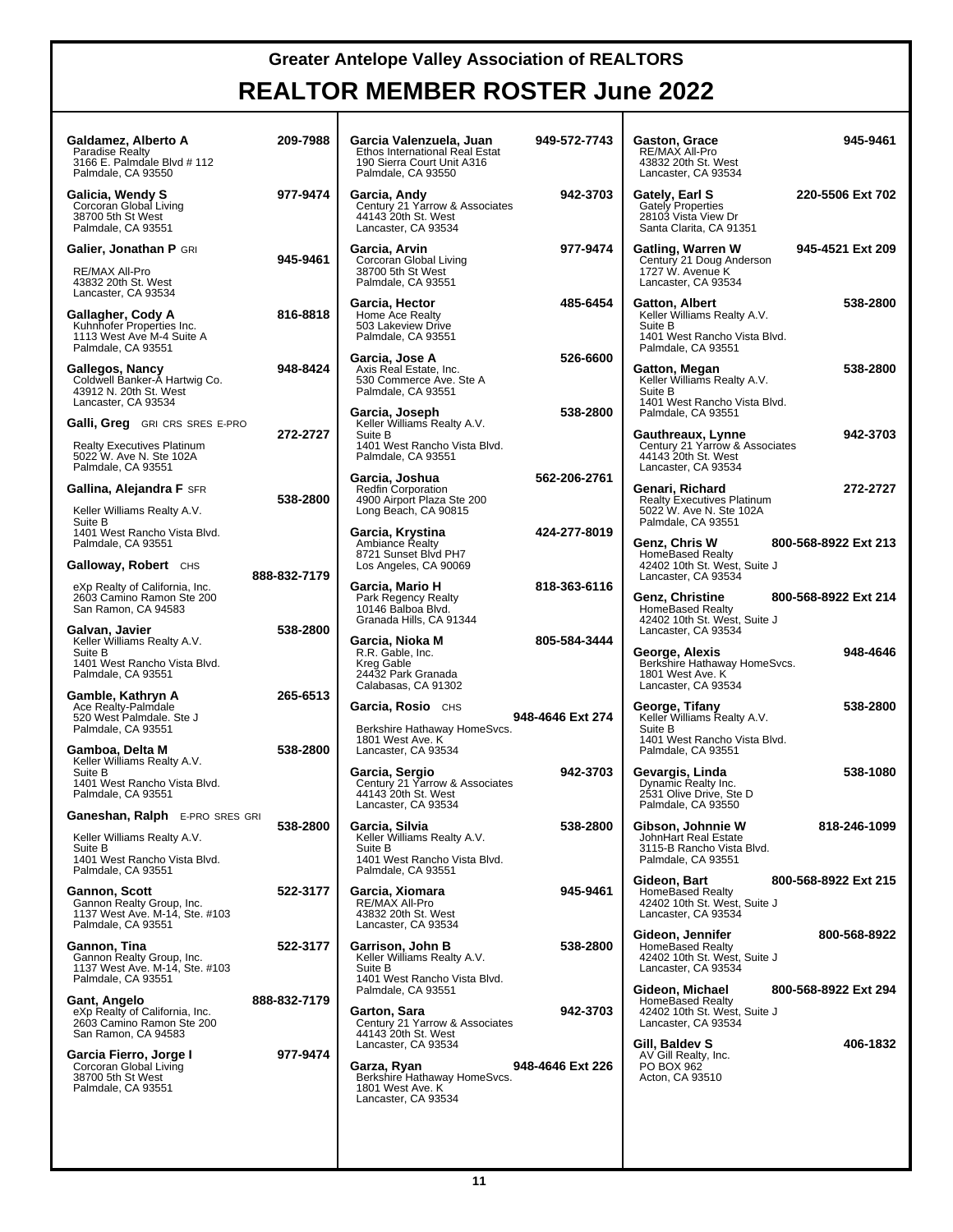| Galdamez, Alberto A<br>Paradise Realty<br>3166 E. Palmdale Blvd # 112<br>Palmdale, CA 93550                                           | 209-7988     | Garcia Valenzuela, Juan<br>Ethos International Real Estat<br>190 Sierra Court Unit A316<br>Palmdale, CA 93550  | 949-572-7743     | 945-9461<br>Gaston, Grace<br>RE/MAX All-Pro<br>43832 20th St. West<br>Lancaster, CA 93534                                    |
|---------------------------------------------------------------------------------------------------------------------------------------|--------------|----------------------------------------------------------------------------------------------------------------|------------------|------------------------------------------------------------------------------------------------------------------------------|
| Galicia, Wendy S<br>Corcoran Global Living<br>38700 5th St West<br>Palmdale, CA 93551                                                 | 977-9474     | Garcia, Andy<br>Century 21 Yarrow & Associates<br>44143 20th St. West<br>Lancaster, CA 93534                   | 942-3703         | 220-5506 Ext 702<br>Gately, Earl S<br><b>Gately Properties</b><br>28103 Vista View Dr<br>Santa Clarita, CA 91351             |
| Galier, Jonathan P GRI<br>RE/MAX All-Pro<br>43832 20th St. West<br>Lancaster, CA 93534                                                | 945-9461     | Garcia, Arvin<br>Corcoran Global Living<br>38700 5th St West<br>Palmdale, CA 93551                             | 977-9474         | Gatling, Warren W<br>Century 21 Doug Anderson<br>945-4521 Ext 209<br>1727 W. Avenue K<br>Lancaster, CA 93534                 |
| Gallagher, Cody A<br>Kuhnhofer Properties Inc.<br>1113 West Ave M-4 Suite A<br>Palmdale, CA 93551                                     | 816-8818     | Garcia, Hector<br>Home Ace Realty<br>503 Lakeview Drive<br>Palmdale, CA 93551                                  | 485-6454         | Gatton, Albert<br>538-2800<br>Keller Williams Realty A.V.<br>Suite B<br>1401 West Rancho Vista Blvd.<br>Palmdale, CA 93551   |
| Gallegos, Nancy<br>Coldwell Banker-A Hartwig Co.<br>43912 N. 20th St. West<br>Lancaster, CA 93534                                     | 948-8424     | Garcia, Jose A<br>Axis Real Estate, Inc.<br>530 Commerce Ave. Ste A<br>Palmdale, CA 93551                      | 526-6600         | 538-2800<br>Gatton, Megan<br>Keller Williams Realty A.V.<br>Suite B<br>1401 West Rancho Vista Blvd.                          |
| <b>Galli, Greg</b> GRI CRS SRES E-PRO<br><b>Realty Executives Platinum</b>                                                            | 272-2727     | Garcia, Joseph<br>Keller Williams Realty A.V.<br>Suite B<br>1401 West Rancho Vista Blvd.                       | 538-2800         | Palmdale, CA 93551<br>942-3703<br>Gauthreaux, Lynne<br>Century 21 Yarrow & Associates                                        |
| 5022 W. Ave N. Ste 102A<br>Palmdale, CA 93551                                                                                         |              | Palmdale, CA 93551<br>Garcia, Joshua                                                                           | 562-206-2761     | 44143 20th St. West<br>Lancaster, CA 93534                                                                                   |
| Gallina, Alejandra F SFR<br>Keller Williams Realty A.V.                                                                               | 538-2800     | <b>Redfin Corporation</b><br>4900 Airport Plaza Ste 200<br>Long Beach, CA 90815                                |                  | 272-2727<br>Genari, Richard<br><b>Realty Executives Platinum</b><br>5022 W. Ave N. Ste 102A                                  |
| Suite B<br>1401 West Rancho Vista Blvd.<br>Palmdale, CA 93551                                                                         |              | Garcia, Krystina<br><b>Ambiance Realty</b>                                                                     | 424-277-8019     | Palmdale, CA 93551<br>Genz, Chris W<br>800-568-8922 Ext 213                                                                  |
| Galloway, Robert CHS                                                                                                                  | 888-832-7179 | 8721 Sunset Blvd PH7<br>Los Angeles, CA 90069                                                                  |                  | <b>HomeBased Realty</b><br>42402 10th St. West, Suite J<br>Lancaster, CA 93534                                               |
| eXp Realty of California, Inc.<br>2603 Camino Ramon Ste 200<br>San Ramon, CA 94583                                                    |              | Garcia, Mario H<br>Park Regency Realty<br>10146 Balboa Blvd.<br>Granada Hills, CA 91344                        | 818-363-6116     | 800-568-8922 Ext 214<br>Genz, Christine<br><b>HomeBased Realty</b><br>42402 10th St. West, Suite J                           |
| Galvan, Javier<br>Keller Williams Realty A.V.<br>Suite B<br>1401 West Rancho Vista Blvd.<br>Palmdale, CA 93551                        | 538-2800     | Garcia, Nioka M<br>R.R. Gable, Inc.<br>Kreg Gable<br>24432 Park Granada<br>Calabasas, CA 91302                 | 805-584-3444     | Lancaster, CA 93534<br>948-4646<br>George, Alexis<br>Berkshire Hathaway HomeSvcs.<br>1801 West Ave. K<br>Lancaster, CA 93534 |
| Gamble, Kathryn A<br>Ace Realty-Palmdale<br>520 West Palmdale. Ste J<br>Palmdale, CA 93551                                            | 265-6513     | Garcia, Rosio CHS<br>Berkshire Hathaway HomeSvcs.                                                              | 948-4646 Ext 274 | 538-2800<br>George, Tifany<br>Keller Williams Realty A.V.<br>Suite B                                                         |
| Gamboa, Delta M<br>Keller Williams Realty A.V.<br>Suite B                                                                             | 538-2800     | 1801 West Ave. K<br>Lancaster, CA 93534<br>Garcia, Sergio                                                      | 942-3703         | 1401 West Rancho Vista Blvd.<br>Palmdale, CA 93551<br>538-1080<br>Gevargis, Linda                                            |
| 1401 West Rancho Vista Blvd.<br>Palmdale, CA 93551                                                                                    |              | Century 21 Yarrow & Associates<br>44143 20th St. West<br>Lancaster, CA 93534                                   |                  | Dynamic Realty Inc.<br>2531 Olive Drive, Ste D<br>Palmdale, CA 93550                                                         |
| <b>Ganeshan, Ralph</b> E-PRO SRES GRI<br>Keller Williams Realty A.V.<br>Suite B<br>1401 West Rancho Vista Blvd.<br>Palmdale, CA 93551 | 538-2800     | Garcia, Silvia<br>Keller Williams Realty A.V.<br>Suite B<br>1401 West Rancho Vista Blvd.<br>Palmdale, CA 93551 | 538-2800         | Gibson, Johnnie W<br>818-246-1099<br>JohnHart Real Estate<br>3115-B Rancho Vista Blvd.<br>Palmdale, CA 93551                 |
| Gannon, Scott<br>Gannon Realty Group, Inc.<br>1137 West Ave. M-14, Ste. #103<br>Palmdale, CA 93551                                    | 522-3177     | Garcia, Xiomara<br>RE/MAX All-Pro<br>43832 20th St. West<br>Lancaster, CA 93534                                | 945-9461         | Gideon, Bart<br>800-568-8922 Ext 215<br><b>HomeBased Realty</b><br>42402 10th St. West, Suite J<br>Lancaster, CA 93534       |
| Gannon, Tina<br>Gannon Realty Group, Inc.<br>1137 West Ave. M-14, Ste. #103<br>Palmdale, CA 93551                                     | 522-3177     | Garrison, John B<br>Keller Williams Realty A.V.<br>Suite B<br>1401 West Rancho Vista Blvd.                     | 538-2800         | Gideon, Jennifer<br>800-568-8922<br><b>HomeBased Realty</b><br>42402 10th St. West, Suite J<br>Lancaster, CA 93534           |
| Gant, Angelo<br>eXp Realty of California, Inc.<br>2603 Camino Ramon Ste 200<br>San Ramon, CA 94583                                    | 888-832-7179 | Palmdale, CA 93551<br>Garton, Sara<br>Century 21 Yarrow & Associates<br>44143 20th St. West                    | 942-3703         | Gideon, Michael<br>800-568-8922 Ext 294<br><b>HomeBased Realty</b><br>42402 10th St. West, Suite J<br>Lancaster, CA 93534    |
| Garcia Fierro, Jorge I<br>Corcoran Global Living<br>38700 5th St West<br>Palmdale, CA 93551                                           | 977-9474     | Lancaster, CA 93534<br>Garza, Ryan<br>Berkshire Hathaway HomeSvcs.<br>1801 West Ave. K<br>Lancaster, CA 93534  | 948-4646 Ext 226 | 406-1832<br>Gill, Baldev S<br>AV Gill Realty, Inc.<br>PO BOX 962<br>Acton, CA 93510                                          |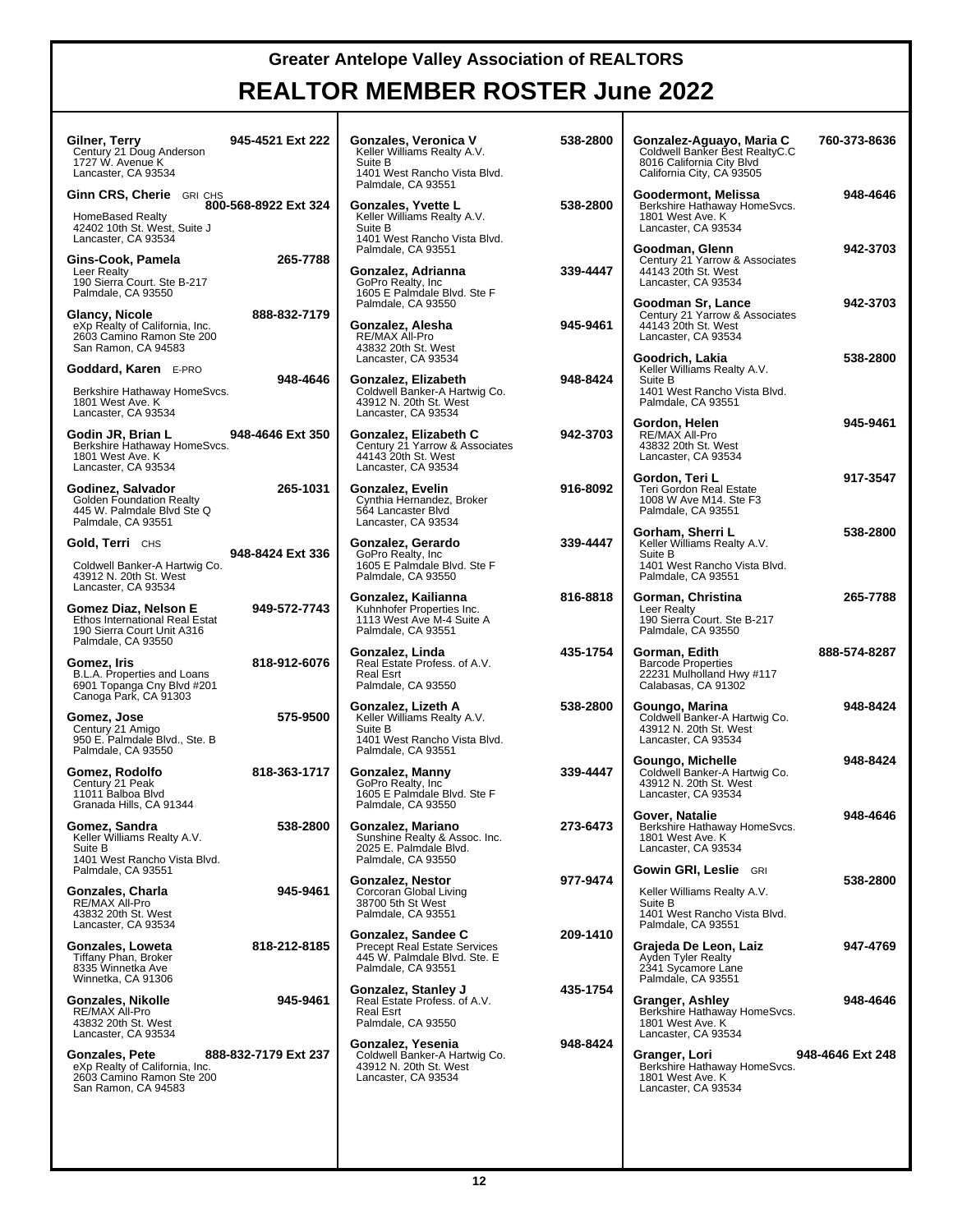| Gilner, Terry<br>Century 21 Doug Anderson<br>1727 W. Avenue K<br>Lancaster, CA 93534                                               | 945-4521 Ext 222     | Gonzales, Veronica V<br>Keller Williams Realty A.V.<br>Suite B<br>1401 West Rancho Vista Blvd.<br>Palmdale, CA 93551         | 538-2800 | Gonzalez-Aguayo, Maria C<br>Coldwell Banker Best RealtyC.C<br>8016 California City Blvd<br>California City, CA 93505 | 760-373-8636     |
|------------------------------------------------------------------------------------------------------------------------------------|----------------------|------------------------------------------------------------------------------------------------------------------------------|----------|----------------------------------------------------------------------------------------------------------------------|------------------|
| Ginn CRS, Cherie GRI CHS<br><b>HomeBased Realty</b><br>42402 10th St. West, Suite J<br>Lancaster, CA 93534                         | 800-568-8922 Ext 324 | Gonzales, Yvette L<br>Keller Williams Realty A.V.<br>Suite B<br>1401 West Rancho Vista Blvd.                                 | 538-2800 | Goodermont, Melissa<br>Berkshire Hathaway HomeSvcs.<br>1801 West Ave. K<br>Lancaster, CA 93534                       | 948-4646         |
| Gins-Cook, Pamela<br>Leer Realty<br>190 Sierra Court. Ste B-217<br>Palmdale, CA 93550                                              | 265-7788             | Palmdale, CA 93551<br>Gonzalez, Adrianna<br>GoPro Realty, Inc.<br>1605 E Palmdale Blvd. Ste F                                | 339-4447 | Goodman, Glenn<br>Century 21 Yarrow & Associates<br>44143 20th St. West<br>Lancaster, CA 93534                       | 942-3703         |
| Glancy, Nicole<br>eXp Realty of California, Inc.<br>2603 Camino Ramon Ste 200<br>San Ramon, CA 94583                               | 888-832-7179         | Palmdale, CA 93550<br>Gonzalez, Alesha<br>RE/MAX All-Pro<br>43832 20th St. West                                              | 945-9461 | Goodman Sr, Lance<br>Century 21 Yarrow & Associates<br>44143 20th St. West<br>Lancaster, CA 93534                    | 942-3703         |
| Goddard, Karen E-PRO<br>Berkshire Hathaway HomeSvcs.<br>1801 West Ave. K                                                           | 948-4646             | Lancaster, CA 93534<br>Gonzalez, Elizabeth<br>Coldwell Banker-A Hartwig Co.<br>43912 N. 20th St. West                        | 948-8424 | Goodrich, Lakia<br>Keller Williams Realty A.V.<br>Suite B<br>1401 West Rancho Vista Blvd.<br>Palmdale, CA 93551      | 538-2800         |
| Lancaster, CA 93534<br>Godin JR, Brian L<br>Berkshire Hathaway HomeSvcs.<br>1801 West Ave. K<br>Lancaster, CA 93534                | 948-4646 Ext 350     | Lancaster, CA 93534<br>Gonzalez, Elizabeth C<br>Century 21 Yarrow & Associates<br>44143 20th St. West<br>Lancaster, CA 93534 | 942-3703 | Gordon, Helen<br>RE/MAX All-Pro<br>43832 20th St. West<br>Lancaster, CA 93534                                        | 945-9461         |
| Godinez, Salvador<br><b>Golden Foundation Realty</b><br>445 W. Palmdale Blvd Ste Q<br>Palmdale, CA 93551                           | 265-1031             | Gonzalez, Evelin<br>Cynthia Hernandez, Broker<br>564 Lancaster Blvd<br>Lancaster, CA 93534                                   | 916-8092 | Gordon, Teri L<br>Teri Gordon Real Estate<br>1008 W Ave M14, Ste F3<br>Palmdale, CA 93551                            | 917-3547         |
| Gold, Terri CHS<br>Coldwell Banker-A Hartwig Co.<br>43912 N. 20th St. West                                                         | 948-8424 Ext 336     | Gonzalez, Gerardo<br>GoPro Realty, Inc.<br>1605 E Palmdale Blvd. Ste F<br>Palmdale, CA 93550                                 | 339-4447 | Gorham, Sherri L<br>Keller Williams Realty A.V.<br>Suite B<br>1401 West Rancho Vista Blvd.<br>Palmdale, CA 93551     | 538-2800         |
| Lancaster, CA 93534<br>Gomez Diaz, Nelson E<br>Ethos International Real Estat<br>190 Sierra Court Unit A316                        | 949-572-7743         | Gonzalez, Kailianna<br>Kuhnhofer Properties Inc.<br>1113 West Ave M-4 Suite A<br>Palmdale, CA 93551                          | 816-8818 | Gorman, Christina<br>Leer Realty<br>190 Sierra Court. Ste B-217<br>Palmdale, CA 93550                                | 265-7788         |
| Palmdale, CA 93550<br>Gomez, Iris<br>B.L.A. Properties and Loans<br>6901 Topanga Cny Blvd #201<br>Canoga Park, CA 91303            | 818-912-6076         | Gonzalez, Linda<br>Real Estate Profess. of A.V.<br>Real Esrt<br>Palmdale, CA 93550                                           | 435-1754 | Gorman, Edith<br><b>Barcode Properties</b><br>22231 Mulholland Hwy #117<br>Calabasas, CA 91302                       | 888-574-8287     |
| Gomez, Jose<br>Century 21 Amigo<br>950 E. Palmdale Blvd., Ste. B<br>Palmdale, CA 93550                                             | 575-9500             | Gonzalez, Lizeth A<br>Keller Williams Realty A.V.<br>Suite B<br>1401 West Rancho Vista Blvd.<br>Palmdale, CA 93551           | 538-2800 | Goungo, Marina<br>Coldwell Banker-A Hartwig Co.<br>43912 N. 20th St. West<br>Lancaster, CA 93534                     | 948-8424         |
| Gomez, Rodolfo<br>Century 21 Peak<br>11011 Balboa Blvd<br>Granada Hills, CA 91344                                                  | 818-363-1717         | Gonzalez, Manny<br>GoPro Realty, Inc.<br>1605 E Palmdale Blvd. Ste F<br>Palmdale, CA 93550                                   | 339-4447 | Goungo, Michelle<br>Coldwell Banker-A Hartwig Co.<br>43912 N. 20th St. West<br>Lancaster, CA 93534                   | 948-8424         |
| Gomez, Sandra<br>Keller Williams Realty A.V.<br>Suite B<br>1401 West Rancho Vista Blvd.                                            | 538-2800             | Gonzalez, Mariano<br>Sunshine Realty & Assoc. Inc.<br>2025 E. Palmdale Blvd.<br>Palmdale, CA 93550                           | 273-6473 | Gover, Natalie<br>Berkshire Hathaway HomeSvcs.<br>1801 West Ave. K<br>Lancaster. CA 93534                            | 948-4646         |
| Palmdale, CA 93551<br>Gonzales, Charla<br>RE/MAX All-Pro<br>43832 20th St. West                                                    | 945-9461             | <b>Gonzalez. Nestor</b><br>Corcoran Global Living<br>38700 5th St West<br>Palmdale, CA 93551                                 | 977-9474 | Gowin GRI, Leslie GRI<br>Keller Williams Realty A.V.<br>Suite B<br>1401 West Rancho Vista Blvd.                      | 538-2800         |
| Lancaster, CA 93534<br>Gonzales, Loweta<br>Tiffany Phan. Broker<br>8335 Winnetka Ave<br>Winnetka, CA 91306                         | 818-212-8185         | Gonzalez, Sandee C<br><b>Precept Real Estate Services</b><br>445 W. Palmdale Blvd. Ste. E<br>Palmdale, CA 93551              | 209-1410 | Palmdale, CA 93551<br>Grajeda De Leon, Laiz<br>Ayden Tyler Realty<br>2341 Sycamore Lane<br>Palmdale, CA 93551        | 947-4769         |
| Gonzales, Nikolle<br>RE/MAX All-Pro<br>43832 20th St. West                                                                         | 945-9461             | Gonzalez, Stanley J<br>Real Estate Profess. of A.V.<br>Real Esrt<br>Palmdale, CA 93550                                       | 435-1754 | Granger, Ashley<br>Berkshire Hathaway HomeSvcs.<br>1801 West Ave. K<br>Lancaster, CA 93534                           | 948-4646         |
|                                                                                                                                    |                      |                                                                                                                              |          |                                                                                                                      |                  |
| Lancaster, CA 93534<br><b>Gonzales, Pete</b><br>eXp Realty of California, Inc.<br>2603 Camino Ramon Ste 200<br>San Ramon, CA 94583 | 888-832-7179 Ext 237 | Gonzalez, Yesenia<br>Coldwell Banker-A Hartwig Co.<br>43912 N. 20th St. West<br>Lancaster, CA 93534                          | 948-8424 | Granger, Lori<br>Berkshire Hathaway HomeSvcs.<br>1801 West Ave. K<br>Lancaster, CA 93534                             | 948-4646 Ext 248 |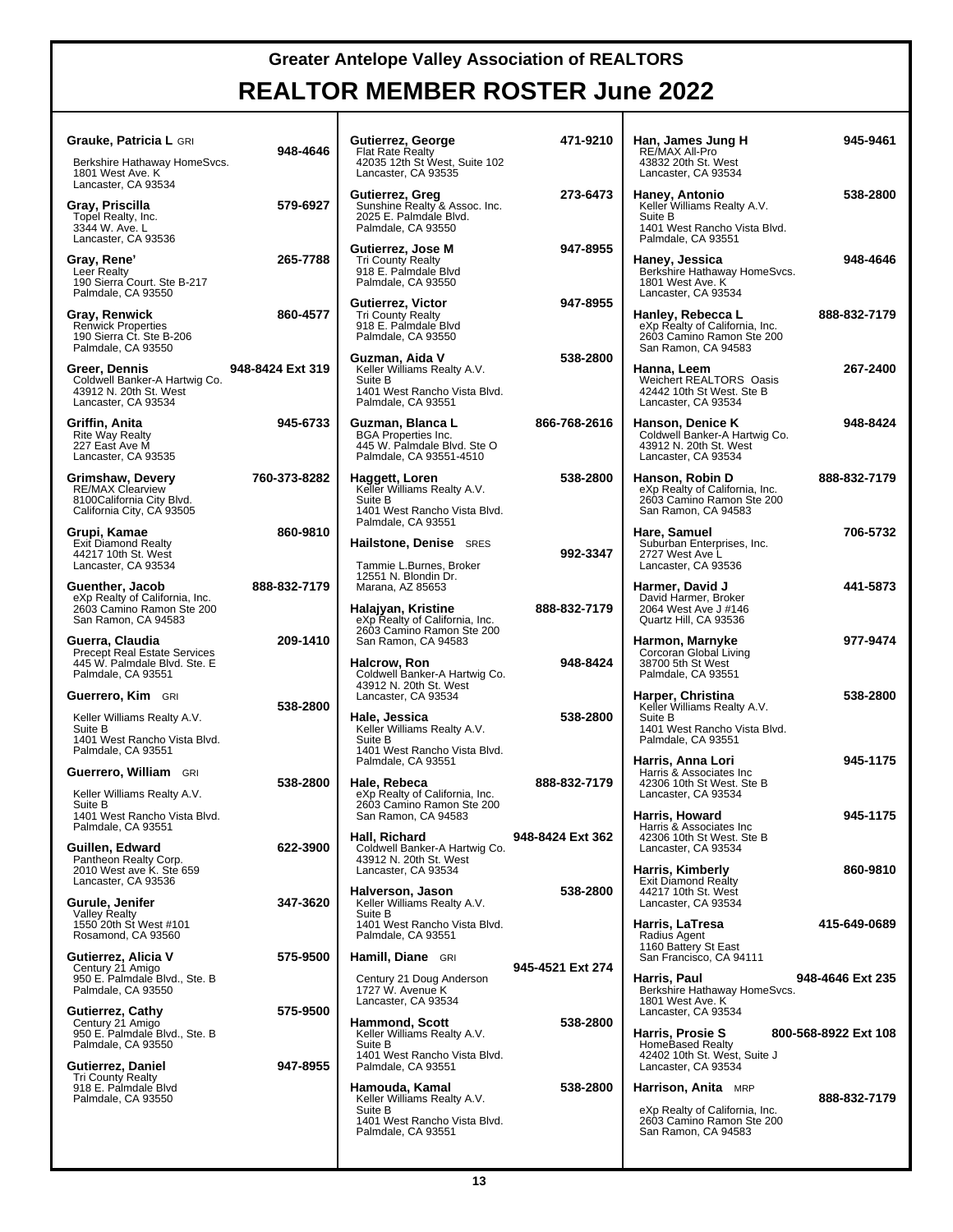#### **REALTOR MEMBER ROSTER June 2022**

| <b>Grauke, Patricia L GRI</b>                                                                                |                  |
|--------------------------------------------------------------------------------------------------------------|------------------|
| Berkshire Hathaway HomeSvcs.<br>1801 West Ave. K<br>Lancaster, CA 93534                                      | 948-4646         |
| Gray, Priscilla<br>Topel Realty, Inc.<br>3344 W. Ave. L<br>Lancaster, CA 93536                               | 579-6927         |
| <b>Gray, Rene'</b><br>Leer Realty<br>190 Sierra Court. Ste B-217<br>Palmdale, CA 93550                       | 265-7788         |
| Gray, Renwick<br><b>Renwick Properties</b><br>190 Sierra Ct. Ste B-206<br>Palmdale, CA 93550                 | 860-4577         |
| Greer, Dennis<br>Coldwell Banker-A Hartwig Co.<br>43912 N. 20th St. West<br>Lancaster, CA 93534              | 948-8424 Ext 319 |
| Griffin, Anita<br>Rite Way Realty<br>227 East Ave M<br>Lancaster, CA 93535                                   | 945-6733         |
| Grimshaw, Devery<br><b>RE/MAX Clearview</b><br>8100California City Blvd.<br>California City, CA 93505        | 760-373-8282     |
| Grupi, Kamae<br>Exit Diamond Realty<br>44217 10th St. West<br>Lancaster, CA 93534                            | 860-9810         |
| Guenther, Jacob<br>eXp Realty of California, Inc.<br>2603 Camino Ramon Ste 200<br>San Ramon, CA 94583        | 888-832-7179     |
| <b>Guerra, Claudia</b><br>Precept Real Estate Services<br>445 W. Palmdale Blvd. Ste. E<br>Palmdale, CA 93551 | 209-1410         |
| Guerrero, Kim GRI                                                                                            |                  |
| Keller Williams Realty A.V.<br>Suite B<br>1401 West Rancho Vista Blvd.<br>Palmdale, CA 93551                 | 538-2800         |
| Guerrero, William GRI                                                                                        |                  |
| Keller Williams Realty A.V.<br>Suite B<br>1401 West Rancho Vista Blvd.<br>Palmdale, CA 93551                 | 538-2800         |
| Guillen, Edward<br>Pantheon Realty Corp.<br>2010 West ave K. Ste 659<br>Lancaster, CA 93536                  | 622-3900         |
| Gurule, Jenifer<br><b>Valley Realty</b><br>1550 20th St West #101<br>Rosamond, CA 93560                      | 347-3620         |
| Gutierrez, Alicia V<br>Century 21 Amigo<br>950 E. Palmdale Blvd., Ste. B<br>Palmdale, CA 93550               | 575-9500         |
| Gutierrez, Cathy<br>Century 21 Amigo<br>950 E. Palmdale Blvd., Ste. B<br>Palmdale, CA 93550                  | 575-9500         |
| Gutierrez, Daniel<br><b>Tri County Realty</b><br>918 E. Palmdale Blvd<br>Palmdale, CA 93550                  | 947-8955         |
|                                                                                                              |                  |

| -4646          | Gutierrez, George<br><b>Flat Rate Realty</b><br>42035 12th St West, Suite 102<br>Lancaster, CA 93535                                      | 471-9210         | Han, James Jung H<br>RE/MAX All-Pro<br>43832 20th St. West<br>Lancaster, CA 93534                                                       | 945-9461             |
|----------------|-------------------------------------------------------------------------------------------------------------------------------------------|------------------|-----------------------------------------------------------------------------------------------------------------------------------------|----------------------|
| -6927          | Gutierrez, Greg<br>Sunshine Realty & Assoc. Inc.<br>2025 E. Palmdale Blvd.<br>Palmdale, CA 93550                                          | 273-6473         | Haney, Antonio<br>Keller Williams Realty A.V.<br>Suite B<br>1401 West Rancho Vista Blvd.                                                | 538-2800             |
| -7788          | Gutierrez, Jose M<br><b>Tri County Realty</b><br>918 E. Palmdale Blvd<br>Palmdale, CA 93550                                               | 947-8955         | Palmdale, CA 93551<br>Haney, Jessica<br>Berkshire Hathaway HomeSvcs.<br>1801 West Ave. K<br>Lancaster, CA 93534                         | 948-4646             |
| -4577          | Gutierrez, Victor<br><b>Tri County Realty</b><br>918 E. Palmdale Blvd<br>Palmdale, CA 93550                                               | 947-8955         | Hanley, Rebecca L<br>eXp Realty of California, Inc.<br>2603 Camino Ramon Ste 200<br>San Ramon, CA 94583                                 | 888-832-7179         |
| rt 319         | Guzman, Aida V<br>Keller Williams Realty A.V.<br>Suite B<br>1401 West Rancho Vista Blvd.<br>Palmdale, CA 93551                            | 538-2800         | Hanna, Leem<br>Weichert REALTORS® Oasis<br>42442 10th St West. Ste B<br>Lancaster, CA 93534                                             | 267-2400             |
| -6733          | Guzman, Blanca L<br><b>BGA Properties Inc.</b><br>445 W. Palmdale Blvd. Ste O<br>Palmdale, CA 93551-4510                                  | 866-768-2616     | Hanson, Denice K<br>Coldwell Banker-A Hartwig Co.<br>43912 N. 20th St. West<br>Lancaster, CA 93534                                      | 948-8424             |
| -8282          | Haggett, Loren<br>Keller Williams Realty A.V.<br>Suite B<br>1401 West Rancho Vista Blvd.<br>Palmdale, CA 93551                            | 538-2800         | Hanson, Robin D<br>eXp Realty of California, Inc.<br>2603 Camino Ramon Ste 200<br>San Ramon, CA 94583                                   | 888-832-7179         |
| -9810          | Hailstone, Denise SRES<br>Tammie L.Burnes, Broker                                                                                         | 992-3347         | Hare, Samuel<br>Suburban Enterprises, Inc.<br>2727 West Ave L<br>Lancaster, CA 93536                                                    | 706-5732             |
| -7179          | 12551 N. Blondin Dr.<br>Marana, AZ 85653<br>Halajyan, Kristine<br>eXp Realty of California, Inc.                                          | 888-832-7179     | Harmer, David J<br>David Harmer, Broker<br>2064 West Ave J #146<br>Quartz Hill, CA 93536                                                | 441-5873             |
| -1410          | 2603 Camino Ramon Ste 200<br>San Ramon, CA 94583<br><b>Halcrow, Ron</b>                                                                   | 948-8424         | Harmon, Marnyke<br>Corcoran Global Living<br>38700 5th St West                                                                          | 977-9474             |
| -2800          | Coldwell Banker-A Hartwig Co.<br>43912 N. 20th St. West<br>Lancaster, CA 93534<br>Hale, Jessica<br>Keller Williams Realty A.V.<br>Suite B | 538-2800         | Palmdale, CA 93551<br>Harper, Christina<br>Keller Williams Realty A.V.<br>Suite B<br>1401 West Rancho Vista Blvd.<br>Palmdale, CA 93551 | 538-2800             |
| -2800          | 1401 West Rancho Vista Blvd.<br>Palmdale, CA 93551<br>Hale, Rebeca<br>eXp Realty of California, Inc.                                      | 888-832-7179     | Harris, Anna Lori<br>Harris & Associates Inc<br>42306 10th St West. Ste B<br>Lancaster, CA 93534                                        | 945-1175             |
| -3900          | 2603 Camino Ramon Ste 200<br>San Ramon, CA 94583<br>Hall, Richard<br>Coldwell Banker-A Hartwig Co.                                        | 948-8424 Ext 362 | Harris, Howard<br>Harris & Associates Inc<br>42306 10th St West. Ste B<br>Lancaster, CA 93534                                           | 945-1175             |
| -3620          | 43912 N. 20th St. West<br>Lancaster, CA 93534<br>Halverson, Jason<br>Keller Williams Realty A.V.                                          | 538-2800         | Harris, Kimberly<br>Exit Diamond Realty<br>44217 10th St. West<br>Lancaster, CA 93534                                                   | 860-9810             |
| -9500          | Suite B<br>1401 West Rancho Vista Blvd.<br>Palmdale, CA 93551<br>Hamill, Diane GRI                                                        |                  | Harris, LaTresa<br>Radius Agent<br>1160 Battery St East<br>San Francisco, CA 94111                                                      | 415-649-0689         |
|                | Century 21 Doug Anderson<br>1727 W. Avenue K<br>Lancaster, CA 93534                                                                       | 945-4521 Ext 274 | Harris, Paul<br>Berkshire Hathaway HomeSvcs.<br>1801 West Ave. K                                                                        | 948-4646 Ext 235     |
| -9500<br>-8955 | <b>Hammond, Scott</b><br>Keller Williams Realty A.V.<br>Suite B<br>1401 West Rancho Vista Blvd.<br>Palmdale, CA 93551                     | 538-2800         | Lancaster, CA 93534<br>Harris, Prosie S<br><b>HomeBased Realty</b><br>42402 10th St. West, Suite J<br>Lancaster, CA 93534               | 800-568-8922 Ext 108 |
|                | Hamouda, Kamal<br>Keller Williams Realty A.V.<br>Suite B<br>1401 West Rancho Vista Blvd.<br>Palmdale, CA 93551                            | 538-2800         | <b>Harrison, Anita</b> MRP<br>eXp Realty of California, Inc.<br>2603 Camino Ramon Ste 200<br>San Ramon, CA 94583                        | 888-832-7179         |

**13**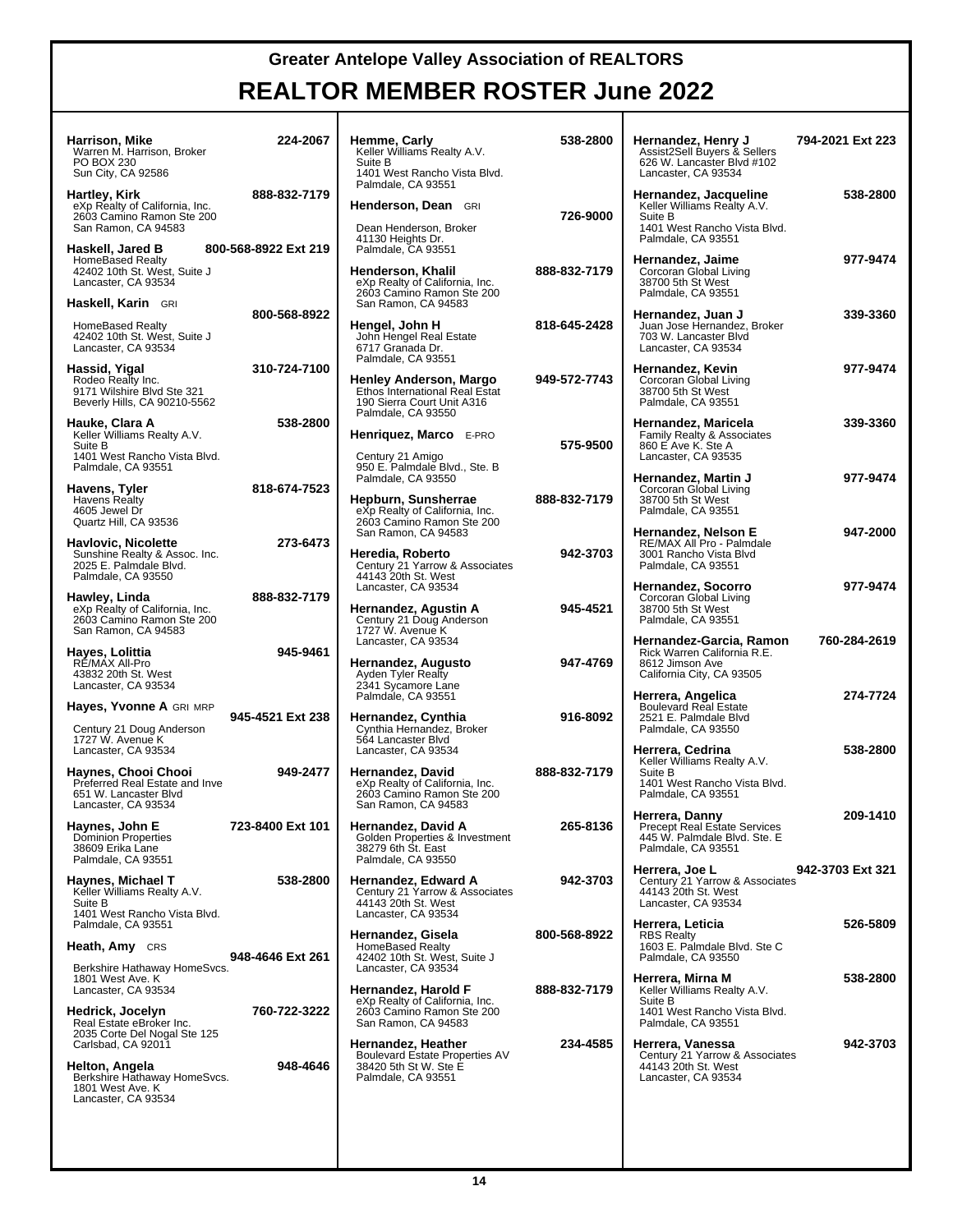| Harrison, Mike<br>Warren M. Harrison, Broker<br>PO BOX 230<br>Sun City, CA 92586                      | 224-2067             | Hemme, Carly<br>Keller Williams Realty A.V.<br>Suite B<br>1401 West Rancho Vista Blvd.                                                    | 538-2800     | Hernandez, Henry J<br>Assist2Sell Buyers & Sellers<br>626 W. Lancaster Blvd #102<br>Lancaster, CA 93534               | 794-2021 Ext 223 |
|-------------------------------------------------------------------------------------------------------|----------------------|-------------------------------------------------------------------------------------------------------------------------------------------|--------------|-----------------------------------------------------------------------------------------------------------------------|------------------|
| Hartley, Kirk<br>eXp Realty of California, Inc.<br>2603 Camino Ramon Ste 200<br>San Ramon, CA 94583   | 888-832-7179         | Palmdale, CA 93551<br>Henderson, Dean GRI<br>Dean Henderson, Broker<br>41130 Heights Dr.                                                  | 726-9000     | Hernandez, Jacqueline<br>Keller Williams Realty A.V.<br>Suite B<br>1401 West Rancho Vista Blvd.<br>Palmdale, CA 93551 | 538-2800         |
| Haskell, Jared B<br><b>HomeBased Realty</b><br>42402 10th St. West, Suite J<br>Lancaster, CA 93534    | 800-568-8922 Ext 219 | Palmdale, CA 93551<br>Henderson, Khalil<br>eXp Realty of California, Inc.<br>2603 Camino Ramon Ste 200                                    | 888-832-7179 | Hernandez, Jaime<br>Corcoran Global Living<br>38700 5th St West<br>Palmdale, CA 93551                                 | 977-9474         |
| Haskell, Karin GRI<br><b>HomeBased Realty</b><br>42402 10th St. West, Suite J<br>Lancaster, CA 93534  | 800-568-8922         | San Ramon, CA 94583<br>Hengel, John H<br>John Hengel Real Estate<br>6717 Granada Dr.                                                      | 818-645-2428 | Hernandez, Juan J<br>Juan Jose Hernandez, Broker<br>703 W. Lancaster Blvd<br>Lancaster, CA 93534                      | 339-3360         |
| Hassid, Yigal<br>Rodeo Realty Inc.<br>9171 Wilshire Blvd Ste 321<br>Beverly Hills, CA 90210-5562      | 310-724-7100         | Palmdale, CA 93551<br><b>Henley Anderson, Margo</b><br>Ethos International Real Estat<br>190 Sierra Court Unit A316                       | 949-572-7743 | Hernandez, Kevin<br>Corcoran Global Living<br>38700 5th St West<br>Palmdale, CA 93551                                 | 977-9474         |
| Hauke, Clara A<br>Keller Williams Realty A.V.<br>Suite B<br>1401 West Rancho Vista Blvd.              | 538-2800             | Palmdale, CA 93550<br>Henriquez, Marco E-PRO<br>Century 21 Amigo                                                                          | 575-9500     | Hernandez, Maricela<br>Family Realty & Associates<br>860 E Ave K. Ste A<br>Lancaster, CA 93535                        | 339-3360         |
| Palmdale, CA 93551<br>Havens, Tyler<br>Havens Realty<br>4605 Jewel Dr<br>Quartz Hill, CA 93536        | 818-674-7523         | 950 E. Palmdale Blvd., Ste. B<br>Palmdale, CA 93550<br>Hepburn, Sunsherrae<br>eXp Realty of California, Inc.<br>2603 Camino Ramon Ste 200 | 888-832-7179 | Hernandez, Martin J<br>Corcoran Global Living<br>38700 5th St West<br>Palmdale, CA 93551                              | 977-9474         |
| Havlovic, Nicolette<br>Sunshine Realty & Assoc. Inc.<br>2025 E. Palmdale Blvd.<br>Palmdale, CA 93550  | 273-6473             | San Ramon, CA 94583<br>Heredia, Roberto<br>Century 21 Yarrow & Associates<br>44143 20th St. West                                          | 942-3703     | Hernandez, Nelson E<br>RE/MAX All Pro - Palmdale<br>3001 Rancho Vista Blvd<br>Palmdale, CA 93551                      | 947-2000         |
| Hawley, Linda<br>eXp Realty of California, Inc.<br>2603 Camino Ramon Ste 200<br>San Ramon, CA 94583   | 888-832-7179         | Lancaster, CA 93534<br>Hernandez, Agustin A<br>Century 21 Doug Anderson<br>1727 W. Avenue K                                               | 945-4521     | Hernandez, Socorro<br>Corcoran Global Living<br>38700 5th St West<br>Palmdale, CA 93551                               | 977-9474         |
| Hayes, Lolittia<br>RE/MAX All-Pro<br>43832 20th St. West<br>Lancaster, CA 93534                       | 945-9461             | Lancaster, CA 93534<br>Hernandez, Augusto<br>Ayden Tyler Realty<br>2341 Sycamore Lane                                                     | 947-4769     | Hernandez-Garcia, Ramon<br>Rick Warren California R.E.<br>8612 Jimson Ave<br>California City, CA 93505                | 760-284-2619     |
| Hayes, Yvonne A GRI MRP                                                                               |                      | Palmdale, CA 93551                                                                                                                        |              | Herrera, Angelica<br><b>Boulevard Real Estate</b>                                                                     | 274-7724         |
| Century 21 Doug Anderson<br>1727 W. Avenue K<br>Lancaster, CA 93534                                   | 945-4521 Ext 238     | Hernandez, Cynthia<br>Cynthia Hernandez, Broker<br>564 Lancaster Blvd<br>Lancaster, CA 93534                                              | 916-8092     | 2521 E. Palmdale Blvd<br>Palmdale, CA 93550<br>Herrera, Cedrina                                                       | 538-2800         |
| Haynes, Chooi Chooi<br>Preferred Real Estate and Inve<br>651 W. Lancaster Blvd<br>Lancaster, CA 93534 | 949-2477             | Hernandez, David<br>eXp Realty of California, Inc.<br>2603 Camino Ramon Ste 200<br>San Ramon, CA 94583                                    | 888-832-7179 | Keller Williams Realty A.V.<br>Suite B<br>1401 West Rancho Vista Blvd.<br>Palmdale, CA 93551                          |                  |
| Haynes, John E<br><b>Dominion Properties</b><br>38609 Erika Lane<br>Palmdale, CA 93551                | 723-8400 Ext 101     | Hernandez, David A<br>Golden Properties & Investment<br>38279 6th St. East<br>Palmdale, CA 93550                                          | 265-8136     | Herrera, Danny<br><b>Precept Real Estate Services</b><br>445 W. Palmdale Blvd. Ste. E<br>Palmdale, CA 93551           | 209-1410         |
| Haynes, Michael T<br>Keller Williams Realty A.V.<br>Suite B<br>1401 West Rancho Vista Blvd.           | 538-2800             | Hernandez, Edward A<br>Century 21 Yarrow & Associates<br>44143 20th St. West<br>Lancaster, CA 93534                                       | 942-3703     | Herrera, Joe L<br>Century 21 Yarrow & Associates<br>44143 20th St. West<br>Lancaster, CA 93534                        | 942-3703 Ext 321 |
| Palmdale, CA 93551                                                                                    |                      | Hernandez, Gisela                                                                                                                         | 800-568-8922 | Herrera, Leticia<br><b>RBS Realty</b><br>1603 E. Palmdale Blvd. Ste C                                                 | 526-5809         |
| Heath, Amy CRS<br>Berkshire Hathaway HomeSvcs.                                                        | 948-4646 Ext 261     | HomeBased Realty<br>42402 10th St. West, Suite J<br>Lancaster, CA 93534                                                                   |              | Palmdale, CA 93550                                                                                                    |                  |
| 1801 West Ave. K<br>Lancaster, CA 93534                                                               |                      | Hernandez, Harold F                                                                                                                       | 888-832-7179 | Herrera, Mirna M<br>Keller Williams Realty A.V.                                                                       | 538-2800         |
| Hedrick, Jocelyn<br>Real Estate eBroker Inc.<br>2035 Corte Del Nogal Ste 125                          | 760-722-3222         | eXp Realty of California, Inc.<br>2603 Camino Ramon Ste 200<br>San Ramon, CA 94583                                                        |              | Suite B<br>1401 West Rancho Vista Blvd.<br>Palmdale, CA 93551                                                         |                  |
| Carlsbad, CA 92011                                                                                    |                      | Hernandez, Heather<br>Boulevard Estate Properties AV                                                                                      | 234-4585     | Herrera, Vanessa<br>Century 21 Yarrow & Associates                                                                    | 942-3703         |
| Helton, Angela<br>Berkshire Hathaway HomeSvcs.<br>1801 West Ave. K<br>Lancaster, CA 93534             | 948-4646             | 38420 5th St W. Ste E<br>Palmdale, CA 93551                                                                                               |              | 44143 20th St. West<br>Lancaster, CA 93534                                                                            |                  |
|                                                                                                       |                      |                                                                                                                                           |              |                                                                                                                       |                  |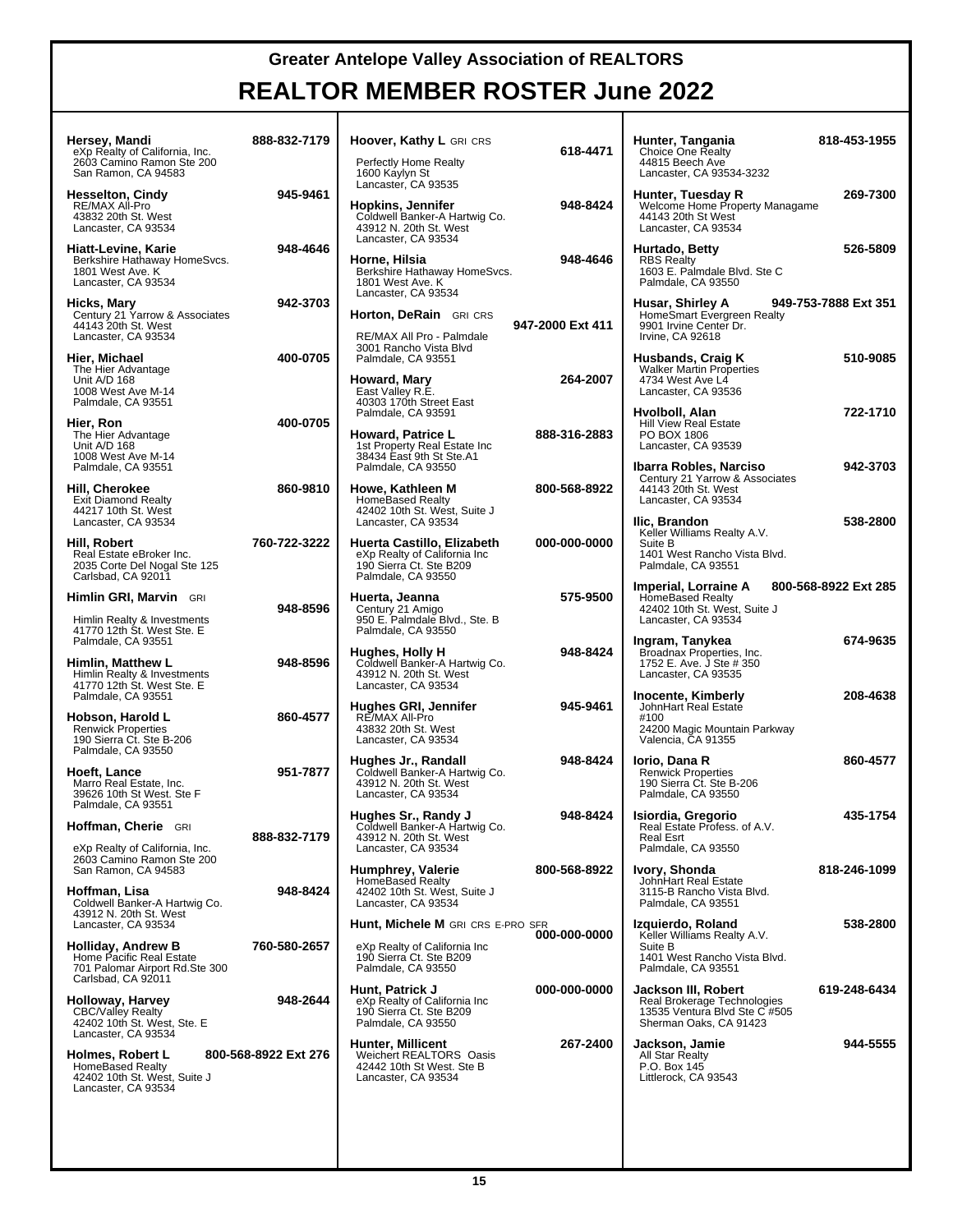| Hersey, Mandi<br>eXp Realty of California, Inc.<br>2603 Camino Ramon Ste 200<br>San Ramon, CA 94583                           | 888-832-7179         | Hoover, Kathy L GRI CRS<br>Perfectly Home Realty<br>1600 Kaylyn St                                                 | 618-4471         | Hunter, Tangania<br>Choice One Realty<br>44815 Beech Ave<br>Lancaster, CA 93534-3232                              | 818-453-1955         |
|-------------------------------------------------------------------------------------------------------------------------------|----------------------|--------------------------------------------------------------------------------------------------------------------|------------------|-------------------------------------------------------------------------------------------------------------------|----------------------|
| <b>Hesselton, Cindy</b><br>RE/MAX All-Pro<br>43832 20th St. West<br>Lancaster, CA 93534                                       | 945-9461             | Lancaster, CA 93535<br>Hopkins, Jennifer<br>Coldwell Banker-A Hartwig Co.<br>43912 N. 20th St. West                | 948-8424         | Hunter, Tuesday R<br>Welcome Home Property Managame<br>44143 20th St West<br>Lancaster, CA 93534                  | 269-7300             |
| Hiatt-Levine, Karie<br>Berkshire Hathaway HomeSvcs.<br>1801 West Ave. K<br>Lancaster, CA 93534                                | 948-4646             | Lancaster, CA 93534<br>Horne, Hilsia<br>Berkshire Hathaway HomeSvcs.<br>1801 West Ave. K<br>Lancaster, CA 93534    | 948-4646         | Hurtado, Betty<br><b>RBS Realty</b><br>1603 E. Palmdale Blvd. Ste C<br>Palmdale, CA 93550                         | 526-5809             |
| Hicks, Mary<br>Century 21 Yarrow & Associates<br>44143 20th St. West<br>Lancaster, CA 93534                                   | 942-3703             | Horton, DeRain GRI CRS<br>RE/MAX All Pro - Palmdale<br>3001 Rancho Vista Blvd                                      | 947-2000 Ext 411 | Husar, Shirley A<br>HomeSmart Evergreen Realty<br>9901 Irvine Center Dr.<br>Irvine, CA 92618                      | 949-753-7888 Ext 351 |
| Hier, Michael<br>The Hier Advantage<br>Unit A/D 168<br>1008 West Ave M-14<br>Palmdale, CA 93551                               | 400-0705             | Palmdale, CA 93551<br>Howard, Mary<br>East Valley R.E.<br>40303 170th Street East                                  | 264-2007         | Husbands, Craig K<br><b>Walker Martin Properties</b><br>4734 West Ave L4<br>Lancaster, CA 93536                   | 510-9085             |
| Hier, Ron<br>The Hier Advantage<br>Unit A/D 168<br>1008 West Ave M-14                                                         | 400-0705             | Palmdale, CA 93591<br>Howard, Patrice L<br>1st Property Real Estate Inc<br>38434 East 9th St Ste.A1                | 888-316-2883     | Hvolboll, Alan<br><b>Hill View Real Estate</b><br>PO BOX 1806<br>Lancaster, CA 93539                              | 722-1710             |
| Palmdale, CA 93551<br>Hill, Cherokee<br><b>Exit Diamond Realty</b><br>44217 10th St. West                                     | 860-9810             | Palmdale, CA 93550<br>Howe, Kathleen M<br><b>HomeBased Realty</b><br>42402 10th St. West, Suite J                  | 800-568-8922     | Ibarra Robles, Narciso<br>Century 21 Yarrow & Associates<br>44143 20th St. West<br>Lancaster, CA 93534            | 942-3703             |
| Lancaster, CA 93534<br>Hill, Robert<br>Real Estate eBroker Inc.<br>2035 Corte Del Nogal Ste 125                               | 760-722-3222         | Lancaster, CA 93534<br>Huerta Castillo, Elizabeth<br>eXp Realty of California Inc<br>190 Sierra Ct. Ste B209       | 000-000-0000     | Ilic, Brandon<br>Keller Williams Realty A.V.<br>Suite B<br>1401 West Rancho Vista Blvd.<br>Palmdale, CA 93551     | 538-2800             |
| Carlsbad, CA 92011<br>Himlin GRI, Marvin GRI<br>Himlin Realty & Investments                                                   | 948-8596             | Palmdale, CA 93550<br>Huerta, Jeanna<br>Century 21 Amigo<br>950 E. Palmdale Blvd., Ste. B                          | 575-9500         | Imperial, Lorraine A<br><b>HomeBased Realty</b><br>42402 10th St. West, Suite J<br>Lancaster, CA 93534            | 800-568-8922 Ext 285 |
| 41770 12th St. West Ste. E<br>Palmdale, CA 93551<br>Himlin, Matthew L<br>Himlin Realty & Investments                          | 948-8596             | Palmdale, CA 93550<br>Hughes, Holly H<br>Coldwell Banker-A Hartwig Co.<br>43912 N. 20th St. West                   | 948-8424         | Ingram, Tanykea<br>Broadnax Properties, Inc.<br>1752 E. Ave. J Ste # 350<br>Lancaster, CA 93535                   | 674-9635             |
| 41770 12th St. West Ste. E<br>Palmdale, CA 93551<br>Hobson, Harold L<br><b>Renwick Properties</b><br>190 Sierra Ct. Ste B-206 | 860-4577             | Lancaster, CA 93534<br>Hughes GRI, Jennifer<br>RE/MAX All-Pro<br>43832 20th St. West<br>Lancaster, CA 93534        | 945-9461         | Inocente, Kimberly<br>JohnHart Real Estate<br>#100<br>24200 Magic Mountain Parkway<br>Valencia, CA 91355          | 208-4638             |
| Palmdale, CA 93550<br>Hoeft, Lance<br>Marro Real Estate, Inc.<br>39626 10th St West, Ste F                                    | 951-7877             | Hughes Jr., Randall<br>Coldwell Banker-A Hartwig Co.<br>43912 N. 20th St. West<br>Lancaster, CA 93534              | 948-8424         | Iorio, Dana R<br><b>Renwick Properties</b><br>190 Sierra Ct. Ste B-206<br>Palmdale, CA 93550                      | 860-4577             |
| Palmdale, CA 93551<br>Hoffman, Cherie GRI<br>eXp Realty of California, Inc.                                                   | 888-832-7179         | Hughes Sr., Randy J<br>Coldwell Banker-A Hartwig Co.<br>43912 N. 20th St. West<br>Lancaster, CA 93534              | 948-8424         | Isiordia, Gregorio<br>Real Estate Profess. of A.V.<br><b>Real Esrt</b><br>Palmdale, CA 93550                      | 435-1754             |
| 2603 Camino Ramon Ste 200<br>San Ramon, CA 94583<br>Hoffman, Lisa<br>Coldwell Banker-A Hartwig Co.<br>43912 N. 20th St. West  | 948-8424             | Humphrey, Valerie<br><b>HomeBased Realty</b><br>42402 10th St. West, Suite J<br>Lancaster, CA 93534                | 800-568-8922     | Ivory, Shonda<br>JohnHart Real Estate<br>3115-B Rancho Vista Blvd.<br>Palmdale, CA 93551                          | 818-246-1099         |
| Lancaster, CA 93534<br>Holliday, Andrew B<br>Home Pacific Real Estate<br>701 Palomar Airport Rd.Ste 300                       | 760-580-2657         | Hunt, Michele M GRI CRS E-PRO SFR<br>eXp Realty of California Inc<br>190 Sierra Ct. Ste B209<br>Palmdale, CA 93550 | 000-000-0000     | Izquierdo, Roland<br>Keller Williams Realty A.V.<br>Suite B<br>1401 West Rancho Vista Blvd.<br>Palmdale, CA 93551 | 538-2800             |
| Carlsbad, CA 92011<br>Holloway, Harvey<br><b>CBC/Valley Realty</b><br>42402 10th St. West, Ste. E                             | 948-2644             | Hunt, Patrick J<br>eXp Realty of California Inc<br>190 Sierra Ct. Ste B209<br>Palmdale, CA 93550                   | 000-000-0000     | Jackson III, Robert<br>Real Brokerage Technologies<br>13535 Ventura Blvd Ste C #505<br>Sherman Oaks, CA 91423     | 619-248-6434         |
| Lancaster, CA 93534<br>Holmes, Robert L<br><b>HomeBased Realty</b><br>42402 10th St. West, Suite J<br>Lancaster, CA 93534     | 800-568-8922 Ext 276 | Hunter, Millicent<br>Weichert REALTORS® Oasis<br>42442 10th St West. Ste B<br>Lancaster, CA 93534                  | 267-2400         | Jackson, Jamie<br>All Star Realty<br>P.O. Box 145<br>Littlerock, CA 93543                                         | 944-5555             |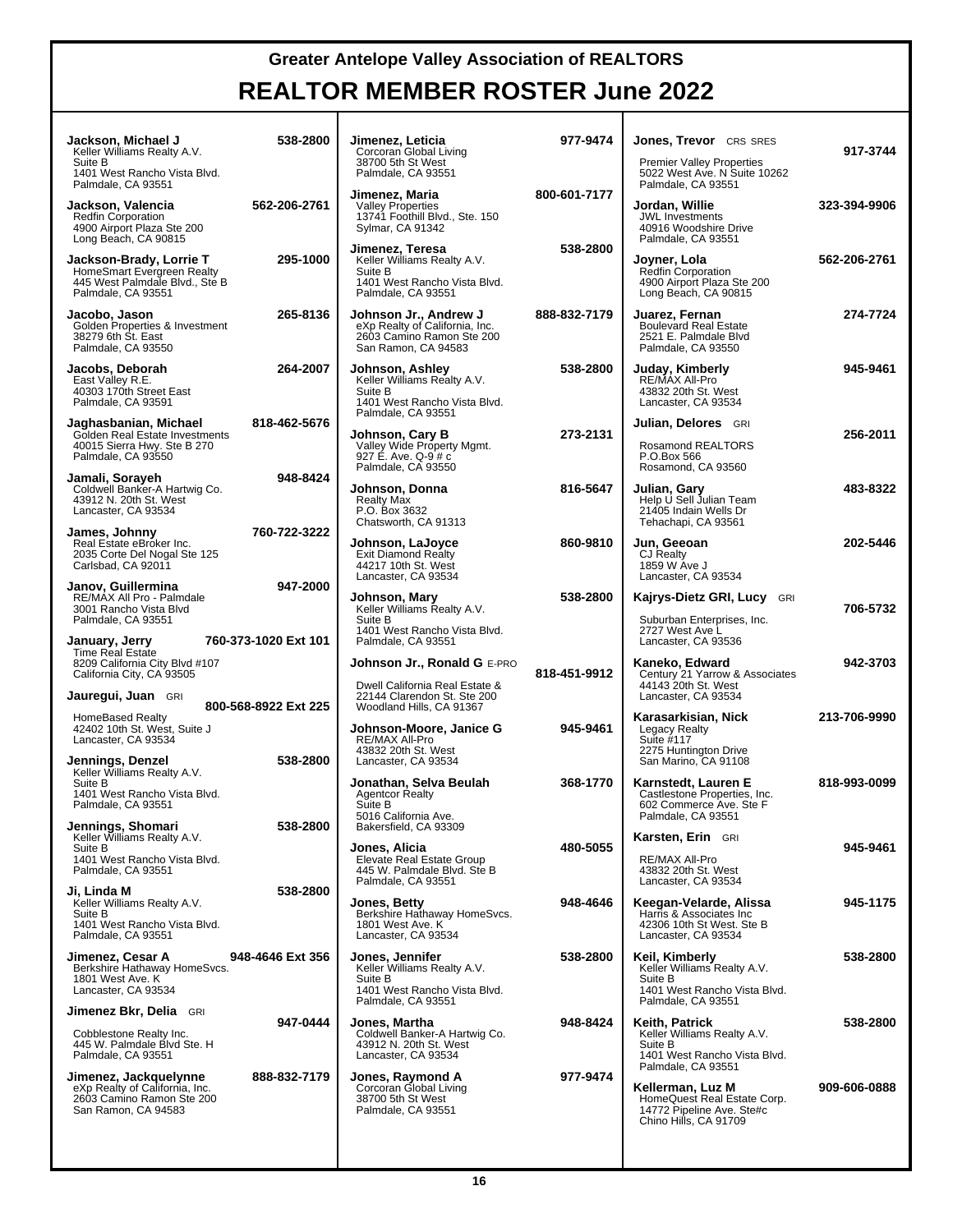| Jackson, Michael J<br>Keller Williams Realty A.V.<br>Suite B<br>1401 West Rancho Vista Blvd.<br>Palmdale, CA 93551 | 538-2800             | Jimenez, Leticia<br>Corcoran Global Living<br>38700 5th St West<br>Palmdale, CA 93551                           | 977-9474     | Jones, Trevor CRS SRES<br><b>Premier Valley Properties</b><br>5022 West Ave. N Suite 10262<br>Palmdale, CA 93551            | 917-3744     |
|--------------------------------------------------------------------------------------------------------------------|----------------------|-----------------------------------------------------------------------------------------------------------------|--------------|-----------------------------------------------------------------------------------------------------------------------------|--------------|
| Jackson, Valencia<br><b>Redfin Corporation</b><br>4900 Airport Plaza Ste 200<br>Long Beach, CA 90815               | 562-206-2761         | Jimenez, Maria<br>Valley Properties<br>13741 Foothill Blvd., Ste. 150<br>Sylmar, CA 91342                       | 800-601-7177 | Jordan, Willie<br><b>JWL Investments</b><br>40916 Woodshire Drive<br>Palmdale, CA 93551                                     | 323-394-9906 |
| Jackson-Brady, Lorrie T<br>HomeSmart Evergreen Realty<br>445 West Palmdale Blvd., Ste B<br>Palmdale, CA 93551      | 295-1000             | Jimenez, Teresa<br>Keller Williams Realty A.V.<br>Suite B<br>1401 West Rancho Vista Blvd.<br>Palmdale, CA 93551 | 538-2800     | Joyner, Lola<br>Redfin Corporation<br>4900 Airport Plaza Ste 200<br>Long Beach, CA 90815                                    | 562-206-2761 |
| Jacobo, Jason<br>Golden Properties & Investment<br>38279 6th St. East<br>Palmdale, CA 93550                        | 265-8136             | Johnson Jr., Andrew J<br>eXp Realty of California, Inc.<br>2603 Camino Ramon Ste 200<br>San Ramon, CA 94583     | 888-832-7179 | Juarez, Fernan<br><b>Boulevard Real Estate</b><br>2521 E. Palmdale Blvd<br>Palmdale, CA 93550                               | 274-7724     |
| Jacobs, Deborah<br>East Valley R.E.<br>40303 170th Street East<br>Palmdale, CA 93591                               | 264-2007             | Johnson, Ashley<br>Keller Williams Realty A.V.<br>Suite B<br>1401 West Rancho Vista Blvd.<br>Palmdale, CA 93551 | 538-2800     | Juday, Kimberly<br>RE/MAX All-Pro<br>43832 20th St. West<br>Lancaster, CA 93534                                             | 945-9461     |
| Jaghasbanian, Michael<br>Golden Real Estate Investments<br>40015 Sierra Hwy. Ste B 270<br>Palmdale, CA 93550       | 818-462-5676         | Johnson, Cary B<br>Valley Wide Property Mgmt.<br>927 É. Ave. Q-9 # c<br>Palmdale, CA 93550                      | 273-2131     | Julian, Delores GRI<br>Rosamond REALTORS®<br>P.O.Box 566<br>Rosamond, CA 93560                                              | 256-2011     |
| Jamali, Sorayeh<br>Coldwell Banker-A Hartwig Co.<br>43912 N. 20th St. West<br>Lancaster, CA 93534                  | 948-8424             | Johnson, Donna<br><b>Realty Max</b><br>P.O. Box 3632<br>Chatsworth, CA 91313                                    | 816-5647     | Julian, Gary<br>Help U Sell Julian Team<br>21405 Indain Wells Dr<br>Tehachapi, CA 93561                                     | 483-8322     |
| James, Johnny<br>Real Estate eBroker Inc.<br>2035 Corte Del Nogal Ste 125<br>Carlsbad, CA 92011                    | 760-722-3222         | Johnson, LaJoyce<br><b>Exit Diamond Realty</b><br>44217 10th St. West<br>Lancaster, CA 93534                    | 860-9810     | Jun, Geeoan<br><b>CJ Realty</b><br>1859 W Ave J<br>Lancaster, CA 93534                                                      | 202-5446     |
| Janov, Guillermina<br>RE/MAX All Pro - Palmdale<br>3001 Rancho Vista Blvd<br>Palmdale, CA 93551                    | 947-2000             | Johnson, Mary<br>Keller Williams Realty A.V.<br>Suite B<br>1401 West Rancho Vista Blvd.                         | 538-2800     | Kajrys-Dietz GRI, Lucy GRI<br>Suburban Enterprises, Inc.<br>2727 West Ave L                                                 | 706-5732     |
| January, Jerry<br><b>Time Real Estate</b><br>8209 California City Blvd #107<br>California City, CA 93505           | 760-373-1020 Ext 101 | Palmdale, CA 93551<br>Johnson Jr., Ronald G E-PRO                                                               | 818-451-9912 | Lancaster, CA 93536<br>Kaneko, Edward<br>Century 21 Yarrow & Associates                                                     | 942-3703     |
| Jauregui, Juan GRI                                                                                                 | 800-568-8922 Ext 225 | Dwell California Real Estate &<br>22144 Clarendon St. Ste 200<br>Woodland Hills, CA 91367                       |              | 44143 20th St. West<br>Lancaster, CA 93534                                                                                  |              |
| HomeBased Realty<br>42402 10th St. West, Suite J<br>Lancaster, CA 93534                                            | 538-2800             | Johnson-Moore, Janice G<br>RE/MAX All-Pro<br>43832 20th St. West                                                | 945-9461     | Karasarkisian, Nick<br><b>Legacy Realty</b><br>Suite #117<br>2275 Huntington Drive                                          | 213-706-9990 |
| Jennings, Denzel<br>Keller Williams Realty A.V.<br>Suite B<br>1401 West Rancho Vista Blvd.<br>Palmdale, CA 93551   |                      | Lancaster, CA 93534<br>Jonathan, Selva Beulah<br><b>Agentcor Realty</b><br>Suite B                              | 368-1770     | San Marino, CA 91108<br>Karnstedt, Lauren E<br>Castlestone Properties, Inc.<br>602 Commerce Ave. Ste F                      | 818-993-0099 |
| Jennings, Shomari<br>Keller Williams Realty A.V.                                                                   | 538-2800             | 5016 California Ave.<br>Bakersfield, CA 93309                                                                   |              | Palmdale, CA 93551<br>Karsten, Erin GRI                                                                                     |              |
| Suite B<br>1401 West Rancho Vista Blvd.<br>Palmdale, CA 93551                                                      |                      | Jones, Alicia<br>Elevate Real Estate Group<br>445 W. Palmdale Blvd. Ste B<br>Palmdale, CA 93551                 | 480-5055     | RE/MAX All-Pro<br>43832 20th St. West<br>Lancaster, CA 93534                                                                | 945-9461     |
| Ji. Linda M<br>Keller Williams Realty A.V.<br>Suite B<br>1401 West Rancho Vista Blvd.<br>Palmdale, CA 93551        | 538-2800             | Jones, Betty<br>Berkshire Hathaway HomeSvcs.<br>1801 West Ave. K<br>Lancaster, CA 93534                         | 948-4646     | Keegan-Velarde, Alissa<br>Harris & Associates Inc<br>42306 10th St West, Ste B<br>Lancaster, CA 93534                       | 945-1175     |
| Jimenez, Cesar A<br>Berkshire Hathaway HomeSvcs.<br>1801 West Ave. K<br>Lancaster, CA 93534                        | 948-4646 Ext 356     | Jones, Jennifer<br>Keller Williams Realty A.V.<br>Suite B<br>1401 West Rancho Vista Blvd.<br>Palmdale, CA 93551 | 538-2800     | Keil, Kimberly<br>Keller Williams Realty A.V.<br>Suite B<br>1401 West Rancho Vista Blvd.<br>Palmdale, CA 93551              | 538-2800     |
| <b>Jimenez Bkr, Delia</b> GRI<br>Cobblestone Realty Inc.<br>445 W. Palmdale Blvd Ste. H<br>Palmdale, CA 93551      | 947-0444             | Jones, Martha<br>Coldwell Banker-A Hartwig Co.<br>43912 N. 20th St. West<br>Lancaster, CA 93534                 | 948-8424     | Keith, Patrick<br>Keller Williams Realty A.V.<br>Suite B<br>1401 West Rancho Vista Blvd.                                    | 538-2800     |
| Jimenez, Jackquelynne<br>eXp Realty of California, Inc.<br>2603 Camino Ramon Ste 200<br>San Ramon, CA 94583        | 888-832-7179         | Jones, Raymond A<br>Corcoran Global Living<br>38700 5th St West<br>Palmdale, CA 93551                           | 977-9474     | Palmdale, CA 93551<br>Kellerman, Luz M<br>HomeQuest Real Estate Corp.<br>14772 Pipeline Ave. Ste#c<br>Chino Hills, CA 91709 | 909-606-0888 |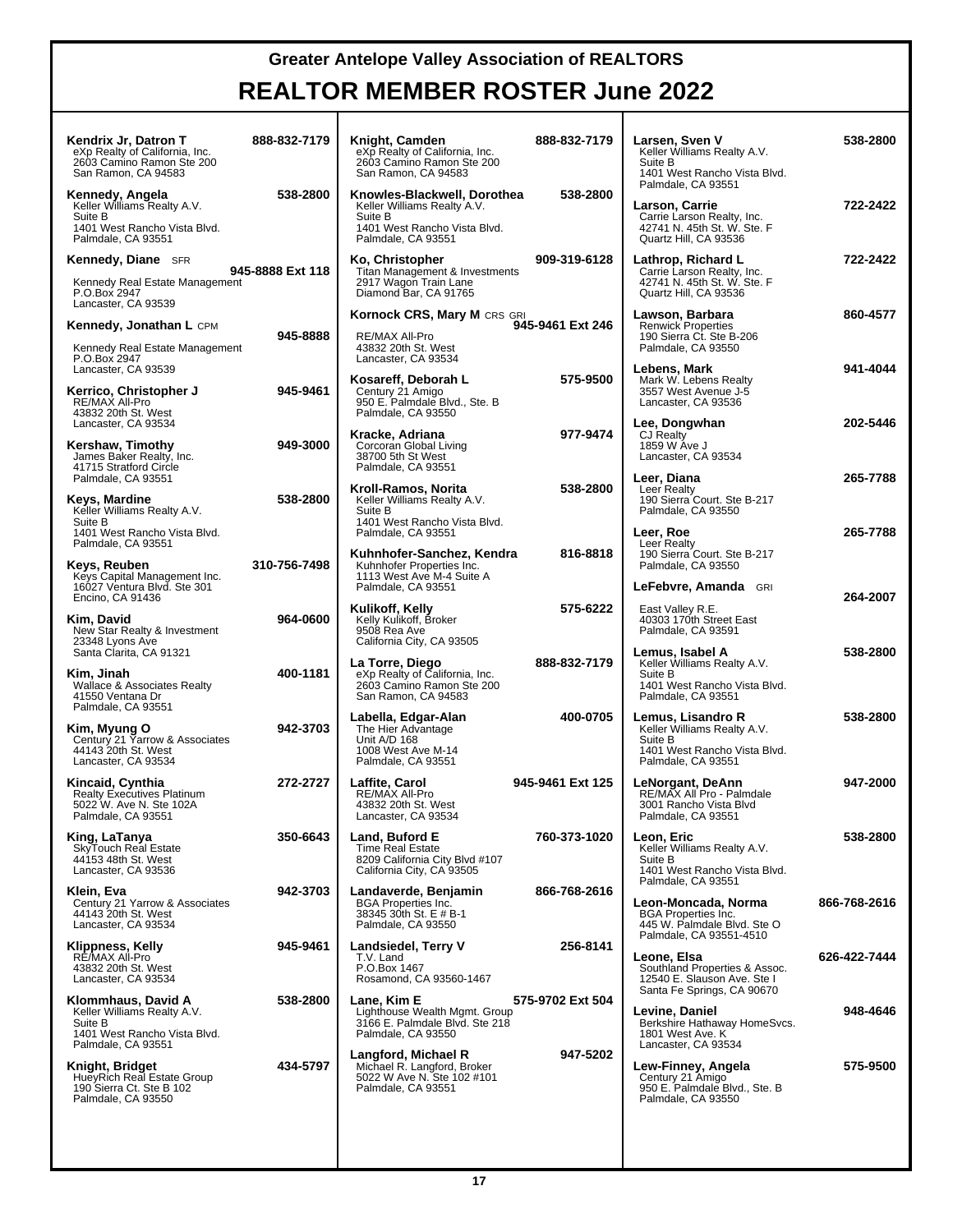| Kendrix Jr, Datron T<br>eXp Realty of California, Inc.<br>2603 Camino Ramon Ste 200<br>San Ramon, CA 94583            | 888-832-7179     | Knight, Camden<br>eXp Realty of California, Inc.<br>2603 Camino Ramon Ste 200<br>San Ramon, CA 94583                        | 888-832-7179     | Larsen, Sven V<br>Keller Williams Realty A.V.<br>Suite B<br>1401 West Rancho Vista Blvd.                                   | 538-2800     |
|-----------------------------------------------------------------------------------------------------------------------|------------------|-----------------------------------------------------------------------------------------------------------------------------|------------------|----------------------------------------------------------------------------------------------------------------------------|--------------|
| Kennedy, Angela<br>Keller Williams Realty A.V.<br>Suite B<br>1401 West Rancho Vista Blvd.<br>Palmdale, CA 93551       | 538-2800         | Knowles-Blackwell, Dorothea<br>Keller Williams Realty A.V.<br>Suite B<br>1401 West Rancho Vista Blvd.<br>Palmdale, CA 93551 | 538-2800         | Palmdale, CA 93551<br>Larson, Carrie<br>Carrie Larson Realty, Inc.<br>42741 N. 45th St. W. Ste. F<br>Quartz Hill, CA 93536 | 722-2422     |
| <b>Kennedy, Diane</b> SFR<br>Kennedy Real Estate Management<br>P.O.Box 2947<br>Lancaster, CA 93539                    | 945-8888 Ext 118 | Ko, Christopher<br>Titan Management & Investments<br>2917 Wagon Train Lane<br>Diamond Bar, CA 91765                         | 909-319-6128     | Lathrop, Richard L<br>Carrie Larson Realty, Inc.<br>42741 N. 45th St. W. Ste. F<br>Quartz Hill, CA 93536                   | 722-2422     |
| <b>Kennedy, Jonathan L CPM</b><br>Kennedy Real Estate Management<br>P.O.Box 2947                                      | 945-8888         | <b>Kornock CRS, Mary M CRS GRI</b><br>RE/MAX All-Pro<br>43832 20th St. West<br>Lancaster, CA 93534                          | 945-9461 Ext 246 | Lawson, Barbara<br><b>Renwick Properties</b><br>190 Sierra Ct. Ste B-206<br>Palmdale, CA 93550                             | 860-4577     |
| Lancaster, CA 93539<br>Kerrico, Christopher J<br>RE/MAX All-Pro<br>43832 20th St. West                                | 945-9461         | Kosareff, Deborah L<br>Century 21 Amigo<br>950 E. Palmdale Blvd., Ste. B<br>Palmdale, CA 93550                              | 575-9500         | Lebens, Mark<br>Mark W. Lebens Realty<br>3557 West Avenue J-5<br>Lancaster, CA 93536                                       | 941-4044     |
| Lancaster, CA 93534<br>Kershaw, Timothy<br>James Baker Realty, Inc.<br>41715 Stratford Circle                         | 949-3000         | Kracke, Adriana<br>Corcoran Global Living<br>38700 5th St West<br>Palmdale, CA 93551                                        | 977-9474         | Lee, Dongwhan<br>CJ Realty<br>1859 W Ave J<br>Lancaster, CA 93534                                                          | 202-5446     |
| Palmdale, CA 93551<br>Keys, Mardine<br>Keller Williams Realty A.V.<br>Suite B                                         | 538-2800         | Kroll-Ramos, Norita<br>Keller Williams Realty A.V.<br>Suite B<br>1401 West Rancho Vista Blvd.                               | 538-2800         | Leer, Diana<br>Leer Realty<br>190 Sierra Court. Ste B-217<br>Palmdale, CA 93550                                            | 265-7788     |
| 1401 West Rancho Vista Blvd.<br>Palmdale, CA 93551<br>Keys, Reuben                                                    | 310-756-7498     | Palmdale, CA 93551<br>Kuhnhofer-Sanchez, Kendra<br>Kuhnhofer Properties Inc.                                                | 816-8818         | Leer, Roe<br>Leer Realty<br>190 Sierra Court. Ste B-217<br>Palmdale, CA 93550                                              | 265-7788     |
| Keys Capital Management Inc.<br>16027 Ventura Blvd. Ste 301<br>Encino, CA 91436<br>Kim, David                         | 964-0600         | 1113 West Ave M-4 Suite A<br>Palmdale, CA 93551<br>Kulikoff, Kelly<br>Kelly Kulikoff, Broker                                | 575-6222         | LeFebvre, Amanda GRI<br>East Valley R.E.<br>40303 170th Street East                                                        | 264-2007     |
| New Star Realty & Investment<br>23348 Lyons Ave<br>Santa Clarita, CA 91321<br>Kim, Jinah                              | 400-1181         | 9508 Rea Ave<br>California City, CA 93505<br>La Torre, Diego                                                                | 888-832-7179     | Palmdale, CA 93591<br>Lemus, Isabel A<br>Keller Williams Realty A.V.<br>Suite B                                            | 538-2800     |
| Wallace & Associates Realty<br>41550 Ventana Dr<br>Palmdale, CA 93551                                                 |                  | eXp Realty of California, Inc.<br>2603 Camino Ramon Ste 200<br>San Ramon, CA 94583<br>Labella, Edgar-Alan                   | 400-0705         | 1401 West Rancho Vista Blvd.<br>Palmdale, CA 93551<br>Lemus, Lisandro R                                                    | 538-2800     |
| Kim, Myung O<br>Century 21 Yarrow & Associates<br>44143 20th St. West<br>Lancaster, CA 93534                          | 942-3703         | The Hier Advantage<br>Unit A/D 168<br>1008 West Ave M-14<br>Palmdale, CA 93551                                              |                  | Keller Williams Realty A.V.<br>Suite B<br>1401 West Rancho Vista Blvd.<br>Palmdale, CA 93551                               |              |
| Kincaid, Cynthia<br><b>Realty Executives Platinum</b><br>5022 W. Ave N. Ste 102A<br>Palmdale, CA 93551                | 272-2727         | Laffite, Carol<br>RE/MAX All-Pro<br>43832 20th St. West<br>Lancaster, CA 93534                                              | 945-9461 Ext 125 | LeNorgant, DeAnn<br>RE/MAX All Pro - Palmdale<br>3001 Rancho Vista Blvd<br>Palmdale, CA 93551                              | 947-2000     |
| King, LaTanya<br>SkyTouch Real Estate<br>44153 48th St. West<br>Lancaster, CA 93536                                   | 350-6643         | Land, Buford E<br><b>Time Real Estate</b><br>8209 California City Blvd #107<br>California City, CA 93505                    | 760-373-1020     | Leon, Eric<br>Keller Williams Realty A.V.<br>Suite B<br>1401 West Rancho Vista Blvd.                                       | 538-2800     |
| Klein, Eva<br>Century 21 Yarrow & Associates<br>44143 20th St. West<br>Lancaster, CA 93534                            | 942-3703         | Landaverde, Benjamin<br><b>BGA Properties Inc.</b><br>38345 30th St. E # B-1<br>Palmdale, CA 93550                          | 866-768-2616     | Palmdale, CA 93551<br>Leon-Moncada, Norma<br><b>BGA Properties Inc.</b><br>445 W. Palmdale Blvd. Ste O                     | 866-768-2616 |
| Klippness, Kelly<br>RÉ/MAX All-Pro<br>43832 20th St. West<br>Lancaster, CA 93534                                      | 945-9461         | Landsiedel, Terry V<br>T.V. Land<br>P.O.Box 1467<br>Rosamond, CA 93560-1467                                                 | 256-8141         | Palmdale, CA 93551-4510<br>Leone, Elsa<br>Southland Properties & Assoc.<br>12540 E. Slauson Ave. Ste I                     | 626-422-7444 |
| Klommhaus, David A<br>Keller Williams Realty A.V.<br>Suite B<br>1401 West Rancho Vista Blvd.                          | 538-2800         | Lane, Kim E<br>Lighthouse Wealth Mgmt. Group<br>3166 E. Palmdale Blvd. Ste 218<br>Palmdale, CA 93550                        | 575-9702 Ext 504 | Santa Fe Springs, CA 90670<br>Levine, Daniel<br>Berkshire Hathaway HomeSvcs.<br>1801 West Ave. K                           | 948-4646     |
| Palmdale, CA 93551<br>Knight, Bridget<br>HueyRich Real Estate Group<br>190 Sierra Ct. Ste B 102<br>Palmdale, CA 93550 | 434-5797         | Langford, Michael R<br>Michael R. Langford, Broker<br>5022 W Ave N. Ste 102 #101<br>Palmdale, CA 93551                      | 947-5202         | Lancaster, CA 93534<br>Lew-Finney, Angela<br>Century 21 Amigo<br>950 E. Palmdale Blvd., Ste. B<br>Palmdale, CA 93550       | 575-9500     |
|                                                                                                                       |                  |                                                                                                                             |                  |                                                                                                                            |              |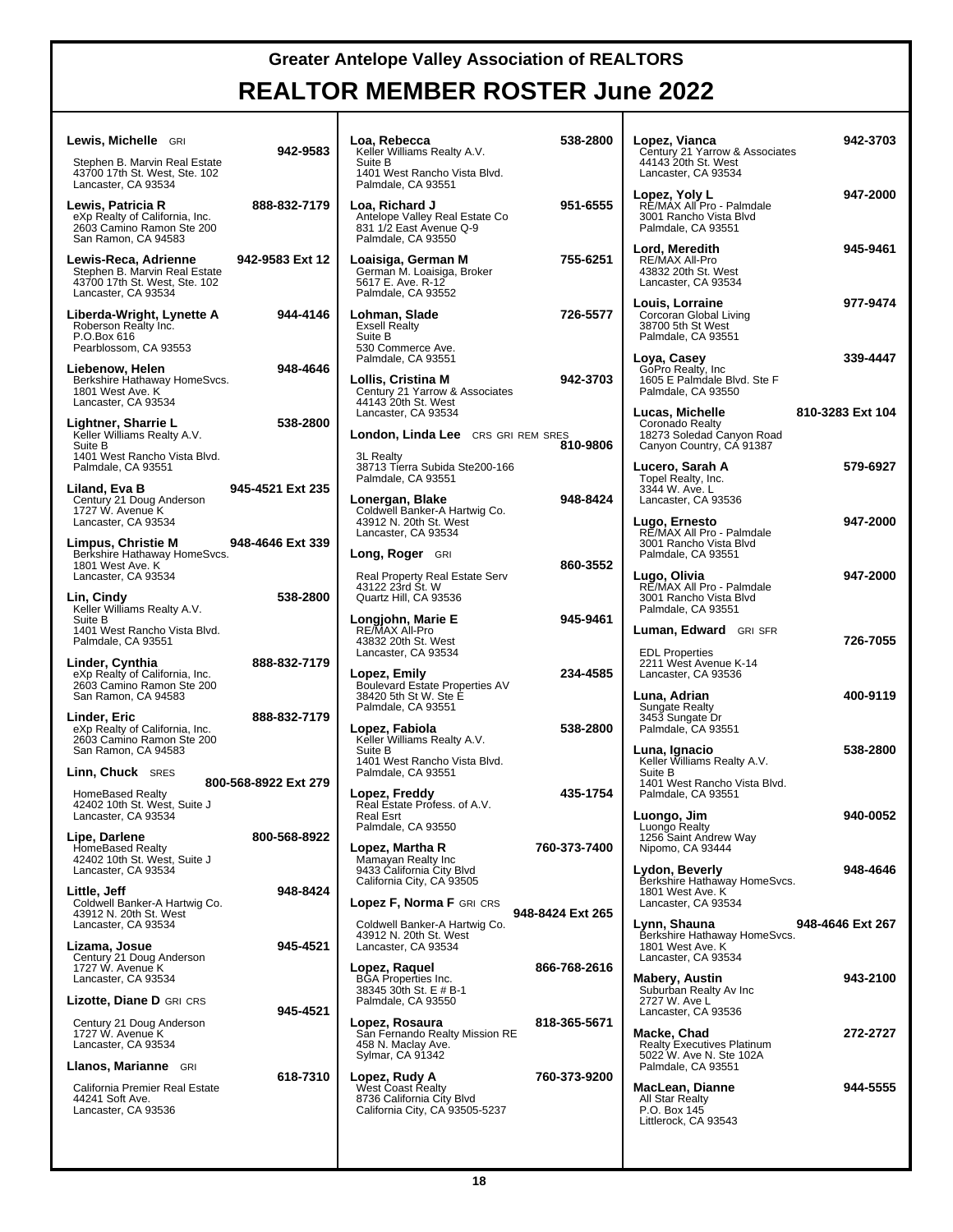# **REALTOR MEMBER ROSTER June 2022**

| Lewis, Michelle GRI                                                                                           | 942-9583             | Loa, F<br>Keller                   |
|---------------------------------------------------------------------------------------------------------------|----------------------|------------------------------------|
| Stephen B. Marvin Real Estate<br>43700 17th St. West, Ste. 102<br>Lancaster, CA 93534                         |                      | Suite<br>1401'<br>Palmo            |
| Lewis, Patricia R<br>eXp Realty of California, Inc.<br>2603 Camino Ramon Ste 200<br>San Ramon, CA 94583       | 888-832-7179         | Loa, F<br>Antelo<br>831 1<br>Palmo |
| Lewis-Reca, Adrienne<br>Stephen B. Marvin Real Estate<br>43700 17th St. West, Ste. 102<br>Lancaster, CA 93534 | 942-9583 Ext 12      | Loaisi<br>Germ<br>5617<br>Palmo    |
| Liberda-Wright, Lynette A<br>Roberson Realty Inc.<br>P.O.Box 616<br>Pearblossom, CA 93553                     | 944-4146             | Lohm<br>Exsell<br>Suite<br>530 C   |
|                                                                                                               |                      | Palmo                              |
| Liebenow, Helen<br>Berkshire Hathaway HomeSvcs.<br>1801 West Ave. K<br>Lancaster, CA 93534                    | 948-4646             | Lollis,<br>Centu<br>44143          |
| Lightner, Sharrie L<br>Keller Williams Realty A.V.<br>Suite B                                                 | 538-2800             | Lanca<br>Londo                     |
| 1401 West Rancho Vista Blvd.<br>Palmdale, CA 93551                                                            |                      | 3L Re<br>38713<br>Palmo            |
| Liland, Eva B<br>Century 21 Doug Anderson<br>1727 W. Avenue K<br>Lancaster, CA 93534                          | 945-4521 Ext 235     | Loner<br>Coldw<br>43912            |
|                                                                                                               | 948-4646 Ext 339     | Lanca                              |
| Limpus, Christie M<br>Berkshire Hathaway HomeSvcs.<br>1801 West Ave. K<br>Lancaster, CA 93534                 |                      | Long,<br>Real F                    |
| Lin, Cindy                                                                                                    | 538-2800             | 43122<br>Quart:                    |
| Keller Williams Realty A.V.<br>Suite B<br>1401 West Rancho Vista Blvd.<br>Palmdale, CA 93551                  |                      | Longj<br>RE/M<br>43832             |
|                                                                                                               | 888-832-7179         | Lanca                              |
| Linder, Cynthia<br>eXp Realty of California, Inc.<br>2603 Camino Ramon Ste 200<br>San Ramon, CA 94583         |                      | Lopez<br>Boule<br>38420<br>Palmo   |
| Linder, Eric                                                                                                  | 888-832-7179         |                                    |
| eXp Realty of California, Inc.<br>2603 Camino Ramon Ste 200<br>San Ramon, CA 94583                            |                      | Lopez<br>Keller<br>Suite<br>1401'  |
| Linn, Chuck SRES                                                                                              | 800-568-8922 Ext 279 | Palmo                              |
| HomeBased Realty<br>42402 10th St. West, Suite J                                                              |                      | Lopez<br>Real I                    |
| Lancaster, CA 93534                                                                                           |                      | Real E<br>Palmo                    |
| Lipe, Darlene<br>HomeBased Realty                                                                             | 800-568-8922         | Lopez                              |
| 42402 10th St. West, Suite J<br>Lancaster, CA 93534                                                           |                      | Mama<br>9433                       |
| Little, Jeff                                                                                                  | 948-8424             | Califo                             |
| Coldwell Banker-A Hartwig Co.<br>43912 N. 20th St. West<br>Lancaster, CA 93534                                |                      | Lopez<br>Coldw                     |
| Lizama, Josue<br>Century 21 Doug Anderson                                                                     | 945-4521             | 43912<br>Lanca                     |
| 1727 W. Avenue K<br>Lancaster, CA 93534                                                                       |                      | <b>Lopez</b><br>BGA I<br>38345     |
| Lizotte, Diane D GRI CRS                                                                                      | 945-4521             | Palmo                              |
| Century 21 Doug Anderson<br>1727 W. Avenue K<br>Lancaster, CA 93534                                           |                      | Lopez<br>San F<br>458 N<br>Sylma   |
| Llanos, Marianne GRI                                                                                          | 618-7310             | Lopez                              |
| California Premier Real Estate<br>44241 Soft Ave.<br>Lancaster, CA 93536                                      |                      | West<br>8736<br>Califo             |
|                                                                                                               |                      |                                    |

| Loa, Rebecca<br>Keller Williams Realty A.V.<br>Suite B<br>1401 West Rancho Vista Blvd.<br>Palmdale, CA 93551      | 538-2800         | Lopez, Via<br>Century 21<br>44143 20th<br>Lancaster,                   |
|-------------------------------------------------------------------------------------------------------------------|------------------|------------------------------------------------------------------------|
| Loa, Richard J<br>Antelope Valley Real Estate Co<br>831 1/2 East Avenue Q-9                                       | 951-6555         | Lopez, Yol<br>RÉ/MAX AI<br>3001 Rancl<br>Palmdale, 0                   |
| Palmdale, CA 93550<br>Loaisiga, German M<br>German M. Loaisiga, Broker<br>5617 E. Ave. R-12<br>Palmdale, CA 93552 | 755-6251         | Lord, Mere<br>RE/MAX AI<br>43832 20th<br>Lancaster,                    |
| Lohman, Slade<br><b>Exsell Realty</b><br>Suite B<br>530 Commerce Ave.                                             | 726-5577         | Louis, Lor<br>Corcoran G<br>38700 5th \$<br>Palmdale, 0                |
| Palmdale, CA 93551<br>Lollis, Cristina M<br>Century 21 Yarrow & Associates<br>44143 20th St. West                 | 942-3703         | Loya, Cas⊦<br>GoPro Rea<br>1605 E Pal<br>Palmdale, 0                   |
| Lancaster, CA 93534<br><b>London, Linda Lee</b> CRS GRI REM SRES                                                  | 810-9806         | Lucas, Mio<br>Coronado F<br>18273 Sole<br>Canyon Co                    |
| 3L Realty<br>38713 Tierra Subida Ste200-166<br>Palmdale, CA 93551                                                 |                  | Lucero, Sa<br><b>Topel Realt</b><br>3344 W. Av                         |
| Lonergan, Blake<br>Coldwell Banker-A Hartwig Co.<br>43912 N. 20th St. West<br>Lancaster, CA 93534                 | 948-8424         | Lancaster,<br>Lugo, Ern<br>RÉ/MAX AI                                   |
| Long, Roger GRI                                                                                                   | 860-3552         | 3001 Rancl<br>Palmdale, 0                                              |
| Real Property Real Estate Serv<br>43122 23rd St. W<br>Quartz Hill, CA 93536                                       |                  | Lugo, Oliv<br>RE/MAX Al<br>3001 Rancl<br>Palmdale, 0                   |
| Longjohn, Marie E<br>RE/MAX All-Pro<br>43832 20th St. West<br>Lancaster, CA 93534                                 | 945-9461         | Luman, Ec<br>EDL Prope                                                 |
| Lopez, Emily<br>Boulevard Estate Properties AV                                                                    | 234-4585         | 2211 West<br>Lancaster,                                                |
| 38420 5th St W. Ste E<br>Palmdale, CA 93551<br>Lopez, Fabiola                                                     | 538-2800         | Luna, Adri<br>Sungate Re<br>3453 Sung<br>Palmdale, 0                   |
| Keller Williams Realty A.V.<br>Suite B<br>1401 West Rancho Vista Blvd.<br>Palmdale, CA 93551                      |                  | Luna, Igna<br>Keller Willia<br>Suite B<br>1401 West                    |
| Lopez, Freddy<br>Real Estate Profess. of A.V.<br>Real Esrt<br>Palmdale, CA 93550                                  | 435-1754         | Palmdale, 0<br>Luongo, J<br>Luongo Re                                  |
| Lopez, Martha R<br>Mamayan Realty Inc<br>9433 California City Blvd                                                | 760-373-7400     | 1256 Saint<br>Nipomo, C/<br>Lydon, Be                                  |
| California City, CA 93505<br>Lopez F, Norma F GRI CRS                                                             |                  | Berkshire ⊦<br>1801 West<br>Lancaster,                                 |
| Coldwell Banker-A Hartwig Co.<br>43912 N. 20th St. West<br>Lancaster, CA 93534                                    | 948-8424 Ext 265 | Lynn, Sha<br>Berkshire F<br>1801 West<br>Lancaster,                    |
| Lopez, Raquel<br><b>BGA Properties Inc.</b><br>38345 30th St. E # B-1<br>Palmdale, CA 93550                       | 866-768-2616     | Mabery, A<br>Suburban F<br>2727 W. Av                                  |
| Lopez, Rosaura<br>San Fernando Realty Mission RE<br>458 N. Maclay Ave.<br>Sylmar, CA 91342                        | 818-365-5671     | Lancaster,<br>Macke, Ch<br>Realty Exe<br>5022 W. Av                    |
| Lopez, Rudy A<br><b>West Coast Realty</b><br>8736 California City Blvd<br>California City, CA 93505-5237          | 760-373-9200     | Palmdale, 0<br>MacLean,<br>All Star Rea<br>P.O. Box 1<br>Littlerock, Q |
|                                                                                                                   |                  |                                                                        |

| Lopez, Vianca<br>Century 21 Yarrow & Associates<br>44143 20th St. West<br>Lancaster, CA 93534     | 942-3703         |
|---------------------------------------------------------------------------------------------------|------------------|
| Lopez, Yoly L<br>RE/MÁX All Pro - Palmdale<br>3001 Rancho Vista Blvd<br>Palmdale, CA 93551        | 947-2000         |
| Lord, Meredith<br>RE/MAX All-Pro<br>43832 20th St. West<br>Lancaster, CA 93534                    | 945-9461         |
| Louis, Lorraine<br>Corcoran Global Living<br>38700 5th St West<br>Palmdale, CA 93551              | 977-9474         |
| Loya, Casey<br>GoPro Realty, Inc<br>1605 E Palmdale Blvd. Ste F<br>Palmdale, CA 93550             | 339-4447         |
| Lucas, Michelle<br>Coronado Realty<br>18273 Soledad Canyon Road<br>Canyon Country, CA 91387       | 810-3283 Ext 104 |
| Lucero, Sarah A<br>Topel Realty, Inc.<br>3344 W. Ave. L<br>Lancaster, CA 93536                    | 579-6927         |
| Lugo, Ernesto<br>RE/MAX All Pro - Palmdale<br>3001 Rancho Vista Blvd<br>Palmdale, CA 93551        | 947-2000         |
| Lugo, Olivia<br>RE/MAX All Pro - Palmdale<br>3001 Rancho Vista Blvd<br>Palmdale, CA 93551         | 947-2000         |
| Luman, Edward GRISFR                                                                              |                  |
| <b>EDL Properties</b><br>2211 West Avenue K-14<br>Lancaster, CA 93536                             | 726-7055         |
| Luna, Adrian<br>Sungate Realty<br>3453 Sungate Dr<br>Palmdale, CA 93551                           | 400-9119         |
| Luna, Ignacio<br>Keller Williams Realty A.V.<br>Suite B<br>1401 West Rancho Vista Blvd.           | 538-2800         |
| Palmdale, CA 93551<br>Luongo, Jim<br>Luongo Realty<br>1256 Saint Andrew Way<br>Nipomo, CA 93444   | 940-0052         |
| Lydon, Beverly<br>Berkshire Hathaway HomeSvcs.<br>1801 West Ave. K<br>Lancaster, CA 93534         | 948-4646         |
| Lynn, Shauna<br>Berkshire Hathaway HomeSvcs.<br>1801 West Ave. K<br>Lancaster, CA 93534           | 948-4646 Ext 267 |
| Mabery, Austin<br>Suburban Realty Av Inc<br>2727 W. Ave L<br>Lancaster, CA 93536                  | 943-2100         |
| Macke, Chad<br><b>Realty Executives Platinum</b><br>5022 W. Ave N. Ste 102A<br>Palmdale, CA 93551 | 272-2727         |

All Star Realty P.O. Box 145 Littlerock, CA 93543

**MacLean, Dianne 944-5555**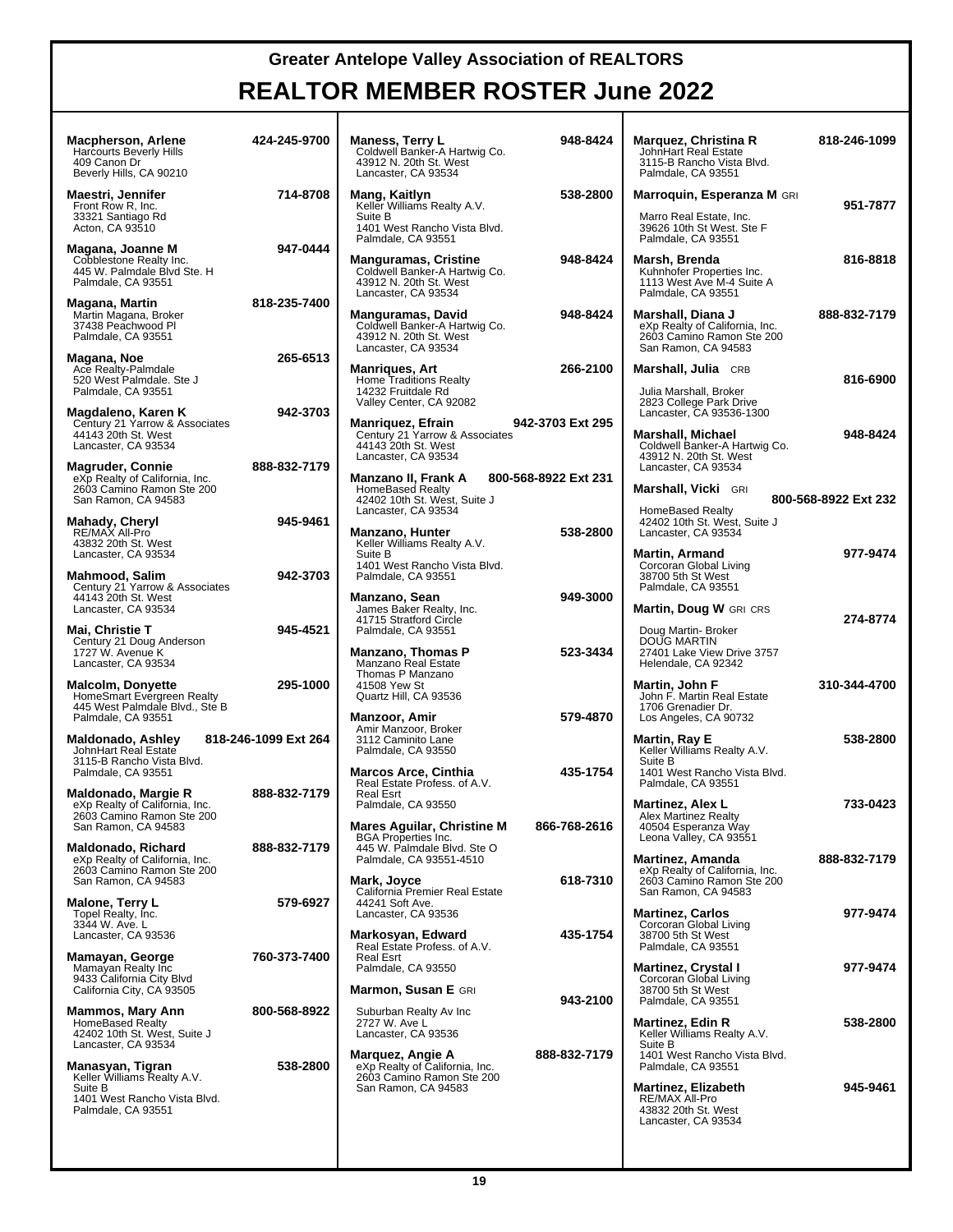| <b>Macpherson, Arlene</b><br><b>Harcourts Beverly Hills</b><br>409 Canon Dr<br>Beverly Hills, CA 90210           | 424-245-9700         | <b>Maness, Terry L</b><br>Coldwell Banker-A Hartwig Co.<br>43912 N. 20th St. West<br>Lancaster, CA 93534                  | 948-8424             | Marquez, Christina R<br>John Hart Real Estate<br>3115-B Rancho Vista Blvd.<br>Palmdale, CA 93551                 | 818-246-1099         |
|------------------------------------------------------------------------------------------------------------------|----------------------|---------------------------------------------------------------------------------------------------------------------------|----------------------|------------------------------------------------------------------------------------------------------------------|----------------------|
| Maestri, Jennifer<br>Front Row R, Inc.<br>33321 Santiago Rd<br>Acton, CA 93510                                   | 714-8708             | Mang, Kaitlyn<br>Keller Williams Realty A.V.<br>Suite B<br>1401 West Rancho Vista Blvd.<br>Palmdale, CA 93551             | 538-2800             | <b>Marroquin, Esperanza M GRI</b><br>Marro Real Estate, Inc.<br>39626 10th St West. Ste F<br>Palmdale, CA 93551  | 951-7877             |
| Magana, Joanne M<br>Cobblestone Realty Inc.<br>445 W. Palmdale Blvd Ste. H<br>Palmdale, CA 93551                 | 947-0444             | Manguramas, Cristine<br>Coldwell Banker-A Hartwig Co.<br>43912 N. 20th St. West<br>Lancaster, CA 93534                    | 948-8424             | Marsh, Brenda<br>Kuhnhofer Properties Inc.<br>1113 West Ave M-4 Suite A<br>Palmdale, CA 93551                    | 816-8818             |
| Magana, Martin<br>Martin Magana, Broker<br>37438 Peachwood Pl<br>Palmdale, CA 93551                              | 818-235-7400         | <b>Manguramas, David</b><br>Coldwell Banker-A Hartwig Co.<br>43912 N. 20th St. West<br>Lancaster, CA 93534                | 948-8424             | Marshall, Diana J<br>eXp Realty of California, Inc.<br>2603 Camino Ramon Ste 200<br>San Ramon, CA 94583          | 888-832-7179         |
| Magana, Noe<br>Ace Realty-Palmdale<br>520 West Palmdale. Ste J<br>Palmdale, CA 93551                             | 265-6513             | Manriques, Art<br>Home Traditions Realty<br>14232 Fruitdale Rd<br>Valley Center, CA 92082                                 | 266-2100             | Marshall, Julia CRB<br>Julia Marshall, Broker<br>2823 College Park Drive                                         | 816-6900             |
| Magdaleno, Karen K<br>Century 21 Yarrow & Associates<br>44143 20th St. West<br>Lancaster, CA 93534               | 942-3703             | Manriquez, Efrain<br>Century 21 Yarrow & Associates<br>44143 20th St. West                                                | 942-3703 Ext 295     | Lancaster, CA 93536-1300<br><b>Marshall, Michael</b><br>Coldwell Banker-A Hartwig Co.                            | 948-8424             |
| <b>Magruder, Connie</b><br>eXp Realty of California, Inc.<br>2603 Camino Ramon Ste 200<br>San Ramon, CA 94583    | 888-832-7179         | Lancaster, CA 93534<br>Manzano II, Frank A<br><b>HomeBased Realty</b><br>42402 10th St. West, Suite J                     | 800-568-8922 Ext 231 | 43912 N. 20th St. West<br>Lancaster, CA 93534<br>Marshall, Vicki GRI                                             | 800-568-8922 Ext 232 |
| Mahady, Cheryl<br>RE/MAX All-Pro<br>43832 20th St. West<br>Lancaster, CA 93534                                   | 945-9461             | Lancaster, CA 93534<br><b>Manzano, Hunter</b><br>Keller Williams Realty A.V.<br>Suite B                                   | 538-2800             | <b>HomeBased Realty</b><br>42402 10th St. West, Suite J<br>Lancaster, CA 93534<br><b>Martin, Armand</b>          | 977-9474             |
| Mahmood, Salim<br>Century 21 Yarrow & Associates<br>44143 20th St. West                                          | 942-3703             | 1401 West Rancho Vista Blvd.<br>Palmdale, CA 93551<br>Manzano, Sean                                                       | 949-3000             | Corcoran Global Living<br>38700 5th St West<br>Palmdale, CA 93551                                                |                      |
| Lancaster, CA 93534<br>Mai, Christie T<br>Century 21 Doug Anderson<br>1727 W. Avenue K                           | 945-4521             | James Baker Realty, Inc.<br>41715 Stratford Circle<br>Palmdale, CA 93551<br>Manzano, Thomas P                             | 523-3434             | Martin, Doug W GRI CRS<br>Doug Martin-Broker<br>DOUG MARTIN<br>27401 Lake View Drive 3757                        | 274-8774             |
| Lancaster, CA 93534<br><b>Malcolm, Donyette</b><br>HomeSmart Evergreen Realty<br>445 West Palmdale Blvd., Ste B  | 295-1000             | Manzano Real Estate<br>Thomas P Manzano<br>41508 Yew St<br>Quartz Hill, CA 93536                                          |                      | Helendale, CA 92342<br>Martin, John F<br>John F. Martin Real Estate<br>1706 Grenadier Dr.                        | 310-344-4700         |
| Palmdale, CA 93551<br>Maldonado, Ashley<br>JohnHart Real Estate<br>3115-B Rancho Vista Blvd.                     | 818-246-1099 Ext 264 | Manzoor, Amir<br>Amir Manzoor, Broker<br>3112 Caminito Lane<br>Palmdale, CA 93550                                         | 579-4870             | Los Angeles, CA 90732<br>Martin, Ray E<br>Keller Williams Realty A.V.<br>Suite B                                 | 538-2800             |
| Palmdale, CA 93551<br>Maldonado, Margie R<br>eXp Realty of California. Inc.                                      | 888-832-7179         | Marcos Arce, Cinthia<br>Real Estate Profess. of A.V.<br>Real Esrt<br>Palmdale, CA 93550                                   | 435-1754             | 1401 West Rancho Vista Blvd.<br>Palmdale, CA 93551<br><b>Martinez, Alex L</b>                                    | 733-0423             |
| 2603 Camino Ramon Ste 200<br>San Ramon, CA 94583<br>Maldonado, Richard<br>eXp Realty of California, Inc.         | 888-832-7179         | <b>Mares Aguilar, Christine M</b><br><b>BGA Properties Inc.</b><br>445 W. Palmdale Blvd. Ste O<br>Palmdale, CA 93551-4510 | 866-768-2616         | Alex Martinez Realty<br>40504 Esperanza Way<br>Leona Valley, CA 93551<br><b>Martinez, Amanda</b>                 | 888-832-7179         |
| 2603 Camino Ramon Ste 200<br>San Ramon, CA 94583<br><b>Malone, Terry L</b>                                       | 579-6927             | Mark, Joyce<br>California Premier Real Estate<br>44241 Soft Ave.                                                          | 618-7310             | eXp Realty of California, Inc.<br>2603 Camino Ramon Ste 200<br>San Ramon, CA 94583                               |                      |
| Topel Realty, Inc.<br>3344 W. Ave. L<br>Lancaster, CA 93536<br>Mamayan, George                                   | 760-373-7400         | Lancaster, CA 93536<br>Markosyan, Edward<br>Real Estate Profess. of A.V.<br>Real Esrt                                     | 435-1754             | <b>Martinez, Carlos</b><br>Corcoran Global Living<br>38700 5th St West<br>Palmdale, CA 93551                     | 977-9474             |
| Mamayan Realty Inc<br>9433 California City Blvd<br>California City, CA 93505                                     |                      | Palmdale, CA 93550<br>Marmon, Susan E GRI                                                                                 | 943-2100             | <b>Martinez, Crystal I</b><br>Corcoran Global Living<br>38700 5th St West<br>Palmdale, CA 93551                  | 977-9474             |
| <b>Mammos, Mary Ann</b><br>HomeBased Realty<br>42402 10th St. West, Suite J<br>Lancaster, CA 93534               | 800-568-8922         | Suburban Realty Av Inc<br>2727 W. Ave L<br>Lancaster, CA 93536<br>Marquez, Angie A                                        | 888-832-7179         | <b>Martinez, Edin R</b><br>Keller Williams Realty A.V.<br>Suite B<br>1401 West Rancho Vista Blvd.                | 538-2800             |
| Manasyan, Tigran<br>Keller Williams Realty A.V.<br>Suite B<br>1401 West Rancho Vista Blvd.<br>Palmdale, CA 93551 | 538-2800             | eXp Realty of California, Inc.<br>2603 Camino Ramon Ste 200<br>San Ramon, CA 94583                                        |                      | Palmdale, CA 93551<br><b>Martinez, Elizabeth</b><br>RE/MAX All-Pro<br>43832 20th St. West<br>Lancaster, CA 93534 | 945-9461             |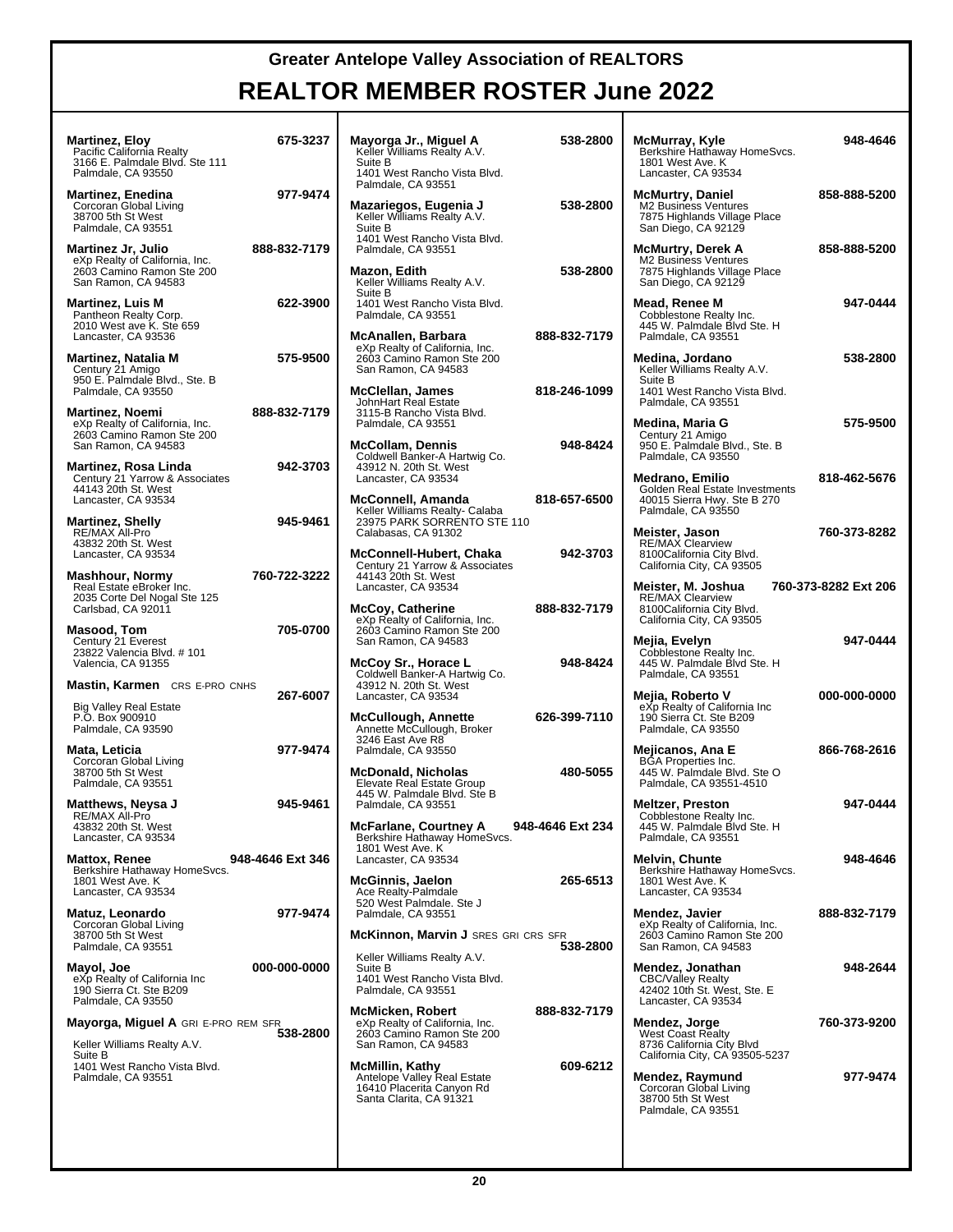**REALTOR MEMBER ROSTER June 2022**

**McMurray, Kyle 948-4646**

**McMurtry, Daniel 858-888-5200**

**McMurtry, Derek A 858-888-5200**

**Mead, Renee M 947-0444**

**Medina, Jordano 538-2800**

**Medina, Maria G 575-9500**

**Medrano, Emilio 818-462-5676**

**Meister, Jason 760-373-8282**

**Mejia, Evelyn 947-0444**

000-000-0000

**Mejicanos, Ana E 866-768-2616**

**Meltzer, Preston 947-0444**

**Melvin, Chunte 948-4646**

**Mendez, Jonathan 948-2644**

**Mendez, Raymund 977-9474**

**Mendez, Javier 888-832-7179**

**Mendez, Jorge 760-373-9200**

**Meister, M. Joshua 760-373-8282 Ext 206**

| <b>Martinez, Eloy</b><br>Pacific California Realty<br>3166 E. Palmdale Blvd. Ste 111<br>Palmdale, CA 93550      | 675-3237         | Mayorga Jr., Miguel A<br>Keller Williams Realty A.V.<br>Suite B<br>1401 West Rancho Vista Blvd.                       | 538-2800         | McMurray, Kyle<br>Berkshire Hathaway HomeSvcs.<br>1801 West Ave. K<br>Lancaster, CA 93534                       |
|-----------------------------------------------------------------------------------------------------------------|------------------|-----------------------------------------------------------------------------------------------------------------------|------------------|-----------------------------------------------------------------------------------------------------------------|
| <b>Martinez, Enedina</b><br>Corcoran Global Living<br>38700 5th St West<br>Palmdale, CA 93551                   | 977-9474         | Palmdale, CA 93551<br>Mazariegos, Eugenia J<br>Keller Williams Realty A.V.<br>Suite B<br>1401 West Rancho Vista Blvd. | 538-2800         | <b>McMurtry, Daniel</b><br>M2 Business Ventures<br>7875 Highlands Village Place<br>San Diego, CA 92129          |
| <b>Martinez Jr, Julio</b><br>eXp Realty of California, Inc.<br>2603 Camino Ramon Ste 200<br>San Ramon, CA 94583 | 888-832-7179     | Palmdale, CA 93551<br>Mazon, Edith<br>Keller Williams Realty A.V.                                                     | 538-2800         | McMurtry, Derek A<br>M2 Business Ventures<br>7875 Highlands Village Place<br>San Diego, CA 92129                |
| <b>Martinez, Luis M</b><br>Pantheon Realty Corp.<br>2010 West ave K. Ste 659<br>Lancaster, CA 93536             | 622-3900         | Suite B<br>1401 West Rancho Vista Blvd.<br>Palmdale, CA 93551<br>McAnallen, Barbara                                   | 888-832-7179     | Mead, Renee M<br>Cobblestone Realty Inc.<br>445 W. Palmdale Blvd Ste. H<br>Palmdale, CA 93551                   |
| <b>Martinez, Natalia M</b><br>Century 21 Amigo<br>950 E. Palmdale Blvd., Ste. B                                 | 575-9500         | eXp Realty of California, Inc.<br>2603 Camino Ramon Ste 200<br>San Ramon, CA 94583<br>McClellan, James                | 818-246-1099     | Medina, Jordano<br>Keller Williams Realty A.V.<br>Suite B<br>1401 West Rancho Vista Blvd.                       |
| Palmdale, CA 93550<br><b>Martinez, Noemi</b><br>eXp Realty of California, Inc.<br>2603 Camino Ramon Ste 200     | 888-832-7179     | JohnHart Real Estate<br>3115-B Rancho Vista Blvd.<br>Palmdale, CA 93551                                               |                  | Palmdale, CA 93551<br>Medina, Maria G<br>Century 21 Amigo                                                       |
| San Ramon, CA 94583<br>Martinez, Rosa Linda<br>Century 21 Yarrow & Associates                                   | 942-3703         | <b>McCollam, Dennis</b><br>Coldwell Banker-A Hartwig Co.<br>43912 N. 20th St. West<br>Lancaster, CA 93534             | 948-8424         | 950 E. Palmdale Blvd., Ste. B<br>Palmdale, CA 93550<br><b>Medrano, Emilio</b>                                   |
| 44143 20th St. West<br>Lancaster, CA 93534<br><b>Martinez, Shelly</b><br>RE/MAX All-Pro                         | 945-9461         | <b>McConnell, Amanda</b><br>Keller Williams Realty- Calaba<br>23975 PARK SORRÉNTO STE 110<br>Calabasas, CA 91302      | 818-657-6500     | Golden Real Estate Investments<br>40015 Sierra Hwy. Ste B 270<br>Palmdale, CA 93550<br>Meister, Jason           |
| 43832 20th St. West<br>Lancaster, CA 93534<br><b>Mashhour, Normy</b>                                            | 760-722-3222     | McConnell-Hubert, Chaka<br>Century 21 Yarrow & Associates<br>44143 20th St. West                                      | 942-3703         | <b>RE/MAX Clearview</b><br>8100California City Blvd.<br>California City, CA 93505                               |
| Real Estate eBroker Inc.<br>2035 Corte Del Nogal Ste 125<br>Carlsbad, CA 92011<br>Masood, Tom                   | 705-0700         | Lancaster, CA 93534<br><b>McCoy, Catherine</b><br>eXp Realty of California, Inc.<br>2603 Camino Ramon Ste 200         | 888-832-7179     | 760-<br>Meister, M. Joshua<br><b>RE/MAX Clearview</b><br>8100California City Blvd.<br>California City, CA 93505 |
| Century 21 Everest<br>23822 Valencia Blvd. # 101<br>Valencia, CA 91355                                          |                  | San Ramon, CA 94583<br>McCoy Sr., Horace L<br>Coldwell Banker-A Hartwig Co.                                           | 948-8424         | Mejia, Evelyn<br>Cobblestone Realty Inc.<br>445 W. Palmdale Blvd Ste. H<br>Palmdale, CA 93551                   |
| <b>Mastin, Karmen</b> CRS E-PRO CNHS<br>Big Valley Real Estate<br>P.O. Box 900910<br>Palmdale, CA 93590         | 267-6007         | 43912 N. 20th St. West<br>Lancaster, CA 93534<br><b>McCullough, Annette</b><br>Annette McCullough, Broker             | 626-399-7110     | Mejia, Roberto V<br>eXp Realty of California Inc<br>190 Sierra Ct. Ste B209<br>Palmdale, CA 93550               |
| Mata, Leticia<br>Corcoran Global Living<br>38700 5th St West                                                    | 977-9474         | 3246 East Ave R8<br>Palmdale, CA 93550<br><b>McDonald, Nicholas</b>                                                   | 480-5055         | Mejicanos, Ana E<br><b>BGA Properties Inc.</b><br>445 W. Palmdale Blvd. Ste O                                   |
| Palmdale, CA 93551<br>Matthews, Neysa J<br>RE/MAX All-Pro                                                       | 945-9461         | Elevate Real Estate Group<br>445 W. Palmdale Blvd. Ste B<br>Palmdale, CA 93551                                        |                  | Palmdale, CA 93551-4510<br><b>Meltzer, Preston</b><br>Cobblestone Realty Inc.                                   |
| 43832 20th St. West<br>Lancaster, CA 93534<br><b>Mattox, Renee</b><br>Berkshire Hathaway HomeSvcs.              | 948-4646 Ext 346 | <b>McFarlane, Courtney A</b><br>Berkshire Hathaway HomeSvcs.<br>1801 West Ave. K<br>Lancaster, CA 93534               | 948-4646 Ext 234 | 445 W. Palmdale Blvd Ste. H<br>Palmdale, CA 93551<br><b>Melvin, Chunte</b><br>Berkshire Hathaway HomeSvcs.      |
| 1801 West Ave. K<br>Lancaster, CA 93534<br>Matuz, Leonardo                                                      | 977-9474         | <b>McGinnis, Jaelon</b><br>Ace Realty-Palmdale<br>520 West Palmdale. Ste J<br>Palmdale, CA 93551                      | 265-6513         | 1801 West Ave. K<br>Lancaster, CA 93534<br>Mendez, Javier                                                       |
| Corcoran Global Living<br>38700 5th St West<br>Palmdale, CA 93551                                               |                  | <b>McKinnon, Marvin J SRES GRI CRS SFR</b><br>Keller Williams Realty A.V.                                             | 538-2800         | eXp Realty of California, Inc.<br>2603 Camino Ramon Ste 200<br>San Ramon, CA 94583                              |
| Mayol, Joe<br>eXp Realty of California Inc<br>190 Sierra Ct. Ste B209<br>Palmdale, CA 93550                     | 000-000-0000     | Suite B<br>1401 West Rancho Vista Blvd.<br>Palmdale, CA 93551                                                         |                  | Mendez, Jonathan<br><b>CBC/Valley Realty</b><br>42402 10th St. West, Ste. E<br>Lancaster, CA 93534              |
| Mayorga, Miguel A GRI E-PRO REM SFR<br>Keller Williams Realty A.V.<br>Suite B                                   | 538-2800         | <b>McMicken, Robert</b><br>eXp Realty of California, Inc.<br>2603 Camino Ramon Ste 200<br>San Ramon, CA 94583         | 888-832-7179     | Mendez, Jorge<br><b>West Coast Realty</b><br>8736 California City Blvd<br>California City, CA 93505-5237        |
| 1401 West Rancho Vista Blvd.<br>Palmdale, CA 93551                                                              |                  | <b>McMillin, Kathy</b><br>Antelope Valley Real Estate<br>16410 Placerita Canyon Rd<br>Santa Clarita, CA 91321         | 609-6212         | Mendez, Raymund<br>Corcoran Global Living<br>38700 5th St West<br>Palmdale, CA 93551                            |
|                                                                                                                 |                  |                                                                                                                       |                  |                                                                                                                 |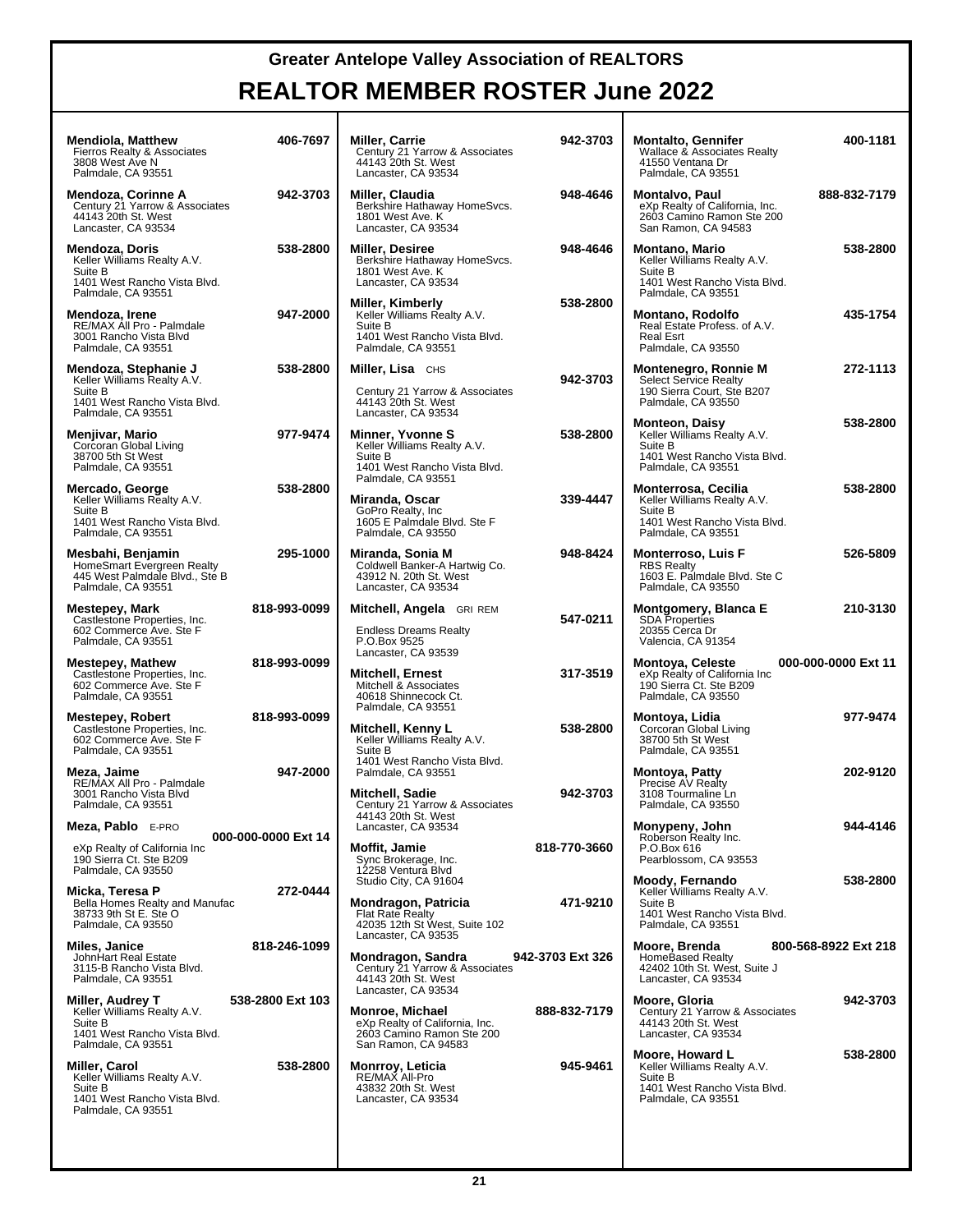| <b>Mendiola, Matthew</b><br>Fierros Realty & Associates<br>3808 West Ave N<br>Palmdale, CA 93551                     | 406-7697            | Miller, Carrie<br>Century 21 Yarrow & Associates<br>44143 20th St. West<br>Lancaster, CA 93534                               | 942-3703         | <b>Montalto, Gennifer</b><br><b>Wallace &amp; Associates Realty</b><br>41550 Ventana Dr<br>Palmdale, CA 93551         | 400-1181             |
|----------------------------------------------------------------------------------------------------------------------|---------------------|------------------------------------------------------------------------------------------------------------------------------|------------------|-----------------------------------------------------------------------------------------------------------------------|----------------------|
| Mendoza, Corinne A<br>Century 21 Yarrow & Associates<br>44143 20th St. West<br>Lancaster, CA 93534                   | 942-3703            | Miller, Claudia<br>Berkshire Hathaway HomeSvcs.<br>1801 West Ave. K<br>Lancaster, CA 93534                                   | 948-4646         | Montalvo, Paul<br>eXp Realty of California, Inc.<br>2603 Camino Ramon Ste 200<br>San Ramon, CA 94583                  | 888-832-7179         |
| Mendoza, Doris<br>Keller Williams Realty A.V.<br>Suite B<br>1401 West Rancho Vista Blvd.<br>Palmdale, CA 93551       | 538-2800            | <b>Miller, Desiree</b><br>Berkshire Hathaway HomeSvcs.<br>1801 West Ave. K<br>Lancaster, CA 93534                            | 948-4646         | <b>Montano, Mario</b><br>Keller Williams Realty A.V.<br>Suite B<br>1401 West Rancho Vista Blvd.<br>Palmdale, CA 93551 | 538-2800             |
| Mendoza, Irene<br>RE/MAX All Pro - Palmdale<br>3001 Rancho Vista Blvd<br>Palmdale, CA 93551                          | 947-2000            | Miller, Kimberly<br>Keller Williams Realty A.V.<br>Suite B<br>1401 West Rancho Vista Blvd.<br>Palmdale, CA 93551             | 538-2800         | <b>Montano, Rodolfo</b><br>Real Estate Profess. of A.V.<br><b>Real Esrt</b><br>Palmdale, CA 93550                     | 435-1754             |
| Mendoza, Stephanie J<br>Keller Williams Realty A.V.<br>Suite B<br>1401 West Rancho Vista Blvd.<br>Palmdale, CA 93551 | 538-2800            | Miller, Lisa CHS<br>Century 21 Yarrow & Associates<br>44143 20th St. West<br>Lancaster, CA 93534                             | 942-3703         | Montenegro, Ronnie M<br><b>Select Service Realty</b><br>190 Sierra Court, Ste B207<br>Palmdale, CA 93550              | 272-1113             |
| Menjivar, Mario<br>Corcoran Global Living<br>38700 5th St West<br>Palmdale, CA 93551                                 | 977-9474            | Minner, Yvonne S<br>Keller Williams Realty A.V.<br>Suite B<br>1401 West Rancho Vista Blvd.<br>Palmdale, CA 93551             | 538-2800         | <b>Monteon, Daisy</b><br>Keller Williams Realty A.V.<br>Suite B<br>1401 West Rancho Vista Blvd.<br>Palmdale, CA 93551 | 538-2800             |
| Mercado, George<br>Keller Williams Realty A.V.<br>Suite B<br>1401 West Rancho Vista Blvd.<br>Palmdale, CA 93551      | 538-2800            | Miranda, Oscar<br>GoPro Realty, Inc.<br>1605 E Palmdale Blvd. Ste F<br>Palmdale, CA 93550                                    | 339-4447         | Monterrosa, Cecilia<br>Keller Williams Realty A.V.<br>Suite B<br>1401 West Rancho Vista Blvd.<br>Palmdale, CA 93551   | 538-2800             |
| Mesbahi, Benjamin<br>HomeSmart Evergreen Realty<br>445 West Palmdale Blvd., Ste B<br>Palmdale, CA 93551              | 295-1000            | Miranda, Sonia M<br>Coldwell Banker-A Hartwig Co.<br>43912 N. 20th St. West<br>Lancaster, CA 93534                           | 948-8424         | <b>Monterroso, Luis F</b><br><b>RBS Realty</b><br>1603 E. Palmdale Blvd. Ste C<br>Palmdale, CA 93550                  | 526-5809             |
| Mestepey, Mark<br>Castlestone Properties, Inc.<br>602 Commerce Ave. Ste F<br>Palmdale, CA 93551                      | 818-993-0099        | Mitchell, Angela GRI REM<br><b>Endless Dreams Realty</b><br>P.O.Box 9525                                                     | 547-0211         | Montgomery, Blanca E<br><b>SDA Properties</b><br>20355 Cerca Dr<br>Valencia, CA 91354                                 | 210-3130             |
| Mestepey, Mathew<br>Castlestone Properties, Inc.<br>602 Commerce Ave. Ste F<br>Palmdale, CA 93551                    | 818-993-0099        | Lancaster, CA 93539<br><b>Mitchell, Ernest</b><br>Mitchell & Associates<br>40618 Shinnecock Ct.                              | 317-3519         | <b>Montoya, Celeste</b><br>eXp Realty of California Inc<br>190 Sierra Ct. Ste B209<br>Palmdale, CA 93550              | 000-000-0000 Ext 11  |
| Mestepey, Robert<br>Castlestone Properties, Inc.<br>602 Commerce Ave. Ste F<br>Palmdale, CA 93551                    | 818-993-0099        | Palmdale, CA 93551<br>Mitchell, Kenny L<br>Keller Williams Realty A.V.<br>Suite B<br>1401 West Rancho Vista Blvd.            | 538-2800         | Montoya, Lidia<br>Corcoran Global Living<br>38700 5th St West<br>Palmdale, CA 93551                                   | 977-9474             |
| Meza, Jaime<br>RE/MAX All Pro - Palmdale<br>3001 Rancho Vista Blvd<br>Palmdale, CA 93551                             | 947-2000            | Palmdale, CA 93551<br>Mitchell, Sadie<br>Century 21 Yarrow & Associates<br>44143 20th St. West                               | 942-3703         | <b>Montoya, Patty</b><br>Precise AV Realty<br>3108 Tourmaline Ln<br>Palmdale, CA 93550                                | 202-9120             |
| Meza, Pablo E-PRO<br>eXp Realty of California Inc<br>190 Sierra Ct. Ste B209<br>Palmdale, CA 93550                   | 000-000-0000 Ext 14 | Lancaster, CA 93534<br>Moffit, Jamie<br>Sync Brokerage, Inc.<br>12258 Ventura Blvd                                           | 818-770-3660     | Monypeny, John<br>Roberson Realty Inc.<br>P.O.Box 616<br>Pearblossom, CA 93553                                        | 944-4146             |
| Micka, Teresa P<br>Bella Homes Realty and Manufac<br>38733 9th St E. Ste O<br>Palmdale, CA 93550                     | 272-0444            | Studio City, CA 91604<br>Mondragon, Patricia<br>Flat Rate Realty<br>42035 12th St West, Suite 102                            | 471-9210         | Moody, Fernando<br>Keller Williams Realty A.V.<br>Suite B<br>1401 West Rancho Vista Blvd.<br>Palmdale, CA 93551       | 538-2800             |
| Miles, Janice<br>JohnHart Real Estate<br>3115-B Rancho Vista Blvd.<br>Palmdale, CA 93551                             | 818-246-1099        | Lancaster, CA 93535<br>Mondragon, Sandra<br>Century 21 Yarrow & Associates<br>44143 20th St. West                            | 942-3703 Ext 326 | Moore, Brenda<br>HomeBased Realty<br>42402 10th St. West, Suite J<br>Lancaster, CA 93534                              | 800-568-8922 Ext 218 |
| Miller, Audrey T<br>Keller Williams Realty A.V.<br>Suite B<br>1401 West Rancho Vista Blvd.<br>Palmdale, CA 93551     | 538-2800 Ext 103    | Lancaster, CA 93534<br>Monroe, Michael<br>eXp Realty of California, Inc.<br>2603 Camino Ramon Ste 200<br>San Ramon, CA 94583 | 888-832-7179     | Moore, Gloria<br>Century 21 Yarrow & Associates<br>44143 20th St. West<br>Lancaster, CA 93534                         | 942-3703             |
| Miller, Carol<br>Keller Williams Realty A.V.<br>Suite B<br>1401 West Rancho Vista Blvd.<br>Palmdale, CA 93551        | 538-2800            | Monrroy, Leticia<br>RE/MAX All-Pro<br>43832 20th St. West<br>Lancaster, CA 93534                                             | 945-9461         | Moore, Howard L<br>Keller Williams Realty A.V.<br>Suite B<br>1401 West Rancho Vista Blvd.<br>Palmdale, CA 93551       | 538-2800             |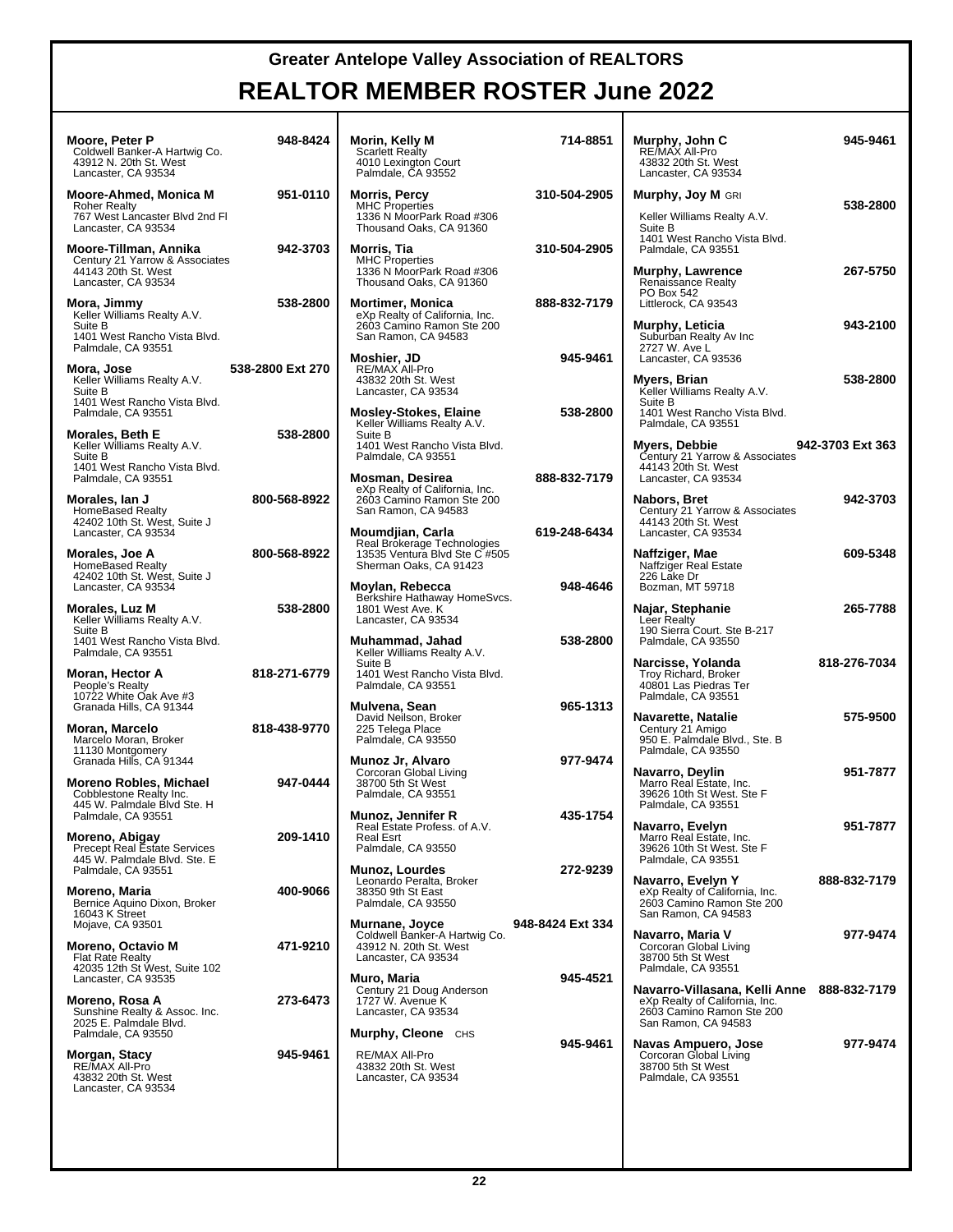| Moore, Peter P<br>Coldwell Banker-A Hartwig Co.<br>43912 N. 20th St. West<br>Lancaster, CA 93534         | 948-8424         | Morin, Kelly M<br><b>Scarlett Realty</b><br>4010 Lexington Court<br>Palmdale, CA 93552                        | 714-8851         | Murphy, John C<br>RE/MAX All-Pro<br>43832 20th St. West<br>Lancaster, CA 93534                                                   | 945-9461         |
|----------------------------------------------------------------------------------------------------------|------------------|---------------------------------------------------------------------------------------------------------------|------------------|----------------------------------------------------------------------------------------------------------------------------------|------------------|
| Moore-Ahmed, Monica M<br><b>Roher Realty</b><br>767 West Lancaster Blvd 2nd Fl<br>Lancaster, CA 93534    | 951-0110         | <b>Morris, Percy</b><br><b>MHC Properties</b><br>1336 N MoorPark Road #306<br>Thousand Oaks, CA 91360         | 310-504-2905     | <b>Murphy, Joy M GRI</b><br>Keller Williams Realty A.V.<br>Suite B                                                               | 538-2800         |
| Moore-Tillman, Annika<br>Century 21 Yarrow & Associates<br>44143 20th St. West<br>Lancaster, CA 93534    | 942-3703         | Morris, Tia<br><b>MHC Properties</b><br>1336 N MoorPark Road #306<br>Thousand Oaks, CA 91360                  | 310-504-2905     | 1401 West Rancho Vista Blvd.<br>Palmdale, CA 93551<br><b>Murphy, Lawrence</b><br><b>Renaissance Realty</b>                       | 267-5750         |
| Mora, Jimmy<br>Keller Williams Realty A.V.<br>Suite B<br>1401 West Rancho Vista Blvd.                    | 538-2800         | <b>Mortimer, Monica</b><br>eXp Realty of California, Inc.<br>2603 Camino Ramon Ste 200<br>San Ramon, CA 94583 | 888-832-7179     | PO Box 542<br>Littlerock, CA 93543<br>Murphy, Leticia<br>Suburban Realty Av Inc                                                  | 943-2100         |
| Palmdale, CA 93551<br>Mora, Jose<br>Keller Williams Realty A.V.<br>Suite B                               | 538-2800 Ext 270 | Moshier, JD<br>RE/MAX All-Pro<br>43832 20th St. West<br>Lancaster, CA 93534                                   | 945-9461         | 2727 W. Ave L<br>Lancaster, CA 93536<br>Myers, Brian<br>Keller Williams Realty A.V.                                              | 538-2800         |
| 1401 West Rancho Vista Blvd.<br>Palmdale, CA 93551<br>Morales, Beth E                                    | 538-2800         | <b>Mosley-Stokes, Elaine</b><br>Keller Williams Realty A.V.<br>Suite B                                        | 538-2800         | Suite B<br>1401 West Rancho Vista Blvd.<br>Palmdale, CA 93551                                                                    |                  |
| Keller Williams Realty A.V.<br>Suite B<br>1401 West Rancho Vista Blvd.<br>Palmdale, CA 93551             |                  | 1401 West Rancho Vista Blvd.<br>Palmdale, CA 93551<br><b>Mosman, Desirea</b>                                  | 888-832-7179     | Myers, Debbie<br>Century 21 Yarrow & Associates<br>44143 20th St. West<br>Lancaster, CA 93534                                    | 942-3703 Ext 363 |
| Morales, Ian J<br><b>HomeBased Realty</b><br>42402 10th St. West, Suite J<br>Lancaster, CA 93534         | 800-568-8922     | eXp Realty of California, Inc.<br>2603 Camino Ramon Ste 200<br>San Ramon, CA 94583<br>Moumdjian, Carla        | 619-248-6434     | Nabors, Bret<br>Century 21 Yarrow & Associates<br>44143 20th St. West<br>Lancaster, CA 93534                                     | 942-3703         |
| Morales, Joe A<br><b>HomeBased Realty</b><br>42402 10th St. West, Suite J                                | 800-568-8922     | Real Brokerage Technologies<br>13535 Ventura Blvd Ste C #505<br>Sherman Oaks, CA 91423                        |                  | Naffziger, Mae<br>Naffziger Real Estate<br>226 Lake Dr                                                                           | 609-5348         |
| Lancaster, CA 93534<br><b>Morales, Luz M</b><br>Keller Williams Realty A.V.<br>Suite B                   | 538-2800         | Moylan, Rebecca<br>Berkshire Hathaway HomeSvcs.<br>1801 West Ave. K<br>Lancaster, CA 93534                    | 948-4646         | Bozman, MT 59718<br>Najar, Stephanie<br>Leer Realty<br>190 Sierra Court. Ste B-217                                               | 265-7788         |
| 1401 West Rancho Vista Blvd.<br>Palmdale, CA 93551                                                       |                  | Muhammad, Jahad<br>Keller Williams Realty A.V.<br>Suite B                                                     | 538-2800         | Palmdale, CA 93550<br>Narcisse, Yolanda                                                                                          | 818-276-7034     |
| Moran, Hector A<br>People's Realty<br>10722 White Oak Ave #3<br>Granada Hills, CA 91344                  | 818-271-6779     | 1401 West Rancho Vista Blvd.<br>Palmdale, CA 93551<br>Mulvena, Sean                                           | 965-1313         | Troy Richard, Broker<br>40801 Las Piedras Ter<br>Palmdale, CA 93551                                                              |                  |
| <b>Moran, Marcelo</b><br>Marcelo Moran, Broker<br>11130 Montgomery<br>Granada Hills, CA 91344            | 818-438-9770     | David Neilson, Broker<br>225 Telega Place<br>Palmdale, CA 93550<br>Munoz Jr, Alvaro                           | 977-9474         | Navarette, Natalie<br>Century 21 Amigo<br>950 E. Palmdale Blvd., Ste. B<br>Palmdale, CA 93550                                    | 575-9500         |
| <b>Moreno Robles, Michael</b><br>Cobblestone Realty Inc.<br>445 W. Palmdale Blvd Ste. H                  | 947-0444         | Corcoran Global Living<br>38700 5th St West<br>Palmdale, CA 93551                                             |                  | Navarro, Deylin<br>Marro Real Estate, Inc.<br>39626 10th St West. Ste F<br>Palmdale, CA 93551                                    | 951-7877         |
| Palmdale, CA 93551<br>Moreno, Abigay<br>Precept Real Estate Services<br>445 W. Palmdale Blvd. Ste. E     | 209-1410         | Munoz, Jennifer R<br>Real Estate Profess. of A.V.<br>Real Esrt<br>Palmdale, CA 93550                          | 435-1754         | Navarro, Evelyn<br>Marro Real Estate, Inc.<br>39626 10th St West. Ste F<br>Palmdale, CA 93551                                    | 951-7877         |
| Palmdale, CA 93551<br>Moreno, Maria<br>Bernice Aquino Dixon, Broker<br>16043 K Street                    | 400-9066         | <b>Munoz, Lourdes</b><br>Leonardo Peralta, Broker<br>38350 9th St East<br>Palmdale, CA 93550                  | 272-9239         | Navarro, Evelyn Y<br>eXp Realty of California, Inc.<br>2603 Camino Ramon Ste 200<br>San Ramon, CA 94583                          | 888-832-7179     |
| Mojave, CA 93501<br><b>Moreno, Octavio M</b><br><b>Flat Rate Realty</b><br>42035 12th St West, Suite 102 | 471-9210         | Murnane, Joyce<br>Coldwell Banker-A Hartwig Co.<br>43912 N. 20th St. West<br>Lancaster, CA 93534              | 948-8424 Ext 334 | Navarro, Maria V<br>Corcoran Global Living<br>38700 5th St West<br>Palmdale, CA 93551                                            | 977-9474         |
| Lancaster, CA 93535<br>Moreno, Rosa A<br>Sunshine Realty & Assoc. Inc.<br>2025 E. Palmdale Blvd.         | 273-6473         | Muro, Maria<br>Century 21 Doug Anderson<br>1727 W. Avenue K<br>Lancaster, CA 93534                            | 945-4521         | Navarro-Villasana, Kelli Anne 888-832-7179<br>eXp Realty of California, Inc.<br>2603 Camino Ramon Ste 200<br>San Ramon, CA 94583 |                  |
| Palmdale, CA 93550<br>Morgan, Stacy<br>RE/MAX All-Pro<br>43832 20th St. West<br>Lancaster, CA 93534      | 945-9461         | <b>Murphy, Cleone</b> CHS<br>RE/MAX All-Pro<br>43832 20th St. West<br>Lancaster, CA 93534                     | 945-9461         | Navas Ampuero, Jose<br>Corcoran Global Living<br>38700 5th St West<br>Palmdale, CA 93551                                         | 977-9474         |
|                                                                                                          |                  |                                                                                                               |                  |                                                                                                                                  |                  |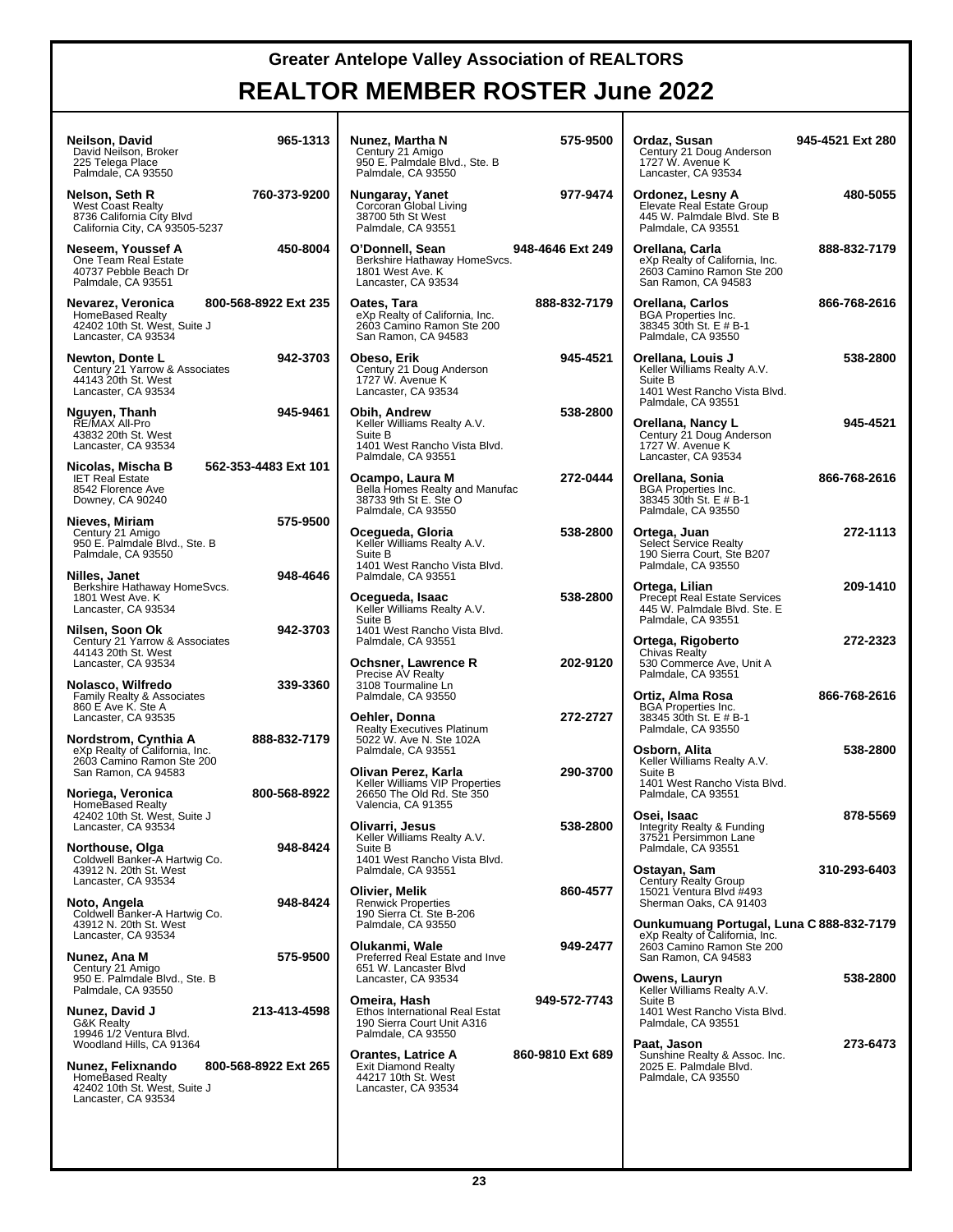| Neilson, David<br>David Neilson, Broker<br>225 Telega Place<br>Palmdale, CA 93550                                                                   | 965-1313             | Nunez, Martha N<br>Century 21 Amigo<br>950 E. Palmdale Blvd., Ste. B<br>Palmdale, CA 93550                                  | 575-9500         | Ordaz, Susan<br>Century 21 Doug Anderson<br>1727 W. Avenue K<br>Lancaster, CA 93534                                   | 945-4521 Ext 280 |
|-----------------------------------------------------------------------------------------------------------------------------------------------------|----------------------|-----------------------------------------------------------------------------------------------------------------------------|------------------|-----------------------------------------------------------------------------------------------------------------------|------------------|
| Nelson, Seth R<br><b>West Coast Realty</b><br>8736 California City Blvd<br>California City, CA 93505-5237                                           | 760-373-9200         | Nungaray, Yanet<br>Corcoran Global Living<br>38700 5th St West<br>Palmdale, CA 93551                                        | 977-9474         | Ordonez, Lesny A<br>Elevate Real Estate Group<br>445 W. Palmdale Blvd. Ste B<br>Palmdale, CA 93551                    | 480-5055         |
| Neseem, Youssef A<br>One Team Real Estate<br>40737 Pebble Beach Dr<br>Palmdale, CA 93551                                                            | 450-8004             | O'Donnell, Sean<br>Berkshire Hathaway HomeSvcs.<br>1801 West Ave. K<br>Lancaster, CA 93534                                  | 948-4646 Ext 249 | Orellana, Carla<br>eXp Realty of California, Inc.<br>2603 Camino Ramon Ste 200<br>San Ramon, CA 94583                 | 888-832-7179     |
| Nevarez, Veronica<br><b>HomeBased Realty</b><br>42402 10th St. West, Suite J<br>Lancaster, CA 93534                                                 | 800-568-8922 Ext 235 | Oates, Tara<br>eXp Realty of California, Inc.<br>2603 Camino Ramon Ste 200<br>San Ramon, CA 94583                           | 888-832-7179     | Orellana, Carlos<br><b>BGA Properties Inc.</b><br>38345 30th St. E # B-1<br>Palmdale, CA 93550                        | 866-768-2616     |
| Newton, Donte L<br>Century 21 Yarrow & Associates<br>44143 20th St. West<br>Lancaster, CA 93534                                                     | 942-3703             | Obeso, Erik<br>Century 21 Doug Anderson<br>1727 W. Avenue K<br>Lancaster, CA 93534                                          | 945-4521         | Orellana, Louis J<br>Keller Williams Realty A.V.<br>Suite B<br>1401 West Rancho Vista Blvd.<br>Palmdale, CA 93551     | 538-2800         |
| Nguyen, Thanh<br>RE/MAX All-Pro<br>43832 20th St. West<br>Lancaster, CA 93534                                                                       | 945-9461             | Obih, Andrew<br>Keller Williams Realty A.V.<br>Suite B<br>1401 West Rancho Vista Blvd.<br>Palmdale, CA 93551                | 538-2800         | Orellana, Nancy L<br>Century 21 Doug Anderson<br>1727 W. Avenue K<br>Lancaster, CA 93534                              | 945-4521         |
| Nicolas, Mischa B<br><b>IET Real Estate</b><br>8542 Florence Ave<br>Downey, CA 90240                                                                | 562-353-4483 Ext 101 | Ocampo, Laura M<br>Bella Homes Realty and Manufac<br>38733 9th St E. Ste O<br>Palmdale, CA 93550                            | 272-0444         | Orellana, Sonia<br><b>BGA Properties Inc.</b><br>38345 30th St. E # B-1<br>Palmdale, CA 93550                         | 866-768-2616     |
| Nieves, Miriam<br>Century 21 Amigo<br>950 E. Palmdale Blvd., Ste. B<br>Palmdale, CA 93550                                                           | 575-9500             | Ocegueda, Gloria<br>Keller Williams Realty A.V.<br>Suite B<br>1401 West Rancho Vista Blvd.                                  | 538-2800         | Ortega, Juan<br><b>Select Service Realty</b><br>190 Sierra Court, Ste B207<br>Palmdale, CA 93550                      | 272-1113         |
| Nilles, Janet<br>Berkshire Hathaway HomeSvcs.<br>1801 West Ave. K<br>Lancaster, CA 93534                                                            | 948-4646             | Palmdale, CA 93551<br>Ocegueda, Isaac<br>Keller Williams Realty A.V.<br>Suite B                                             | 538-2800         | Ortega, Lilian<br><b>Precept Real Estate Services</b><br>445 W. Palmdale Blvd. Ste. E<br>Palmdale, CA 93551           | 209-1410         |
| Nilsen, Soon Ok<br>Century 21 Yarrow & Associates<br>44143 20th St. West<br>Lancaster, CA 93534                                                     | 942-3703             | 1401 West Rancho Vista Blvd.<br>Palmdale, CA 93551<br><b>Ochsner, Lawrence R</b>                                            | 202-9120         | Ortega, Rigoberto<br>Chivas Realty<br>530 Commerce Ave, Unit A                                                        | 272-2323         |
| Nolasco, Wilfredo<br>Family Realty & Associates<br>860 E Ave K. Ste A<br>Lancaster, CA 93535                                                        | 339-3360             | Precise AV Realty<br>3108 Tourmaline Ln<br>Palmdale, CA 93550<br>Oehler, Donna                                              | 272-2727         | Palmdale, CA 93551<br>Ortiz, Alma Rosa<br><b>BGA Properties Inc.</b><br>38345 30th St. E # B-1                        | 866-768-2616     |
| Nordstrom, Cynthia A<br>eXp Realty of California, Inc.<br>2603 Camino Ramon Ste 200                                                                 | 888-832-7179         | <b>Realty Executives Platinum</b><br>5022 W. Ave N. Ste 102A<br>Palmdale, CA 93551                                          |                  | Palmdale, CA 93550<br>Osborn, Alita<br>Keller Williams Realty A.V.                                                    | 538-2800         |
| San Ramon, CA 94583<br>Noriega, Veronica<br><b>HomeBased Realty</b><br>42402 10th St. West, Suite J                                                 | 800-568-8922         | Olivan Perez, Karla<br>Keller Williams VIP Properties<br>26650 The Old Rd. Ste 350<br>Valencia, CA 91355                    | 290-3700         | Suite B<br>1401 West Rancho Vista Blvd.<br>Palmdale, CA 93551<br>Osei, Isaac                                          | 878-5569         |
| Lancaster, CA 93534<br>Northouse, Olga<br>Coldwell Banker-A Hartwig Co.<br>43912 N. 20th St. West                                                   | 948-8424             | Olivarri, Jesus<br>Keller Williams Realty A.V.<br>Suite B<br>1401 West Rancho Vista Blvd.<br>Palmdale, CA 93551             | 538-2800         | Integrity Realty & Funding<br>37521 Persimmon Lane<br>Palmdale, CA 93551<br>Ostayan, Sam                              | 310-293-6403     |
| Lancaster, CA 93534<br>Noto, Angela<br>Coldwell Banker-A Hartwig Co.<br>43912 N. 20th St. West                                                      | 948-8424             | Olivier, Melik<br><b>Renwick Properties</b><br>190 Sierra Ct. Ste B-206<br>Palmdale, CA 93550                               | 860-4577         | Century Realty Group<br>15021 Ventura Blvd #493<br>Sherman Oaks, CA 91403<br>Ounkumuang Portugal, Luna C 888-832-7179 |                  |
| Lancaster, CA 93534<br>Nunez, Ana M<br>Century 21 Amigo                                                                                             | 575-9500             | Olukanmi, Wale<br>Preferred Real Estate and Inve<br>651 W. Lancaster Blvd                                                   | 949-2477         | eXp Realty of California, Inc.<br>2603 Camino Ramon Ste 200<br>San Ramon, CA 94583                                    |                  |
| 950 E. Palmdale Blvd., Ste. B<br>Palmdale, CA 93550<br>Nunez, David J<br><b>G&amp;K Realty</b>                                                      | 213-413-4598         | Lancaster, CA 93534<br>Omeira, Hash<br>Ethos International Real Estat<br>190 Sierra Court Unit A316                         | 949-572-7743     | Owens. Lauryn<br>Keller Williams Realty A.V.<br>Suite B<br>1401 West Rancho Vista Blvd.<br>Palmdale, CA 93551         | 538-2800         |
| 19946 1/2 Ventura Blvd.<br>Woodland Hills, CA 91364<br>Nunez, Felixnando<br>HomeBased Realty<br>42402 10th St. West, Suite J<br>Lancaster, CA 93534 | 800-568-8922 Ext 265 | Palmdale, CA 93550<br><b>Orantes, Latrice A</b><br><b>Exit Diamond Realty</b><br>44217 10th St. West<br>Lancaster, CA 93534 | 860-9810 Ext 689 | Paat, Jason<br>Sunshine Realty & Assoc. Inc.<br>2025 E. Palmdale Blvd.<br>Palmdale, CA 93550                          | 273-6473         |
|                                                                                                                                                     |                      |                                                                                                                             |                  |                                                                                                                       |                  |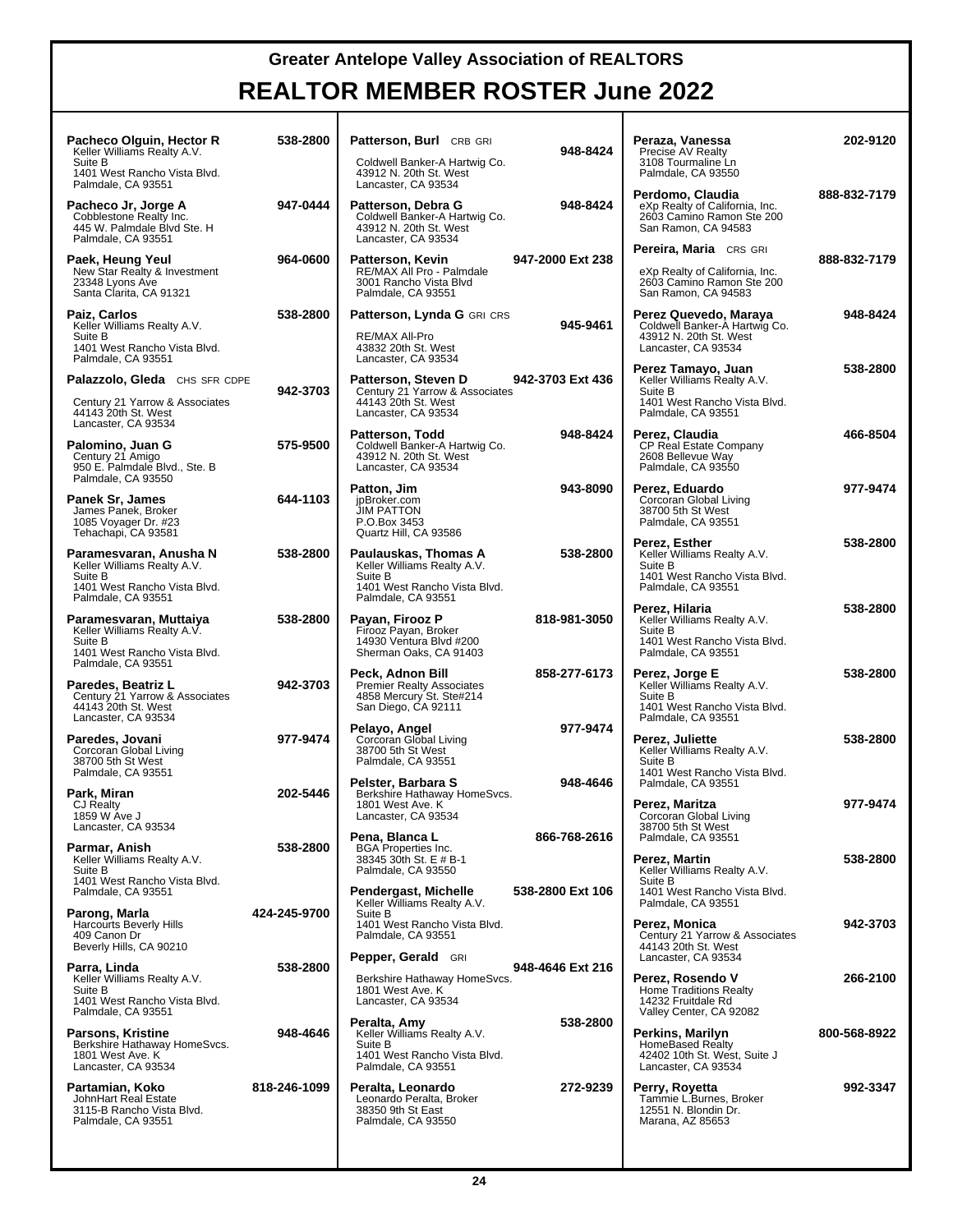| Pacheco Olguin, Hector R<br>Keller Williams Realty A.V.<br>Suite B<br>1401 West Rancho Vista Blvd.                        | 538-2800     | Patterson, Burl CRB GRI<br>Coldwell Banker-A Hartwig Co.<br>43912 N. 20th St. West                                          | 948-8424         | Peraza, Vanessa<br>Precise AV Realty<br>3108 Tourmaline Ln<br>Palmdale, CA 93550                                             | 202-9120     |
|---------------------------------------------------------------------------------------------------------------------------|--------------|-----------------------------------------------------------------------------------------------------------------------------|------------------|------------------------------------------------------------------------------------------------------------------------------|--------------|
| Palmdale, CA 93551<br>Pacheco Jr, Jorge A<br>Cobblestone Realty Inc.<br>445 W. Palmdale Blvd Ste. H<br>Palmdale, CA 93551 | 947-0444     | Lancaster, CA 93534<br>Patterson, Debra G<br>Coldwell Banker-A Hartwig Co.<br>43912 N. 20th St. West<br>Lancaster, CA 93534 | 948-8424         | Perdomo, Claudia<br>eXp Realty of California, Inc.<br>2603 Camino Ramon Ste 200<br>San Ramon, CA 94583                       | 888-832-7179 |
| Paek, Heung Yeul<br>New Star Realty & Investment<br>23348 Lyons Ave<br>Santa Clarita, CA 91321                            | 964-0600     | Patterson, Kevin<br>RE/MAX All Pro - Palmdale<br>3001 Rancho Vista Blvd<br>Palmdale, CA 93551                               | 947-2000 Ext 238 | Pereira, Maria CRS GRI<br>eXp Realty of California, Inc.<br>2603 Camino Ramon Ste 200<br>San Ramon, CA 94583                 | 888-832-7179 |
| Paiz, Carlos<br>Keller Williams Realty A.V.<br>Suite B<br>1401 West Rancho Vista Blvd.<br>Palmdale, CA 93551              | 538-2800     | Patterson, Lynda G GRI CRS<br>RE/MAX All-Pro<br>43832 20th St. West<br>Lancaster, CA 93534                                  | 945-9461         | Perez Quevedo, Maraya<br>Coldwell Banker-A Hartwig Co.<br>43912 N. 20th St. West<br>Lancaster, CA 93534                      | 948-8424     |
| Palazzolo, Gleda CHS SFR CDPE<br>Century 21 Yarrow & Associates<br>44143 20th St. West                                    | 942-3703     | Patterson, Steven D<br>Century 21 Yarrow & Associates<br>44143 20th St. West<br>Lancaster, CA 93534                         | 942-3703 Ext 436 | Perez Tamayo, Juan<br>Keller Williams Realty A.V.<br>Suite B<br>1401 West Rancho Vista Blvd.<br>Palmdale, CA 93551           | 538-2800     |
| Lancaster, CA 93534<br>Palomino, Juan G<br>Century 21 Amigo<br>950 E. Palmdale Blvd., Ste. B<br>Palmdale, CA 93550        | 575-9500     | Patterson, Todd<br>Coldwell Banker-A Hartwig Co.<br>43912 N. 20th St. West<br>Lancaster, CA 93534                           | 948-8424         | Perez, Claudia<br>CP Real Estate Company<br>2608 Bellevue Way<br>Palmdale, CA 93550                                          | 466-8504     |
| Panek Sr, James<br>James Panek, Broker<br>1085 Voyager Dr. #23<br>Tehachapi, CA 93581                                     | 644-1103     | Patton, Jim<br>jpBroker.com<br><b>JIM PATTON</b><br>P.O.Box 3453<br>Quartz Hill, CA 93586                                   | 943-8090         | Perez, Eduardo<br>Corcoran Global Living<br>38700 5th St West<br>Palmdale, CA 93551                                          | 977-9474     |
| Paramesvaran, Anusha N<br>Keller Williams Realty A.V.<br>Suite B<br>1401 West Rancho Vista Blvd.                          | 538-2800     | Paulauskas, Thomas A<br>Keller Williams Realty A.V.<br>Suite B<br>1401 West Rancho Vista Blvd.                              | 538-2800         | Perez, Esther<br>Keller Williams Realty A.V.<br>Suite B<br>1401 West Rancho Vista Blvd.<br>Palmdale, CA 93551                | 538-2800     |
| Palmdale, CA 93551<br>Paramesvaran, Muttaiya<br>Keller Williams Realty A.V.<br>Suite B<br>1401 West Rancho Vista Blvd.    | 538-2800     | Palmdale, CA 93551<br>Payan, Firooz P<br>Firooz Payan, Broker<br>14930 Ventura Blvd #200<br>Sherman Oaks, CA 91403          | 818-981-3050     | Perez, Hilaria<br>Keller Williams Realty A.V.<br>Suite B<br>1401 West Rancho Vista Blvd.<br>Palmdale, CA 93551               | 538-2800     |
| Palmdale, CA 93551<br>Paredes, Beatriz L<br>Century 21 Yarrow & Associates<br>44143 20th St. West                         | 942-3703     | Peck, Adnon Bill<br><b>Premier Realty Associates</b><br>4858 Mercury St. Ste#214<br>San Diego, CA 92111                     | 858-277-6173     | Perez, Jorge E<br>Keller Williams Realty A.V.<br>Suite B<br>1401 West Rancho Vista Blvd.                                     | 538-2800     |
| Lancaster, CA 93534<br>Paredes, Jovani<br>Corcoran Global Living<br>38700 5th St West<br>Palmdale, CA 93551               | 977-9474     | Pelayo, Angel<br>Corcoran Global Living<br>38700 5th St West<br>Palmdale, CA 93551                                          | 977-9474         | Palmdale, CA 93551<br>Perez, Juliette<br>Keller Williams Realty A.V.<br>Suite B<br>1401 West Rancho Vista Blvd.              | 538-2800     |
| Park, Miran<br>CJ Realty<br>1859 W Ave J<br>Lancaster, CA 93534                                                           | 202-5446     | Pelster, Barbara S<br>Berkshire Hathaway HomeSvcs.<br>1801 West Ave. K<br>Lancaster, CA 93534                               | 948-4646         | Palmdale, CA 93551<br>Perez, Maritza<br>Corcoran Global Living<br>38700 5th St West                                          | 977-9474     |
| Parmar, Anish<br>Keller Williams Realty A.V.<br>Suite B<br>1401 West Rancho Vista Blvd.                                   | 538-2800     | Pena, Blanca L<br><b>BGA</b> Properties Inc.<br>38345 30th St. E # B-1<br>Palmdale, CA 93550                                | 866-768-2616     | Palmdale, CA 93551<br>Perez, Martin<br>Keller Williams Realty A.V.<br>Suite B                                                | 538-2800     |
| Palmdale, CA 93551<br>Parong, Marla<br><b>Harcourts Beverly Hills</b><br>409 Canon Dr<br>Beverly Hills, CA 90210          | 424-245-9700 | Pendergast, Michelle<br>Keller Williams Realty A.V.<br>Suite B<br>1401 West Rancho Vista Blvd.<br>Palmdale, CA 93551        | 538-2800 Ext 106 | 1401 West Rancho Vista Blvd.<br>Palmdale, CA 93551<br>Perez, Monica<br>Century 21 Yarrow & Associates<br>44143 20th St. West | 942-3703     |
| Parra, Linda<br>Keller Williams Realty A.V.<br>Suite B<br>1401 West Rancho Vista Blvd.<br>Palmdale, CA 93551              | 538-2800     | <b>Pepper, Gerald GRI</b><br>Berkshire Hathaway HomeSvcs.<br>1801 West Ave. K<br>Lancaster, CA 93534                        | 948-4646 Ext 216 | Lancaster, CA 93534<br>Perez, Rosendo V<br><b>Home Traditions Realty</b><br>14232 Fruitdale Rd<br>Valley Center, CA 92082    | 266-2100     |
| Parsons, Kristine<br>Berkshire Hathaway HomeSvcs.<br>1801 West Ave. K<br>Lancaster, CA 93534                              | 948-4646     | Peralta, Amy<br>Keller Williams Realty A.V.<br>Suite B<br>1401 West Rancho Vista Blvd.<br>Palmdale, CA 93551                | 538-2800         | Perkins, Marilyn<br><b>HomeBased Realty</b><br>42402 10th St. West, Suite J<br>Lancaster, CA 93534                           | 800-568-8922 |
| Partamian, Koko<br>JohnHart Real Estate<br>3115-B Rancho Vista Blvd.<br>Palmdale, CA 93551                                | 818-246-1099 | Peralta, Leonardo<br>Leonardo Peralta, Broker<br>38350 9th St East<br>Palmdale, CA 93550                                    | 272-9239         | Perry, Royetta<br>Tammie L.Burnes, Broker<br>12551 N. Blondin Dr.<br>Marana, AZ 85653                                        | 992-3347     |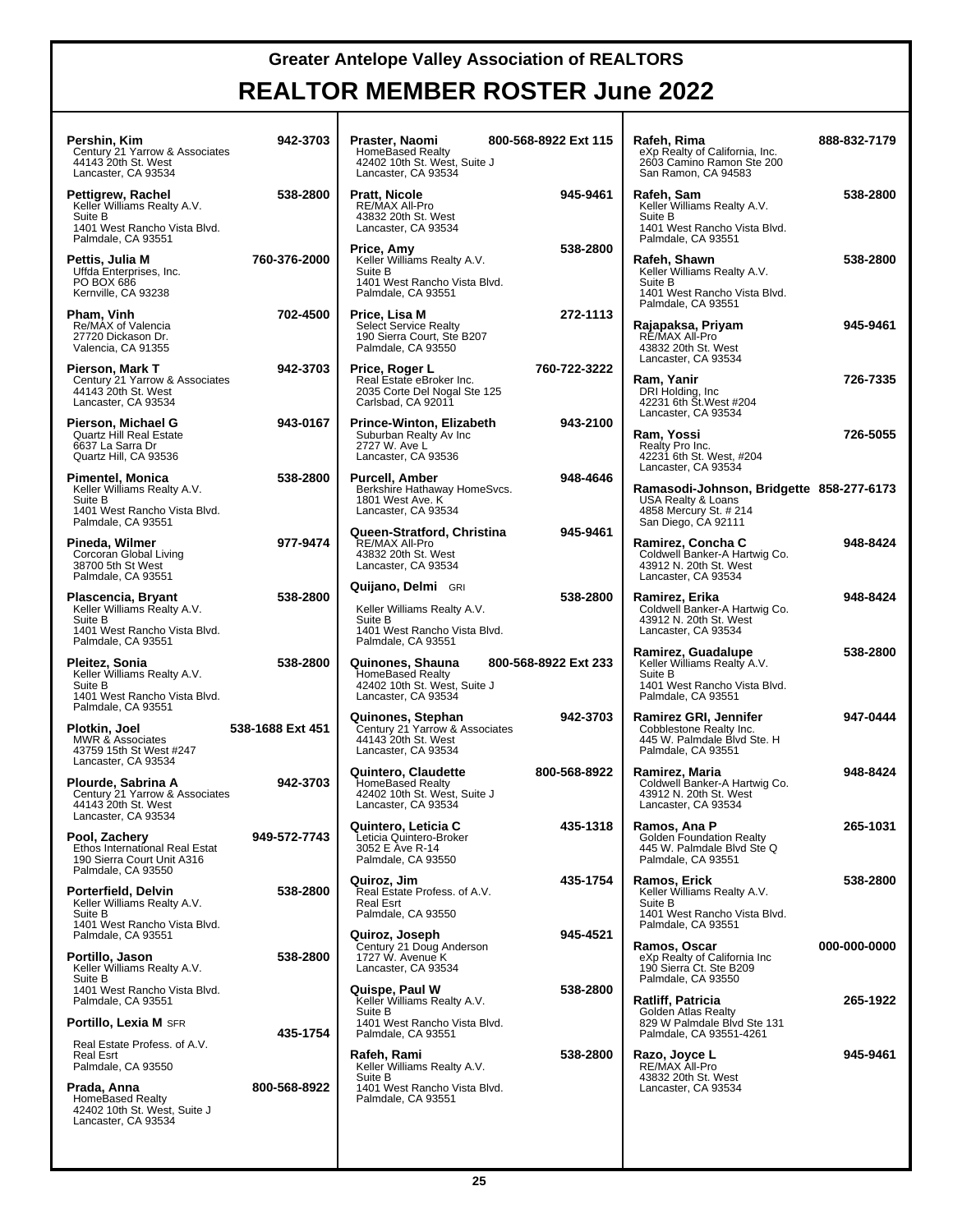| Pershin. Kim<br>Century 21 Yarrow & Associates<br>44143 20th St. West<br>Lancaster, CA 93534                              | 942-3703                 | Praster, Naomi<br><b>HomeBased Realty</b><br>42402 10th St. West, Suite J<br>Lancaster, CA 93534                          | 800-568-8922 Ext 115 | Rafeh, Rima<br>eXp Realty of California, Inc.<br>2603 Camino Ramon Ste 200<br>San Ramon, CA 94583                                      | 888-832-7179 |
|---------------------------------------------------------------------------------------------------------------------------|--------------------------|---------------------------------------------------------------------------------------------------------------------------|----------------------|----------------------------------------------------------------------------------------------------------------------------------------|--------------|
| Pettigrew, Rachel<br>Keller Williams Realty A.V.<br>Suite B<br>1401 West Rancho Vista Blvd.<br>Palmdale, CA 93551         | 538-2800                 | Pratt, Nicole<br>RE/MAX All-Pro<br>43832 20th St. West<br>Lancaster, CA 93534                                             | 945-9461             | Rafeh, Sam<br>Keller Williams Realty A.V.<br>Suite B<br>1401 West Rancho Vista Blvd.<br>Palmdale, CA 93551                             | 538-2800     |
| Pettis, Julia M<br>Uffda Enterprises, Inc.<br>PO BOX 686<br>Kernville, CA 93238                                           | 760-376-2000             | Price, Amy<br>Keller Williams Realty A.V.<br>Suite B<br>1401 West Rancho Vista Blvd.<br>Palmdale, CA 93551                | 538-2800             | Rafeh, Shawn<br>Keller Williams Realty A.V.<br>Suite B<br>1401 West Rancho Vista Blvd.<br>Palmdale, CA 93551                           | 538-2800     |
| Pham, Vinh<br>Re/MAX of Valencia<br>27720 Dickason Dr.<br>Valencia, CA 91355                                              | 702-4500                 | Price, Lisa M<br><b>Select Service Realty</b><br>190 Sierra Court, Ste B207<br>Palmdale, CA 93550                         | 272-1113             | Rajapaksa, Priyam<br>RÉ/MAX All-Pro<br>43832 20th St. West<br>Lancaster, CA 93534                                                      | 945-9461     |
| Pierson, Mark T<br>Century 21 Yarrow & Associates<br>44143 20th St. West<br>Lancaster, CA 93534                           | 942-3703                 | Price, Roger L<br>Real Estate eBroker Inc.<br>2035 Corte Del Nogal Ste 125<br>Carlsbad, CA 92011                          | 760-722-3222         | Ram, Yanir<br>DRI Holding, Inc.<br>42231 6th St. West #204                                                                             | 726-7335     |
| Pierson, Michael G<br><b>Quartz Hill Real Estate</b><br>6637 La Sarra Dr<br>Quartz Hill, CA 93536                         | 943-0167                 | Prince-Winton, Elizabeth<br>Suburban Realty Av Inc<br>2727 W. Ave L<br>Lancaster, CA 93536                                | 943-2100             | Lancaster, CA 93534<br>Ram, Yossi<br>Realty Pro Inc.<br>42231 6th St. West, #204                                                       | 726-5055     |
| Pimentel, Monica<br>Keller Williams Realty A.V.<br>Suite B<br>1401 West Rancho Vista Blvd.<br>Palmdale, CA 93551          | 538-2800                 | Purcell, Amber<br>Berkshire Hathaway HomeSvcs.<br>1801 West Ave. K<br>Lancaster, CA 93534                                 | 948-4646             | Lancaster, CA 93534<br>Ramasodi-Johnson, Bridgette 858-277-6173<br>USA Realty & Loans<br>4858 Mercury St. # 214<br>San Diego, CA 92111 |              |
| Pineda, Wilmer<br>Corcoran Global Living<br>38700 5th St West<br>Palmdale, CA 93551                                       | 977-9474                 | Queen-Stratford, Christina<br>RE/MAX All-Pro<br>43832 20th St. West<br>Lancaster, CA 93534                                | 945-9461             | Ramirez, Concha C<br>Coldwell Banker-A Hartwig Co.<br>43912 N. 20th St. West<br>Lancaster, CA 93534                                    | 948-8424     |
| Plascencia, Bryant<br>Keller Williams Realty A.V.<br>Suite B<br>1401 West Rancho Vista Blvd.<br>Palmdale, CA 93551        | 538-2800                 | <b>Quijano, Delmi</b> GRI<br>Keller Williams Realty A.V.<br>Suite B<br>1401 West Rancho Vista Blvd.<br>Palmdale, CA 93551 | 538-2800             | Ramirez, Erika<br>Coldwell Banker-A Hartwig Co.<br>43912 N. 20th St. West<br>Lancaster, CA 93534                                       | 948-8424     |
| Pleitez, Sonia<br>Keller Williams Realty A.V.<br>Suite B<br>1401 West Rancho Vista Blvd.                                  | 538-2800                 | Quinones, Shauna<br><b>HomeBased Realty</b><br>42402 10th St. West, Suite J<br>Lancaster, CA 93534                        | 800-568-8922 Ext 233 | Ramirez, Guadalupe<br>Keller Williams Realty A.V.<br>Suite B<br>1401 West Rancho Vista Blvd.<br>Palmdale, CA 93551                     | 538-2800     |
| Palmdale, CA 93551<br>Plotkin, Joel<br><b>MWR &amp; Associates</b><br>43759 15th St West #247                             | 538-1688 Ext 451         | Quinones, Stephan<br>Century 21 Yarrow & Associates<br>44143 20th St. West<br>Lancaster, CA 93534                         | 942-3703             | Ramirez GRI, Jennifer<br>Cobblestone Realty Inc.<br>445 W. Palmdale Blvd Ste. H<br>Palmdale, CA 93551                                  | 947-0444     |
| Lancaster, CA 93534<br>Plourde, Sabrina A<br>Century 21 Yarrow & Associates<br>44143 20th St. West<br>Lancaster, CA 93534 | 942-3703                 | Quintero, Claudette<br><b>HomeBased Realty</b><br>42402 10th St. West, Suite J<br>Lancaster, CA 93534                     | 800-568-8922         | Ramirez, Maria<br>Coldwell Banker-A Hartwig Co.<br>43912 N. 20th St. West<br>Lancaster, CA 93534                                       | 948-8424     |
| Pool, Zachery<br>Ethos International Real Estat<br>190 Sierra Court Unit A316                                             | 949-572-7743             | Quintero, Leticia C<br>Leticia Quintero-Broker<br>3052 E Ave R-14<br>Palmdale, CA 93550                                   | 435-1318             | Ramos, Ana P<br><b>Golden Foundation Realty</b><br>445 W. Palmdale Blvd Ste Q<br>Palmdale, CA 93551                                    | 265-1031     |
| Palmdale, CA 93550<br>Porterfield, Delvin<br>Keller Williams Realty A.V.<br>Suite B                                       | 538-2800                 | Quiroz, Jim<br>Real Estate Profess, of A.V.<br><b>Real Esrt</b><br>Palmdale, CA 93550                                     | 435-1754             | Ramos, Erick<br>Keller Williams Realty A.V.<br>Suite B<br>1401 West Rancho Vista Blvd.                                                 | 538-2800     |
| 1401 West Rancho Vista Blvd.<br>Palmdale, CA 93551<br>Portillo, Jason<br>Keller Williams Realty A.V.                      | 538-2800                 | Quiroz, Joseph<br>Century 21 Doug Anderson<br>1727 W. Avenue K<br>Lancaster, CA 93534                                     | 945-4521             | Palmdale, CA 93551<br>Ramos, Oscar<br>eXp Realty of California Inc<br>190 Sierra Ct. Ste B209                                          | 000-000-0000 |
| Suite B<br>1401 West Rancho Vista Blvd.<br>Palmdale, CA 93551<br><b>Portillo, Lexia M</b> SFR                             |                          | Quispe, Paul W<br>Keller Williams Realty A.V.<br>Suite B<br>1401 West Rancho Vista Blvd.                                  | 538-2800             | Palmdale, CA 93550<br>Ratliff, Patricia<br>Golden Atlas Realty<br>829 W Palmdale Blvd Ste 131                                          | 265-1922     |
| Real Estate Profess. of A.V.<br><b>Real Esrt</b><br>Palmdale, CA 93550<br>Prada, Anna                                     | 435-1754<br>800-568-8922 | Palmdale, CA 93551<br>Rafeh, Rami<br>Keller Williams Realty A.V.<br>Suite B<br>1401 West Rancho Vista Blvd.               | 538-2800             | Palmdale, CA 93551-4261<br>Razo, Joyce L<br>RE/MAX All-Pro<br>43832 20th St. West                                                      | 945-9461     |
| <b>HomeBased Realty</b><br>42402 10th St. West, Suite J<br>Lancaster, CA 93534                                            |                          | Palmdale, CA 93551                                                                                                        |                      | Lancaster, CA 93534                                                                                                                    |              |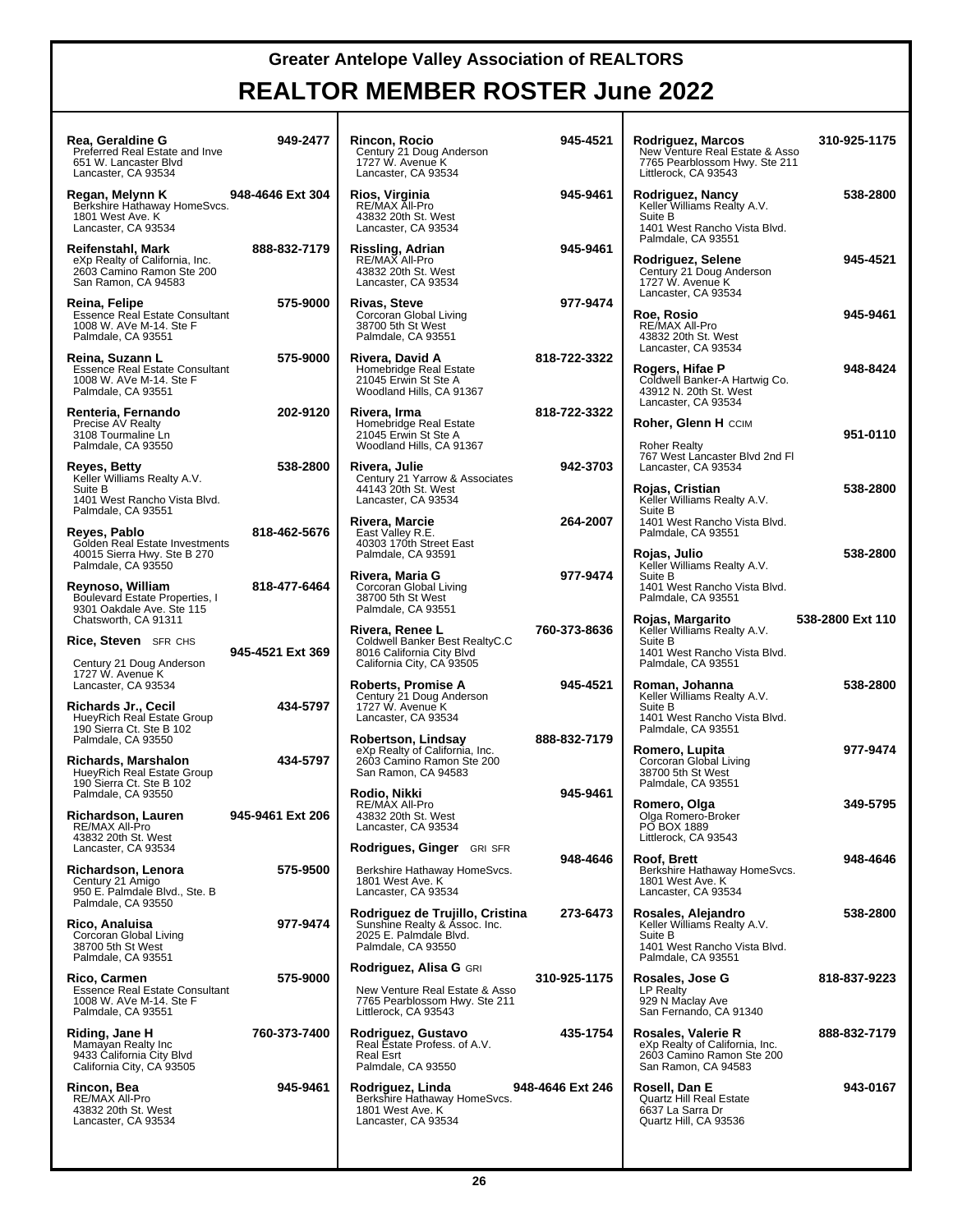| Rea, Geraldine G<br>Preferred Real Estate and Inve<br>651 W. Lancaster Blvd<br>Lancaster, CA 93534           | 949-2477         | Rincon, Rocio<br>Century 21 Doug Anderson<br>1727 W. Avenue K<br>Lancaster, CA 93534                              | 945-4521         |
|--------------------------------------------------------------------------------------------------------------|------------------|-------------------------------------------------------------------------------------------------------------------|------------------|
| Regan, Melynn K<br>Berkshire Hathaway HomeSvcs.<br>1801 West Ave. K<br>Lancaster, CA 93534                   | 948-4646 Ext 304 | Rios, Virginia<br>RE/MAX All-Pro<br>43832 20th St. West<br>Lancaster, CA 93534                                    | 945-9461         |
| Reifenstahl, Mark<br>eXp Realty of California, Inc.<br>2603 Camino Ramon Ste 200<br>San Ramon, CA 94583      | 888-832-7179     | Rissling, Adrian<br>RE/MAX All-Pro<br>43832 20th St. West<br>Lancaster, CA 93534                                  | 945-9461         |
| Reina, Felipe<br><b>Essence Real Estate Consultant</b><br>1008 W. AVe M-14. Ste F<br>Palmdale, CA 93551      | 575-9000         | <b>Rivas, Steve</b><br>Corcoran Global Living<br>38700 5th St West<br>Palmdale, CA 93551                          | 977-9474         |
| Reina, Suzann L<br><b>Essence Real Estate Consultant</b><br>1008 W. AVe M-14. Ste F<br>Palmdale, CA 93551    | 575-9000         | Rivera, David A<br>Homebridge Real Estate<br>21045 Erwin St Ste A<br>Woodland Hills, CA 91367                     | 818-722-3322     |
| Renteria, Fernando<br>Precise AV Realty<br>3108 Tourmaline Ln<br>Palmdale, CA 93550                          | 202-9120         | Rivera, Irma<br>Homebridge Real Estate<br>21045 Erwin St Ste A<br>Woodland Hills, CA 91367                        | 818-722-3322     |
| Reyes, Betty<br>Keller Williams Realty A.V.<br>Suite B<br>1401 West Rancho Vista Blvd.<br>Palmdale, CA 93551 | 538-2800         | Rivera, Julie<br>Century 21 Yarrow & Associates<br>44143 20th St. West<br>Lancaster, CA 93534                     | 942-3703         |
| Reyes, Pablo<br>Golden Real Estate Investments<br>40015 Sierra Hwy. Ste B 270<br>Palmdale, CA 93550          | 818-462-5676     | Rivera, Marcie<br>East Valley R.E.<br>40303 170th Street East<br>Palmdale, CA 93591                               | 264-2007         |
| Reynoso, William<br>Boulevard Estate Properties, I<br>9301 Oakdale Ave. Ste 115<br>Chatsworth, CA 91311      | 818-477-6464     | Rivera, Maria G<br>Corcoran Global Living<br>38700 5th St West<br>Palmdale, CA 93551                              | 977-9474         |
| <b>Rice, Steven</b> SFR CHS                                                                                  |                  | Rivera, Renee L<br>Coldwell Banker Best RealtyC.C                                                                 | 760-373-8636     |
| Century 21 Doug Anderson<br>1727 W. Avenue K                                                                 | 945-4521 Ext 369 | 8016 California City Blvd<br>California City, CA 93505                                                            |                  |
| Lancaster, CA 93534<br>Richards Jr., Cecil<br>HueyRich Real Estate Group                                     | 434-5797         | Roberts, Promise A<br>Century 21 Doug Anderson<br>1727 W. Avenue K<br>Lancaster, CA 93534                         | 945-4521         |
| 190 Sierra Ct. Ste B 102<br>Palmdale, CA 93550                                                               |                  | Robertson, Lindsay                                                                                                | 888-832-7179     |
| Richards, Marshalon<br>HueyRich Real Estate Group<br>190 Sierra Ct. Ste B 102                                | 434-5797         | eXp Realty of California, Inc.<br>2603 Camino Ramon Ste 200<br>San Ramon, CA 94583                                |                  |
| Palmdale, CA 93550                                                                                           |                  | Rodio, Nikki<br>RE/MAX All-Pro                                                                                    | 945-9461         |
| Richardson, Lauren<br>RE/MAX All-Pro<br>43832 20th St. West                                                  | 945-9461 Ext 206 | 43832 20th St. West<br>Lancaster, CA 93534                                                                        |                  |
| Lancaster, CA 93534                                                                                          | 575-9500         | Rodrigues, Ginger GRI SFR                                                                                         | 948-4646         |
| Richardson, Lenora<br>Century 21 Amigo<br>950 E. Palmdale Blvd., Ste. B<br>Palmdale, CA 93550                |                  | Berkshire Hathaway HomeSvcs.<br>1801 West Ave. K<br>Lancaster, CA 93534                                           |                  |
| Rico, Analuisa<br>Corcoran Global Living<br>38700 5th St West<br>Palmdale, CA 93551                          | 977-9474         | Rodriguez de Trujillo, Cristina<br>Sunshine Realty & Assoc. Inc.<br>2025 E. Palmdale Blvd.<br>Palmdale, CA 93550  | 273-6473         |
| Rico, Carmen<br><b>Essence Real Estate Consultant</b><br>1008 W. AVe M-14. Ste F<br>Palmdale, CA 93551       | 575-9000         | Rodriguez, Alisa G GRI<br>New Venture Real Estate & Asso<br>7765 Pearblossom Hwy. Ste 211<br>Littlerock, CA 93543 | 310-925-1175     |
| Riding, Jane H<br>Mamayan Realty Inc<br>9433 California City Blvd<br>California City, CA 93505               | 760-373-7400     | Rodriguez, Gustavo<br>Real Estate Profess. of A.V.<br>Real Esrt<br>Palmdale, CA 93550                             | 435-1754         |
| Rincon, Bea<br>RE/MAX All-Pro<br>43832 20th St. West<br>Lancaster, CA 93534                                  | 945-9461         | Rodriguez, Linda<br>Berkshire Hathaway HomeSvcs.<br>1801 West Ave. K<br>Lancaster, CA 93534                       | 948-4646 Ext 246 |

| 21 | Rodriguez, Marcos<br>New Venture Real Estate & Asso<br>7765 Pearblossom Hwy. Ste 211<br>Littlerock, CA 93543                              | 310-925-1175     |
|----|-------------------------------------------------------------------------------------------------------------------------------------------|------------------|
| 61 | Rodriguez, Nancy<br>Keller Williams Realty A.V.<br>Suite B                                                                                | 538-2800         |
| 61 | 1401 West Rancho Vista Blvd.<br>Palmdale, CA 93551<br>Rodriguez, Selene<br>Century 21 Doug Anderson<br>1727 W. Avenue K                   | 945-4521         |
| 74 | Lancaster, CA 93534<br>Roe, Rosio<br>RE/MAX All-Pro                                                                                       | 945-9461         |
| 22 | 43832 20th St. West<br>Lancaster, CA 93534<br>Rogers, Hifae P<br>Coldwell Banker-A Hartwig Co.<br>43912 N. 20th St. West                  | 948-8424         |
| 22 | Lancaster, CA 93534<br>Roher, Glenn H CCIM                                                                                                | 951-0110         |
| 03 | <b>Roher Realty</b><br>767 West Lancaster Blvd 2nd Fl<br>Lancaster, CA 93534                                                              |                  |
| 07 | Rojas, Cristian<br>Keller Williams Realty A.V.<br>Suite B<br>1401 West Rancho Vista Blvd.                                                 | 538-2800         |
| 74 | Palmdale, CA 93551<br><b>Rojas, Julio</b><br>Keller Williams Realty A.V.<br>Suite B<br>1401 West Rancho Vista Blvd.<br>Palmdale, CA 93551 | 538-2800         |
| 36 | Rojas, Margarito<br>Keller Williams Realty A.V.<br>Suite B<br>1401 West Rancho Vista Blvd.                                                | 538-2800 Ext 110 |
| 21 | Palmdale, CA 93551<br>Roman, Johanna<br>Keller Williams Realty A.V.<br>Suite B                                                            | 538-2800         |
| 79 | 1401 West Rancho Vista Blvd.<br>Palmdale, CA 93551<br>Romero, Lupita                                                                      | 977-9474         |
|    | Corcoran Global Living<br>38700 5th St West<br>Palmdale, CA 93551                                                                         |                  |
| 61 | Romero, Olga<br>Olga Romero-Broker<br>PO BOX 1889<br>Littlerock, CA 93543                                                                 | 349-5795         |
| 46 | Roof, Brett<br>Berkshire Hathaway HomeSvcs.<br>1801 West Ave. K<br>Lancaster, CA 93534                                                    | 948-4646         |
| 73 | Rosales, Alejandro<br>Keller Williams Realty A.V.<br>Suite B<br>1401 West Rancho Vista Blvd.                                              | 538-2800         |
| 75 | Palmdale, CA 93551<br>Rosales, Jose G<br>LP Realty<br>929 N Maclay Ave<br>San Fernando, CA 91340                                          | 818-837-9223     |
| 54 | Rosales, Valerie R<br>eXp Realty of California, Inc.<br>2603 Camino Ramon Ste 200<br>San Ramon, CA 94583                                  | 888-832-7179     |
| 46 | Rosell, Dan E<br>Quartz Hill Real Estate<br>6637 La Sarra Dr<br>Quartz Hill, CA 93536                                                     | 943-0167         |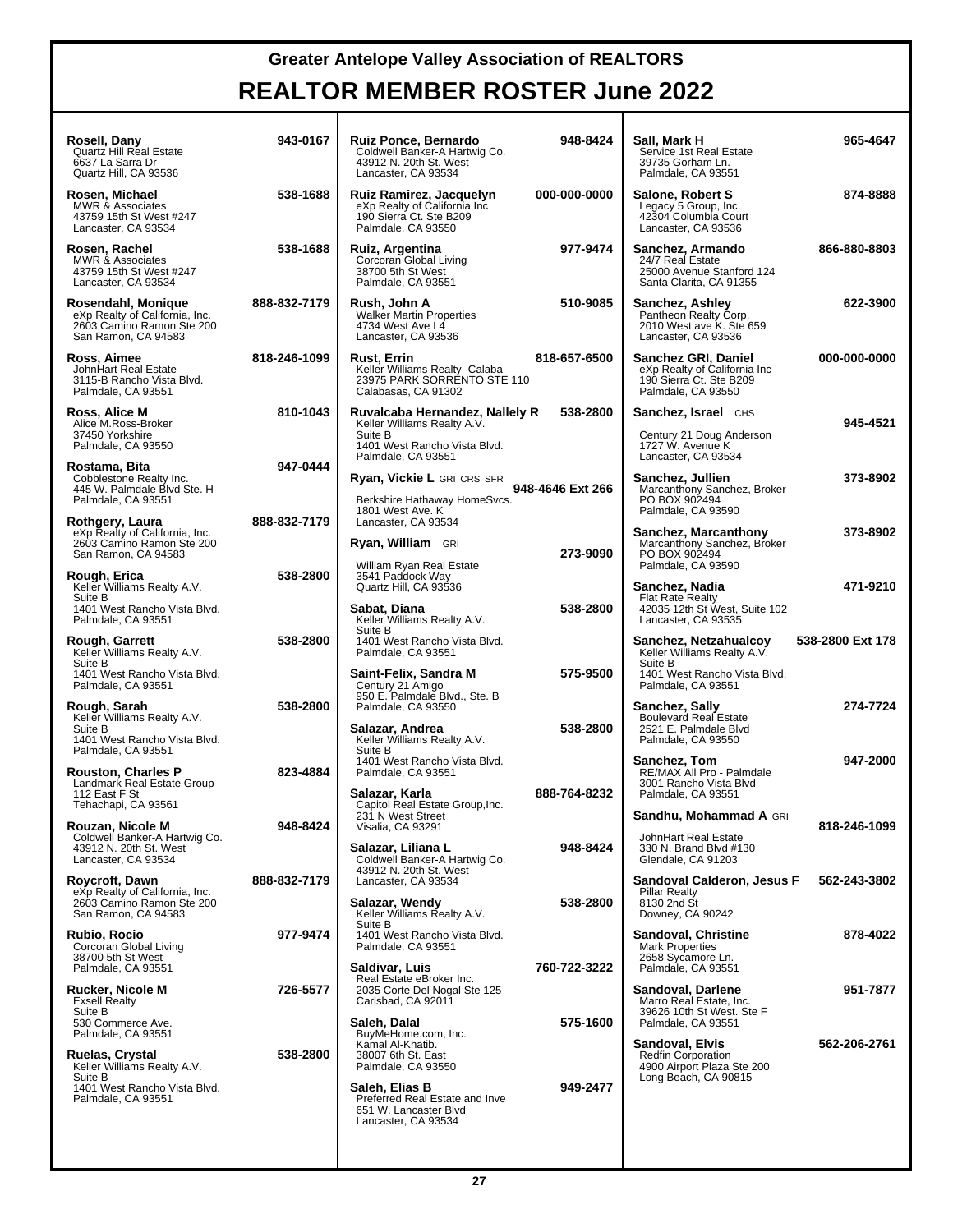| Rosell, Dany<br><b>Quartz Hill Real Estate</b><br>6637 La Sarra Dr<br>Quartz Hill, CA 93536              | 943-0167     | <b>Ruiz Ponce, Bernardo</b><br>Coldwell Banker-A Hartwig Co.<br>43912 N. 20th St. West<br>Lancaster, CA 93534 | 948-8424         | Sall, Mark H<br>Service 1st Real Estate<br>39735 Gorham Ln.<br>Palmdale, CA 93551                    | 965-4647         |
|----------------------------------------------------------------------------------------------------------|--------------|---------------------------------------------------------------------------------------------------------------|------------------|------------------------------------------------------------------------------------------------------|------------------|
| Rosen, Michael<br><b>MWR &amp; Associates</b><br>43759 15th St West #247<br>Lancaster, CA 93534          | 538-1688     | Ruiz Ramirez, Jacquelyn<br>eXp Realty of California Inc<br>190 Sierra Ct. Ste B209<br>Palmdale, CA 93550      | 000-000-0000     | Salone, Robert S<br>Legacy 5 Group, Inc.<br>42304 Columbia Court<br>Lancaster, CA 93536              | 874-8888         |
| Rosen, Rachel<br><b>MWR &amp; Associates</b><br>43759 15th St West #247<br>Lancaster, CA 93534           | 538-1688     | Ruiz, Argentina<br>Corcoran Global Living<br>38700 5th St West<br>Palmdale, CA 93551                          | 977-9474         | Sanchez, Armando<br>24/7 Real Estate<br>25000 Avenue Stanford 124<br>Santa Clarita, CA 91355         | 866-880-8803     |
| Rosendahl, Monique<br>eXp Realty of California, Inc.<br>2603 Camino Ramon Ste 200<br>San Ramon, CA 94583 | 888-832-7179 | Rush, John A<br><b>Walker Martin Properties</b><br>4734 West Ave L4<br>Lancaster, CA 93536                    | 510-9085         | Sanchez, Ashley<br>Pantheon Realty Corp.<br>2010 West ave K. Ste 659<br>Lancaster, CA 93536          | 622-3900         |
| Ross, Aimee<br>JohnHart Real Estate<br>3115-B Rancho Vista Blvd.<br>Palmdale, CA 93551                   | 818-246-1099 | <b>Rust, Errin</b><br>Keller Williams Realty- Calaba<br>23975 PARK SORRÉNTO STE 110<br>Calabasas, CA 91302    | 818-657-6500     | Sanchez GRI, Daniel<br>eXp Realty of California Inc<br>190 Sierra Ct. Ste B209<br>Palmdale, CA 93550 | 000-000-0000     |
| Ross, Alice M<br>Alice M.Ross-Broker<br>37450 Yorkshire<br>Palmdale, CA 93550                            | 810-1043     | Ruvalcaba Hernandez, Nallely R<br>Keller Williams Realty A.V.<br>Suite B<br>1401 West Rancho Vista Blvd.      | 538-2800         | Sanchez, Israel CHS<br>Century 21 Doug Anderson<br>1727 W. Avenue K                                  | 945-4521         |
| Rostama, Bita<br>Cobblestone Realty Inc.<br>445 W. Palmdale Blvd Ste. H                                  | 947-0444     | Palmdale, CA 93551<br><b>Ryan, Vickie L GRI CRS SFR</b>                                                       | 948-4646 Ext 266 | Lancaster, CA 93534<br>Sanchez, Jullien<br>Marcanthony Sanchez, Broker                               | 373-8902         |
| Palmdale, CA 93551<br>Rothgery, Laura<br>eXp Realty of California, Inc.                                  | 888-832-7179 | Berkshire Hathaway HomeSvcs.<br>1801 West Ave. K<br>Lancaster, CA 93534                                       |                  | PO BOX 902494<br>Palmdale, CA 93590<br>Sanchez, Marcanthony                                          | 373-8902         |
| 2603 Camino Ramon Ste 200<br>San Ramon, CA 94583<br>Rough, Erica                                         | 538-2800     | <b>Ryan, William</b> GRI<br>William Ryan Real Estate<br>3541 Paddock Way                                      | 273-9090         | Marcanthony Sanchez, Broker<br>PO BOX 902494<br>Palmdale, CA 93590                                   |                  |
| Keller Williams Realty A.V.<br>Suite B<br>1401 West Rancho Vista Blvd.<br>Palmdale, CA 93551             |              | Quartz Hill, CA 93536<br>Sabat, Diana<br>Keller Williams Realty A.V.                                          | 538-2800         | Sanchez, Nadia<br><b>Flat Rate Realty</b><br>42035 12th St West, Suite 102<br>Lancaster, CA 93535    | 471-9210         |
| Rough, Garrett<br>Keller Williams Realty A.V.<br>Suite B                                                 | 538-2800     | Suite B<br>1401 West Rancho Vista Blvd.<br>Palmdale, CA 93551                                                 | 575-9500         | Sanchez, Netzahualcoy<br>Keller Williams Realty A.V.<br>Suite B                                      | 538-2800 Ext 178 |
| 1401 West Rancho Vista Blvd.<br>Palmdale, CA 93551<br>Rough, Sarah<br>Keller Williams Realty A.V.        | 538-2800     | Saint-Felix, Sandra M<br>Century 21 Amigo<br>950 E. Palmdale Blvd., Ste. B<br>Palmdale, CA 93550              |                  | 1401 West Rancho Vista Blvd.<br>Palmdale, CA 93551<br>Sanchez, Sally<br>Boulevard Real Estate        | 274-7724         |
| Suite B<br>1401 West Rancho Vista Blvd.<br>Palmdale, CA 93551                                            |              | Salazar, Andrea<br>Keller Williams Realty A.V.<br>Suite B<br>1401 West Rancho Vista Blvd.                     | 538-2800         | 2521 E. Palmdale Blvd<br>Palmdale, CA 93550<br>Sanchez, Tom                                          | 947-2000         |
| <b>Rouston, Charles P</b><br>Landmark Real Estate Group<br>112 East F St<br>Tehachapi, CA 93561          | 823-4884     | Palmdale, CA 93551<br>Salazar, Karla<br>Capitol Real Estate Group, Inc.                                       | 888-764-8232     | RE/MAX All Pro - Palmdale<br>3001 Rancho Vista Blvd<br>Palmdale, CA 93551                            |                  |
| Rouzan, Nicole M<br>Coldwell Banker-A Hartwig Co.                                                        | 948-8424     | 231 N West Street<br>Visalia, CA 93291                                                                        | 948-8424         | Sandhu, Mohammad A GRI<br>JohnHart Real Estate                                                       | 818-246-1099     |
| 43912 N. 20th St. West<br>Lancaster, CA 93534<br>Roycroft, Dawn                                          | 888-832-7179 | Salazar, Liliana L<br>Coldwell Banker-A Hartwig Co.<br>43912 N. 20th St. West<br>Lancaster, CA 93534          |                  | 330 N. Brand Blvd #130<br>Glendale, CA 91203<br>Sandoval Calderon, Jesus F                           | 562-243-3802     |
| eXp Realty of California, Inc.<br>2603 Camino Ramon Ste 200<br>San Ramon, CA 94583                       |              | Salazar, Wendy<br>Keller Williams Realty A.V.<br>Suite B                                                      | 538-2800         | <b>Pillar Realty</b><br>8130 2nd St<br>Downey, CA 90242                                              |                  |
| Rubio, Rocio<br>Corcoran Global Living<br>38700 5th St West<br>Palmdale, CA 93551                        | 977-9474     | 1401 West Rancho Vista Blvd.<br>Palmdale, CA 93551<br>Saldivar, Luis                                          | 760-722-3222     | <b>Sandoval, Christine</b><br><b>Mark Properties</b><br>2658 Sycamore Ln.<br>Palmdale, CA 93551      | 878-4022         |
| Rucker, Nicole M<br><b>Exsell Realty</b><br>Suite B                                                      | 726-5577     | Real Estate eBroker Inc.<br>2035 Corte Del Nogal Ste 125<br>Carlsbad, CA 92011                                |                  | Sandoval, Darlene<br>Marro Real Estate, Inc.<br>39626 10th St West, Ste F                            | 951-7877         |
| 530 Commerce Ave.<br>Palmdale, CA 93551<br>Ruelas, Crystal                                               | 538-2800     | Saleh, Dalal<br>BuyMeHome.com, Inc.<br>Kamal Al-Khatib.<br>38007 6th St. East                                 | 575-1600         | Palmdale, CA 93551<br>Sandoval, Elvis<br><b>Redfin Corporation</b>                                   | 562-206-2761     |
| Keller Williams Realty A.V.<br>Suite B<br>1401 West Rancho Vista Blvd.<br>Palmdale, CA 93551             |              | Palmdale, CA 93550<br>Saleh, Elias B<br>Preferred Real Estate and Inve<br>651 W. Lancaster Blvd               | 949-2477         | 4900 Airport Plaza Ste 200<br>Long Beach, CA 90815                                                   |                  |
|                                                                                                          |              | Lancaster, CA 93534                                                                                           |                  |                                                                                                      |                  |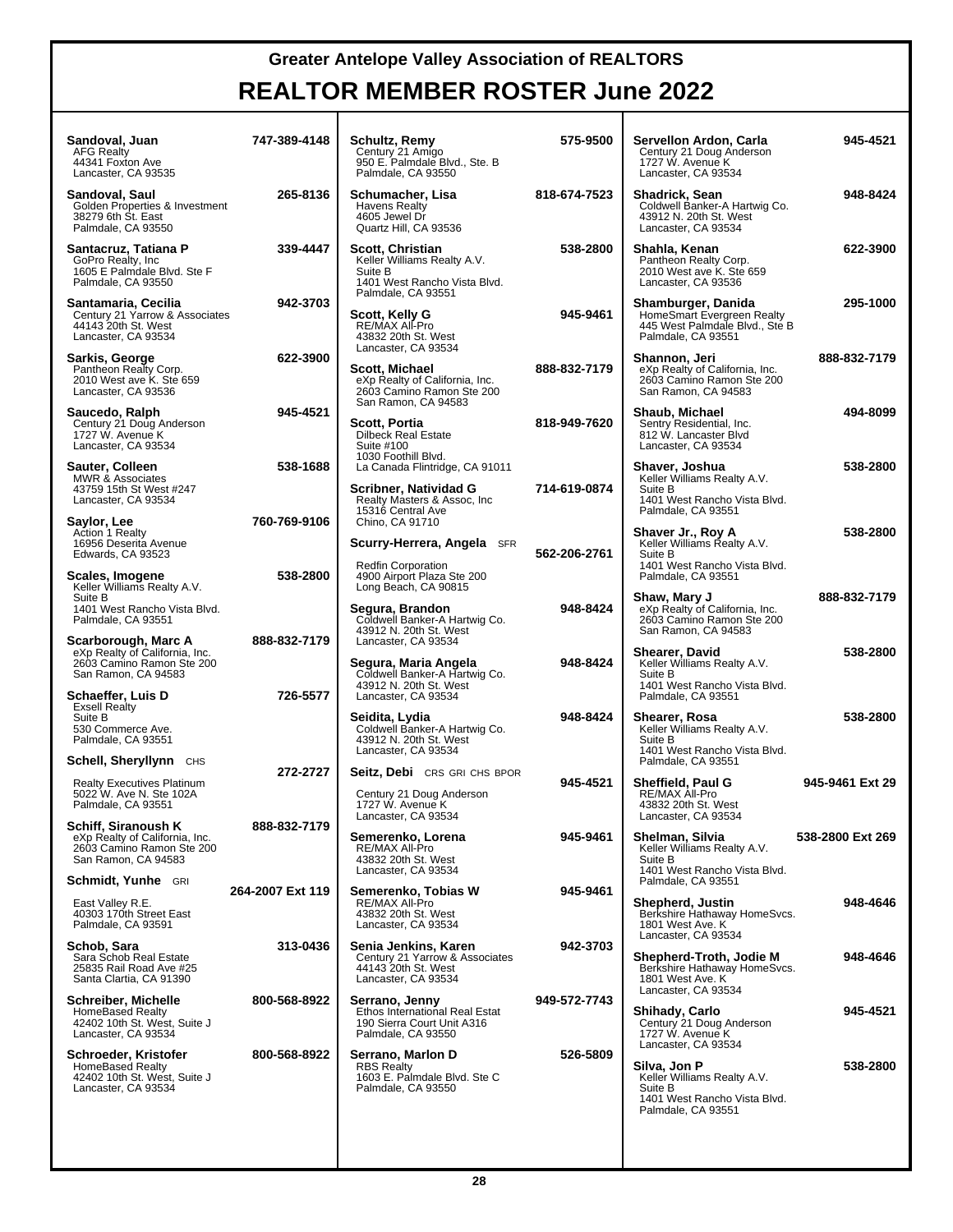| Sandoval, Juan<br><b>AFG Realty</b><br>44341 Foxton Ave<br>Lancaster, CA 93535                            | 747-389-4148     | Schultz, Remy<br>Century 21 Amigo<br>950 E. Palmdale Blvd., Ste. B<br>Palmdale, CA 93550                       | 575-9500     | Servellon Ardon, Carla<br>Century 21 Doug Anderson<br>1727 W. Avenue K<br>Lancaster, CA 93534                                       | 945-4521         |
|-----------------------------------------------------------------------------------------------------------|------------------|----------------------------------------------------------------------------------------------------------------|--------------|-------------------------------------------------------------------------------------------------------------------------------------|------------------|
| Sandoval, Saul<br>Golden Properties & Investment<br>38279 6th St. East<br>Palmdale, CA 93550              | 265-8136         | Schumacher, Lisa<br><b>Havens Realty</b><br>4605 Jewel Dr<br>Quartz Hill, CA 93536                             | 818-674-7523 | <b>Shadrick, Sean</b><br>Coldwell Banker-A Hartwig Co.<br>43912 N. 20th St. West<br>Lancaster, CA 93534                             | 948-8424         |
| Santacruz, Tatiana P<br>GoPro Realty, Inc.<br>1605 E Palmdale Blvd. Ste F<br>Palmdale, CA 93550           | 339-4447         | Scott, Christian<br>Keller Williams Realty A.V.<br>Suite B<br>1401 West Rancho Vista Blvd.                     | 538-2800     | Shahla, Kenan<br>Pantheon Realty Corp.<br>2010 West ave K. Ste 659<br>Lancaster, CA 93536                                           | 622-3900         |
| Santamaria, Cecilia<br>Century 21 Yarrow & Associates<br>44143 20th St. West<br>Lancaster, CA 93534       | 942-3703         | Palmdale, CA 93551<br>Scott, Kelly G<br>RE/MAX All-Pro<br>43832 20th St. West                                  | 945-9461     | Shamburger, Danida<br>HomeSmart Evergreen Realty<br>445 West Palmdale Blvd., Ste B<br>Palmdale, CA 93551                            | 295-1000         |
| Sarkis, George<br>Pantheon Realty Corp.<br>2010 West ave K. Ste 659<br>Lancaster, CA 93536                | 622-3900         | Lancaster, CA 93534<br>Scott, Michael<br>eXp Realty of California, Inc.<br>2603 Camino Ramon Ste 200           | 888-832-7179 | Shannon, Jeri<br>eXp Realty of California, Inc.<br>2603 Camino Ramon Ste 200<br>San Ramon, CA 94583                                 | 888-832-7179     |
| Saucedo, Ralph<br>Century 21 Doug Anderson<br>1727 W. Avenue K<br>Lancaster, CA 93534                     | 945-4521         | San Ramon, CA 94583<br>Scott, Portia<br><b>Dilbeck Real Estate</b><br>Suite #100                               | 818-949-7620 | Shaub, Michael<br>Sentry Residential, Inc.<br>812 W. Lancaster Blvd<br>Lancaster, CA 93534                                          | 494-8099         |
| Sauter, Colleen<br><b>MWR &amp; Associates</b><br>43759 15th St West #247<br>Lancaster, CA 93534          | 538-1688         | 1030 Foothill Blvd.<br>La Canada Flintridge, CA 91011<br>Scribner, Natividad G<br>Realty Masters & Assoc, Inc. | 714-619-0874 | Shaver, Joshua<br>Keller Williams Realty A.V.<br>Suite B<br>1401 West Rancho Vista Blvd.                                            | 538-2800         |
| Saylor, Lee<br><b>Action 1 Realty</b><br>16956 Deserita Avenue<br>Edwards, CA 93523                       | 760-769-9106     | 15316 Central Ave<br>Chino, CA 91710<br>Scurry-Herrera, Angela SFR                                             | 562-206-2761 | Palmdale, CA 93551<br>Shaver Jr., Roy A<br>Keller Williams Realty A.V.<br>Suite B                                                   | 538-2800         |
| Scales, Imogene<br>Keller Williams Realty A.V.<br>Suite B                                                 | 538-2800         | <b>Redfin Corporation</b><br>4900 Airport Plaza Ste 200<br>Long Beach, CA 90815                                |              | 1401 West Rancho Vista Blvd.<br>Palmdale, CA 93551<br>Shaw, Mary J                                                                  | 888-832-7179     |
| 1401 West Rancho Vista Blvd.<br>Palmdale, CA 93551<br>Scarborough, Marc A                                 | 888-832-7179     | Segura, Brandon<br>Coldwell Banker-A Hartwig Co.<br>43912 N. 20th St. West<br>Lancaster, CA 93534              | 948-8424     | eXp Realty of California, Inc.<br>2603 Camino Ramon Ste 200<br>San Ramon, CA 94583                                                  |                  |
| eXp Realty of California, Inc.<br>2603 Camino Ramon Ste 200<br>San Ramon, CA 94583                        | 726-5577         | Segura, Maria Angela<br>Coldwell Banker-A Hartwig Co.<br>43912 N. 20th St. West                                | 948-8424     | <b>Shearer, David</b><br>Keller Williams Realty A.V.<br>Suite B<br>1401 West Rancho Vista Blvd.                                     | 538-2800         |
| Schaeffer, Luis D<br><b>Exsell Realty</b><br>Suite B<br>530 Commerce Ave.<br>Palmdale, CA 93551           |                  | Lancaster, CA 93534<br>Seidita, Lydia<br>Coldwell Banker-A Hartwig Co.<br>43912 N. 20th St. West               | 948-8424     | Palmdale, CA 93551<br>Shearer, Rosa<br>Keller Williams Realty A.V.<br>Suite B                                                       | 538-2800         |
| Schell, Sheryllynn CHS                                                                                    | 272-2727         | Lancaster, CA 93534<br><b>Seitz, Debi</b> CRS GRI CHS BPOR                                                     |              | 1401 West Rancho Vista Blvd.<br>Palmdale, CA 93551                                                                                  |                  |
| <b>Realty Executives Platinum</b><br>5022 W. Ave N. Ste 102A<br>Palmdale, CA 93551                        |                  | Century 21 Doug Anderson<br>1727 W. Avenue K<br>Lancaster, CA 93534                                            | 945-4521     | <b>Sheffield, Paul G</b><br>RE/MAX All-Pro<br>43832 20th St. West<br>Lancaster, CA 93534                                            | 945-9461 Ext 29  |
| Schiff, Siranoush K<br>eXp Realty of California, Inc.<br>2603 Camino Ramon Ste 200<br>San Ramon, CA 94583 | 888-832-7179     | Semerenko, Lorena<br>RE/MAX All-Pro<br>43832 20th St. West<br>Lancaster, CA 93534                              | 945-9461     | Shelman, Silvia<br>Keller Williams Realty A.V.<br>Suite B<br>1401 West Rancho Vista Blvd.                                           | 538-2800 Ext 269 |
| <b>Schmidt, Yunhe</b> GRI                                                                                 | 264-2007 Ext 119 | Semerenko, Tobias W                                                                                            | 945-9461     | Palmdale, CA 93551                                                                                                                  |                  |
| East Valley R.E.<br>40303 170th Street East<br>Palmdale, CA 93591                                         |                  | RE/MAX All-Pro<br>43832 20th St. West<br>Lancaster, CA 93534                                                   |              | Shepherd, Justin<br>Berkshire Hathaway HomeSvcs.<br>1801 West Ave. K<br>Lancaster, CA 93534                                         | 948-4646         |
| Schob. Sara<br>Sara Schob Real Estate<br>25835 Rail Road Ave #25<br>Santa Clartia, CA 91390               | 313-0436         | Senia Jenkins, Karen<br>Century 21 Yarrow & Associates<br>44143 20th St. West<br>Lancaster, CA 93534           | 942-3703     | Shepherd-Troth, Jodie M<br>Berkshire Hathaway HomeSvcs.<br>1801 West Ave. K<br>Lancaster, CA 93534                                  | 948-4646         |
| Schreiber, Michelle<br><b>HomeBased Realty</b><br>42402 10th St. West, Suite J<br>Lancaster, CA 93534     | 800-568-8922     | Serrano, Jenny<br>Ethos International Real Estat<br>190 Sierra Court Unit A316<br>Palmdale, CA 93550           | 949-572-7743 | <b>Shihady, Carlo</b><br>Century 21 Doug Anderson<br>1727 W. Avenue K                                                               | 945-4521         |
| Schroeder, Kristofer<br>HomeBased Realty<br>42402 10th St. West, Suite J<br>Lancaster, CA 93534           | 800-568-8922     | Serrano, Marlon D<br><b>RBS Realty</b><br>1603 E. Palmdale Blvd. Ste C<br>Palmdale, CA 93550                   | 526-5809     | Lancaster, CA 93534<br>Silva, Jon P<br>Keller Williams Realty A.V.<br>Suite B<br>1401 West Rancho Vista Blvd.<br>Palmdale, CA 93551 | 538-2800         |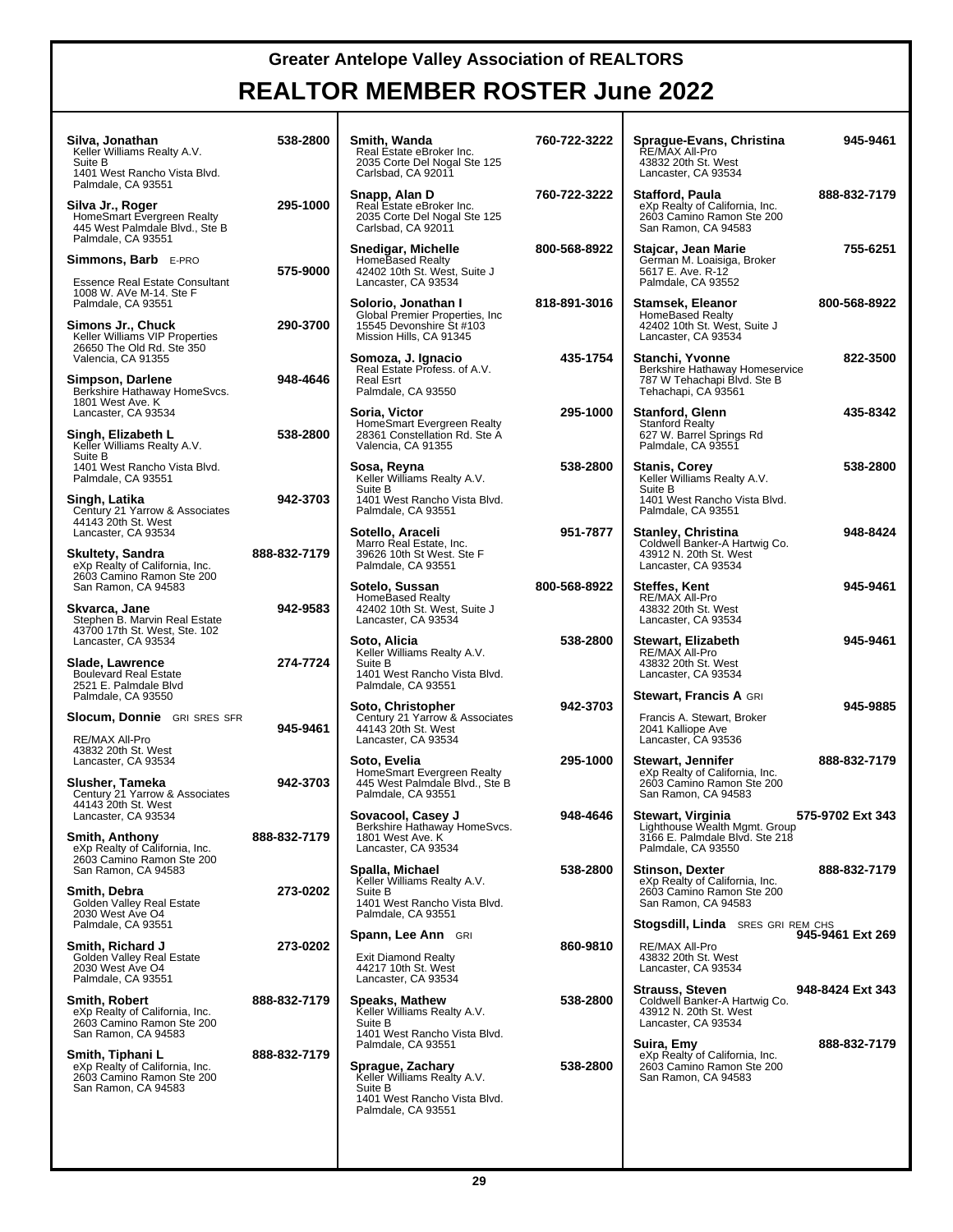| Silva, Jonathan<br>Keller Williams Realty A.V.<br>Suite B<br>1401 West Rancho Vista Blvd.                                               | 538-2800     | Smith, Wanda<br>Real Estate eBroker Inc.<br>2035 Corte Del Nogal Ste 125<br>Carlsbad, CA 92011                                                                         | 760-722-3222 | Sprague-Evans, Christina<br>RE/MAX All-Pro<br>43832 20th St. West<br>Lancaster, CA 93534                                                                 | 945-9461     |
|-----------------------------------------------------------------------------------------------------------------------------------------|--------------|------------------------------------------------------------------------------------------------------------------------------------------------------------------------|--------------|----------------------------------------------------------------------------------------------------------------------------------------------------------|--------------|
| Palmdale, CA 93551<br>Silva Jr., Roger<br>HomeSmart Evergreen Realty<br>445 West Palmdale Blvd., Ste B<br>Palmdale, CA 93551            | 295-1000     | Snapp, Alan D<br>Real Estate eBroker Inc.<br>2035 Corte Del Nogal Ste 125<br>Carlsbad, CA 92011                                                                        | 760-722-3222 | Stafford, Paula<br>eXp Realty of California, Inc.<br>2603 Camino Ramon Ste 200<br>San Ramon, CA 94583                                                    | 888-832-7179 |
| <b>Simmons, Barb</b> E-PRO<br><b>Essence Real Estate Consultant</b>                                                                     | 575-9000     | Snedigar, Michelle<br>HomeBased Realty<br>42402 10th St. West, Suite J<br>Lancaster, CA 93534                                                                          | 800-568-8922 | Stajcar, Jean Marie<br>German M. Loaisiga, Broker<br>5617 E. Ave. R-12<br>Palmdale, CA 93552                                                             | 755-6251     |
| 1008 W. AVe M-14, Ste F<br>Palmdale, CA 93551<br>Simons Jr., Chuck<br>Keller Williams VIP Properties                                    | 290-3700     | Solorio, Jonathan I<br>Global Premier Properties, Inc.<br>15545 Devonshire St #103<br>Mission Hills, CA 91345                                                          | 818-891-3016 | Stamsek, Eleanor<br>HomeBased Realty<br>42402 10th St. West, Suite J<br>Lancaster, CA 93534                                                              | 800-568-8922 |
| 26650 The Old Rd. Ste 350<br>Valencia, CA 91355<br>Simpson, Darlene<br>Berkshire Hathaway HomeSvcs.                                     | 948-4646     | Somoza, J. Ignacio<br>Real Estate Profess. of A.V.<br>Real Esrt<br>Palmdale, CA 93550                                                                                  | 435-1754     | Stanchi, Yvonne<br>Berkshire Hathaway Homeservice<br>787 W Tehachapi Blvd. Ste B<br>Tehachapi, CA 93561                                                  | 822-3500     |
| 1801 West Ave. K<br>Lancaster, CA 93534<br>Singh, Elizabeth L<br>Keller Williams Realty A.V.                                            | 538-2800     | Soria, Victor<br>HomeSmart Evergreen Realty<br>28361 Constellation Rd. Ste A<br>Valencia, CA 91355                                                                     | 295-1000     | <b>Stanford, Glenn</b><br><b>Stanford Realty</b><br>627 W. Barrel Springs Rd<br>Palmdale, CA 93551                                                       | 435-8342     |
| Suite B<br>1401 West Rancho Vista Blvd.<br>Palmdale, CA 93551<br>Singh, Latika                                                          | 942-3703     | Sosa, Reyna<br>Keller Williams Realty A.V.<br>Suite B<br>1401 West Rancho Vista Blvd.                                                                                  | 538-2800     | <b>Stanis, Corey</b><br>Keller Williams Realty A.V.<br>Suite B<br>1401 West Rancho Vista Blvd.                                                           | 538-2800     |
| Century 21 Yarrow & Associates<br>44143 20th St. West<br>Lancaster, CA 93534                                                            | 888-832-7179 | Palmdale, CA 93551<br>Sotello, Araceli<br>Marro Real Estate, Inc.                                                                                                      | 951-7877     | Palmdale, CA 93551<br><b>Stanley, Christina</b><br>Coldwell Banker-A Hartwig Co.                                                                         | 948-8424     |
| Skultety, Sandra<br>eXp Realty of California, Inc.<br>2603 Camino Ramon Ste 200<br>San Ramon, CA 94583                                  |              | 39626 10th St West. Ste F<br>Palmdale, CA 93551<br>Sotelo, Sussan                                                                                                      | 800-568-8922 | 43912 N. 20th St. West<br>Lancaster, CA 93534<br><b>Steffes, Kent</b>                                                                                    | 945-9461     |
| Skvarca, Jane<br>Stephen B. Marvin Real Estate<br>43700 17th St. West, Ste. 102                                                         | 942-9583     | HomeBased Realty<br>42402 10th St. West, Suite J<br>Lancaster, CA 93534                                                                                                |              | RE/MAX All-Pro<br>43832 20th St. West<br>Lancaster, CA 93534                                                                                             |              |
| Lancaster, CA 93534<br>Slade, Lawrence<br><b>Boulevard Real Estate</b><br>2521 E. Palmdale Blvd                                         | 274-7724     | Soto, Alicia<br>Keller Williams Realty A.V.<br>Suite B<br>1401 West Rancho Vista Blvd.<br>Palmdale, CA 93551                                                           | 538-2800     | Stewart, Elizabeth<br>RE/MAX All-Pro<br>43832 20th St. West<br>Lancaster, CA 93534                                                                       | 945-9461     |
| Palmdale, CA 93550<br><b>Slocum, Donnie</b> GRI SRES SFR<br>RE/MAX All-Pro                                                              | 945-9461     | Soto, Christopher<br>Century 21 Yarrow & Associates<br>44143 20th St. West<br>Lancaster, CA 93534                                                                      | 942-3703     | <b>Stewart, Francis A GRI</b><br>Francis A. Stewart, Broker<br>2041 Kalliope Ave<br>Lancaster, CA 93536                                                  | 945-9885     |
| 43832 20th St. West<br>Lancaster, CA 93534<br>Slusher, Tameka<br>Century 21 Yarrow & Associates                                         | 942-3703     | Soto, Evelia<br>HomeSmart Evergreen Realty<br>445 West Palmdale Blvd., Ste B<br>Palmdale, CA 93551                                                                     | 295-1000     | <b>Stewart, Jennifer</b><br>eXp Realty of California, Inc.<br>2603 Camino Ramon Ste 200<br>San Ramon, CA 94583                                           | 888-832-7179 |
| 44143 20th St. West<br>Lancaster, CA 93534<br><b>Smith, Anthony</b><br>eXp Realty of California, Inc.                                   | 888-832-7179 | Sovacool, Casey J<br>Berkshire Hathaway HomeSvcs.<br>1801 West Ave. K<br>Lancaster, CA 93534                                                                           | 948-4646     | 575-9702 Ext 343<br>Stewart, Virginia<br>Lighthouse Wealth Mgmt. Group<br>3166 E. Palmdale Blvd. Ste 218<br>Palmdale, CA 93550                           |              |
| 2603 Camino Ramon Ste 200<br>San Ramon, CA 94583<br>Smith, Debra<br>Golden Valley Real Estate<br>2030 West Ave O4<br>Palmdale, CA 93551 | 273-0202     | Spalla, Michael<br>Keller Williams Realty A.V.<br>Suite B<br>1401 West Rancho Vista Blvd.<br>Palmdale, CA 93551                                                        | 538-2800     | <b>Stinson, Dexter</b><br>eXp Realty of California, Inc.<br>2603 Camino Ramon Ste 200<br>San Ramon, CA 94583<br><b>Stogsdill, Linda</b> SRES GRI REM CHS | 888-832-7179 |
| Smith, Richard J<br>Golden Valley Real Estate<br>2030 West Ave O4<br>Palmdale, CA 93551                                                 | 273-0202     | <b>Spann, Lee Ann</b> GRI<br><b>Exit Diamond Realty</b><br>44217 10th St. West<br>Lancaster, CA 93534                                                                  | 860-9810     | 945-9461 Ext 269<br>RE/MAX All-Pro<br>43832 20th St. West<br>Lancaster, CA 93534                                                                         |              |
| <b>Smith, Robert</b><br>eXp Realty of California, Inc.<br>2603 Camino Ramon Ste 200                                                     | 888-832-7179 | Speaks, Mathew<br>Keller Williams Realty A.V.<br>Suite B                                                                                                               | 538-2800     | <b>Strauss, Steven</b><br>948-8424 Ext 343<br>Coldwell Banker-A Hartwig Co.<br>43912 N. 20th St. West<br>Lancaster, CA 93534                             |              |
| San Ramon, CA 94583<br>Smith, Tiphani L<br>eXp Realty of California, Inc.<br>2603 Camino Ramon Ste 200<br>San Ramon, CA 94583           | 888-832-7179 | 1401 West Rancho Vista Blvd.<br>Palmdale, CA 93551<br>Sprague, Zachary<br>Keller Williams Realty A.V.<br>Suite B<br>1401 West Rancho Vista Blvd.<br>Palmdale, CA 93551 | 538-2800     | Suira, Emy<br>eXp Realty of California, Inc.<br>2603 Camino Ramon Ste 200<br>San Ramon, CA 94583                                                         | 888-832-7179 |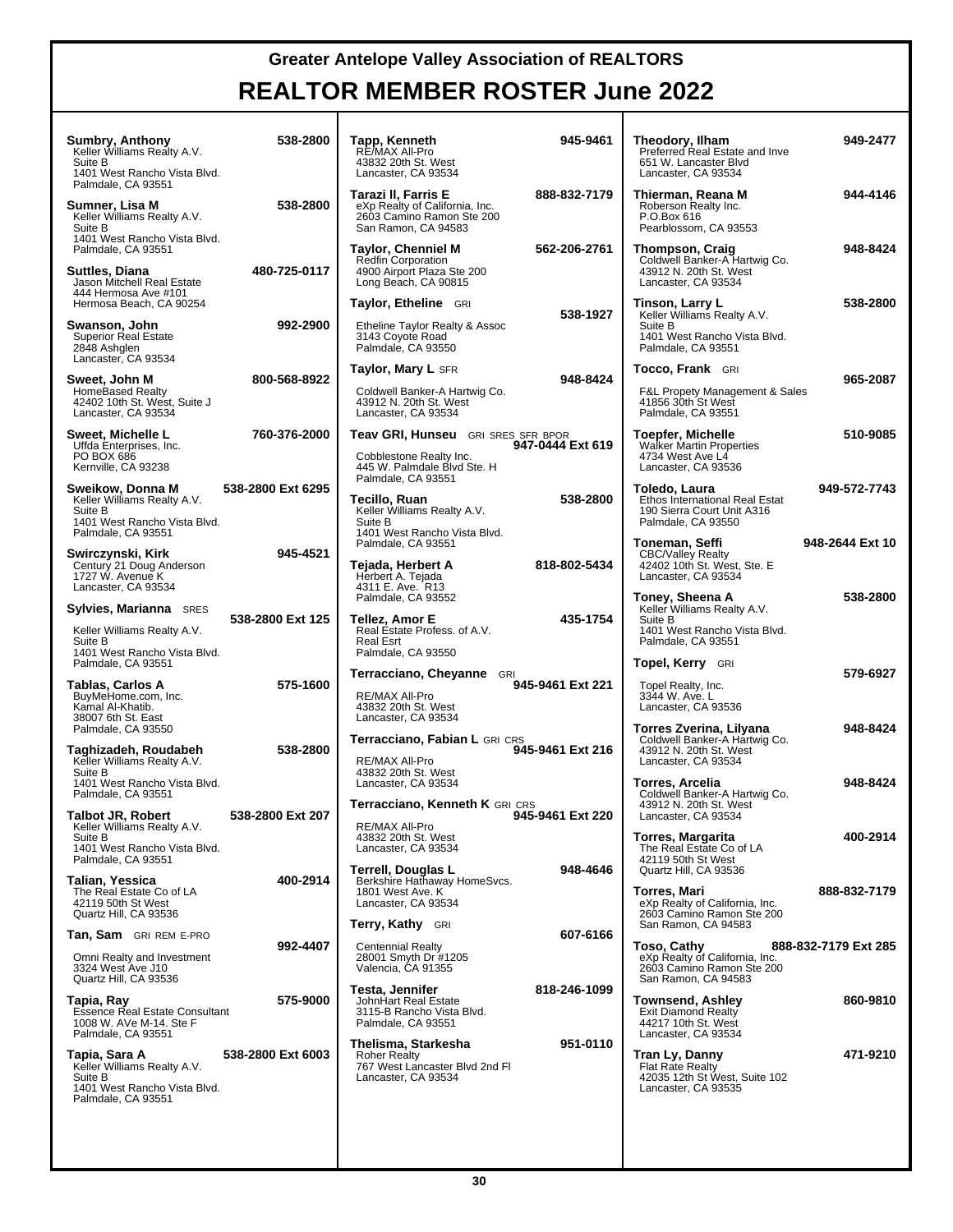| Sumbry, Anthony<br>Keller Williams Realty A.V.<br>Suite B<br>1401 West Rancho Vista Blvd.                      | 538-2800          | Tapp, Kenneth<br>RE/MAX All-Pro<br>43832 20th St. West<br>Lancaster, CA 93534                                             | 945-9461         | Theodory, Ilham<br>Preferred Real Estate and Inve<br>651 W. Lancaster Blvd<br>Lancaster, CA 93534         | 949-2477             |
|----------------------------------------------------------------------------------------------------------------|-------------------|---------------------------------------------------------------------------------------------------------------------------|------------------|-----------------------------------------------------------------------------------------------------------|----------------------|
| Palmdale, CA 93551<br>Sumner, Lisa M<br>Keller Williams Realty A.V.<br>Suite B                                 | 538-2800          | Tarazi II, Farris E<br>eXp Realty of California, Inc.<br>2603 Camino Ramon Ste 200<br>San Ramon, CA 94583                 | 888-832-7179     | Thierman, Reana M<br>Roberson Realty Inc.<br>P.O.Box 616<br>Pearblossom, CA 93553                         | 944-4146             |
| 1401 West Rancho Vista Blvd.<br>Palmdale, CA 93551<br>Suttles, Diana<br>Jason Mitchell Real Estate             | 480-725-0117      | <b>Taylor, Chenniel M</b><br><b>Redfin Corporation</b><br>4900 Airport Plaza Ste 200<br>Long Beach, CA 90815              | 562-206-2761     | Thompson, Craig<br>Coldwell Banker-A Hartwig Co.<br>43912 N. 20th St. West<br>Lancaster, CA 93534         | 948-8424             |
| 444 Hermosa Ave #101<br>Hermosa Beach, CA 90254                                                                |                   | Taylor, Etheline GRI                                                                                                      | 538-1927         | Tinson, Larry L<br>Keller Williams Realty A.V.                                                            | 538-2800             |
| Swanson, John<br><b>Superior Real Estate</b><br>2848 Ashqlen<br>Lancaster, CA 93534                            | 992-2900          | Etheline Taylor Realty & Assoc<br>3143 Coyote Road<br>Palmdale, CA 93550                                                  |                  | Suite B<br>1401 West Rancho Vista Blvd.<br>Palmdale, CA 93551                                             |                      |
| Sweet, John M                                                                                                  | 800-568-8922      | <b>Taylor, Mary L SFR</b>                                                                                                 | 948-8424         | <b>Tocco, Frank</b> GRI                                                                                   | 965-2087             |
| <b>HomeBased Realty</b><br>42402 10th St. West, Suite J<br>Lancaster, CA 93534                                 |                   | Coldwell Banker-A Hartwig Co.<br>43912 N. 20th St. West<br>Lancaster, CA 93534                                            |                  | <b>F&amp;L Propety Management &amp; Sales</b><br>41856 30th St West<br>Palmdale, CA 93551                 |                      |
| Sweet, Michelle L<br>Uffda Enterprises, Inc.<br>PO BOX 686<br>Kernville, CA 93238                              | 760-376-2000      | <b>Teav GRI, Hunseu</b> GRI SRES SFR BPOR<br>Cobblestone Realty Inc.<br>445 W. Palmdale Blvd Ste. H<br>Palmdale, CA 93551 | 947-0444 Ext 619 | Toepfer, Michelle<br><b>Walker Martin Properties</b><br>4734 West Ave L4<br>Lancaster, CA 93536           | 510-9085             |
| Sweikow, Donna M<br>Keller Williams Realty A.V.<br>Suite B<br>1401 West Rancho Vista Blvd.                     | 538-2800 Ext 6295 | Tecillo, Ruan<br>Keller Williams Realty A.V.<br>Suite B                                                                   | 538-2800         | Toledo, Laura<br>Ethos International Real Estat<br>190 Sierra Court Unit A316<br>Palmdale, CA 93550       | 949-572-7743         |
| Palmdale, CA 93551<br>Swirczynski, Kirk<br>Century 21 Doug Anderson<br>1727 W. Avenue K<br>Lancaster, CA 93534 | 945-4521          | 1401 West Rancho Vista Blvd.<br>Palmdale, CA 93551<br>Tejada, Herbert A<br>Herbert A. Tejada<br>4311 E. Ave. R13          | 818-802-5434     | Toneman, Seffi<br><b>CBC/Valley Realty</b><br>42402 10th St. West, Ste. E<br>Lancaster, CA 93534          | 948-2644 Ext 10      |
| <b>Sylvies, Marianna</b> SRES                                                                                  |                   | Palmdale, CA 93552                                                                                                        |                  | Toney, Sheena A<br>Keller Williams Realty A.V.                                                            | 538-2800             |
| Keller Williams Realty A.V.<br>Suite B<br>1401 West Rancho Vista Blvd.                                         | 538-2800 Ext 125  | Tellez, Amor E<br>Real Estate Profess. of A.V.<br>Real Esrt<br>Palmdale, CA 93550                                         | 435-1754         | Suite B<br>1401 West Rancho Vista Blvd.<br>Palmdale, CA 93551                                             |                      |
| Palmdale, CA 93551                                                                                             |                   | <b>Terracciano, Cheyanne</b> GRI                                                                                          |                  | <b>Topel, Kerry</b> GRI                                                                                   | 579-6927             |
| Tablas, Carlos A<br>BuyMeHome.com, Inc.<br>Kamal Al-Khatib.<br>38007 6th St. East                              | 575-1600          | RE/MAX All-Pro<br>43832 20th St. West<br>Lancaster, CA 93534                                                              | 945-9461 Ext 221 | Topel Realty, Inc.<br>3344 W. Ave. L<br>Lancaster, CA 93536                                               |                      |
| Palmdale, CA 93550<br>Taghizadeh, Roudabeh<br>Keller Williams Realty A.V.<br>Suite B                           | 538-2800          | Terracciano, Fabian L GRI CRS<br>RE/MAX All-Pro<br>43832 20th St. West                                                    | 945-9461 Ext 216 | Torres Zverina, Lilyana<br>Coldwell Banker-A Hartwig Co.<br>43912 N. 20th St. West<br>Lancaster, CA 93534 | 948-8424             |
| 1401 West Rancho Vista Blvd.<br>Palmdale, CA 93551                                                             |                   | Lancaster, CA 93534<br>Terracciano, Kenneth K GRI CRS                                                                     |                  | Torres, Arcelia<br>Coldwell Banker-A Hartwig Co.<br>43912 N. 20th St. West                                | 948-8424             |
| Talbot JR, Robert<br>Keller Williams Realty A.V.<br>Suite B<br>1401 West Rancho Vista Blvd.                    | 538-2800 Ext 207  | RE/MAX All-Pro<br>43832 20th St. West<br>Lancaster, CA 93534                                                              | 945-9461 Ext 220 | Lancaster, CA 93534<br><b>Torres, Margarita</b><br>The Real Estate Co of LA                               | 400-2914             |
| Palmdale, CA 93551<br>Talian, Yessica<br>The Real Estate Co of LA<br>42119 50th St West                        | 400-2914          | Terrell, Douglas L<br>Berkshire Hathaway HomeSvcs.<br>1801 West Ave. K<br>Lancaster, CA 93534                             | 948-4646         | 42119 50th St West<br>Quartz Hill, CA 93536<br>Torres, Mari                                               | 888-832-7179         |
| Quartz Hill, CA 93536                                                                                          |                   | <b>Terry, Kathy</b> GRI                                                                                                   |                  | eXp Realty of California, Inc.<br>2603 Camino Ramon Ste 200<br>San Ramon, CA 94583                        |                      |
| <b>Tan, Sam</b> GRIREM E-PRO                                                                                   | 992-4407          | Centennial Realty                                                                                                         | 607-6166         | Toso, Cathy                                                                                               | 888-832-7179 Ext 285 |
| Omni Realty and Investment<br>3324 West Ave J10<br>Quartz Hill, CA 93536                                       |                   | 28001 Smyth Dr #1205<br>Valencia, CA 91355                                                                                |                  | eXp Realty of California, Inc.<br>2603 Camino Ramon Ste 200<br>San Ramon, CA 94583                        |                      |
| Tapia, Ray<br>Essence Real Estate Consultant<br>1008 W. AVe M-14. Ste F<br>Palmdale, CA 93551                  | 575-9000          | Testa, Jennifer<br>JohnHart Real Estate<br>3115-B Rancho Vista Blvd.<br>Palmdale, CA 93551                                | 818-246-1099     | Townsend, Ashley<br><b>Exit Diamond Realty</b><br>44217 10th St. West<br>Lancaster, CA 93534              | 860-9810             |
| Tapia, Sara A<br>Keller Williams Realty A.V.<br>Suite B<br>1401 West Rancho Vista Blvd.<br>Palmdale, CA 93551  | 538-2800 Ext 6003 | Thelisma, Starkesha<br><b>Roher Realty</b><br>767 West Lancaster Blvd 2nd Fl<br>Lancaster, CA 93534                       | 951-0110         | Tran Ly, Danny<br><b>Flat Rate Realty</b><br>42035 12th St West, Suite 102<br>Lancaster, CA 93535         | 471-9210             |
|                                                                                                                |                   |                                                                                                                           |                  |                                                                                                           |                      |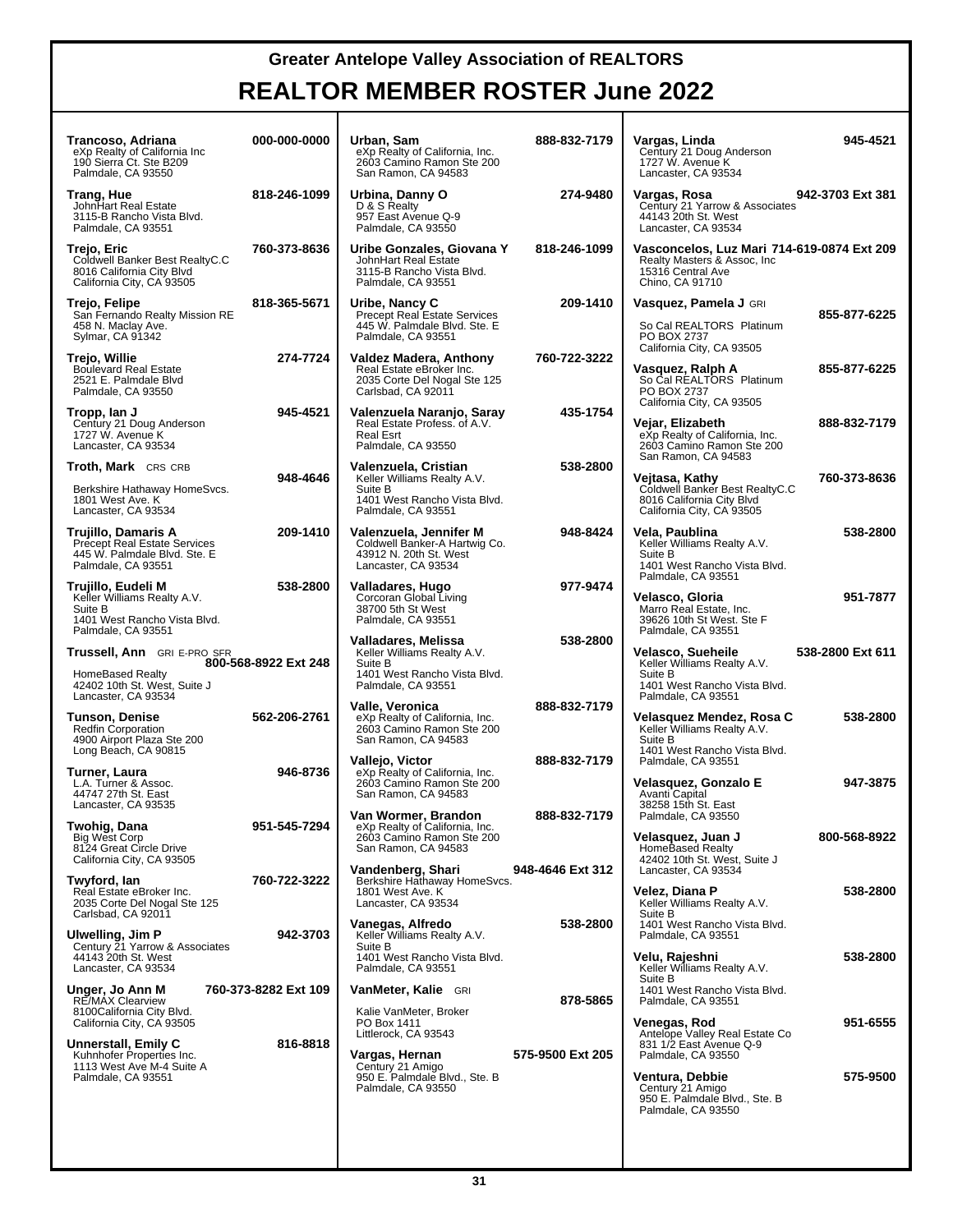| Trancoso, Adriana<br>eXp Realty of California Inc<br>190 Sierra Ct. Ste B209<br>Palmdale, CA 93550                               | 000-000-0000         | Urban, Sam<br>eXp Realty of California, Inc.<br>2603 Camino Ramon Ste 200<br>San Ramon, CA 94583                                 | 888-832-7179     | Vargas, Linda<br>Century 21 Doug Anderson<br>1727 W. Avenue K<br>Lancaster, CA 93534                                                                                                          | 945-4521             |
|----------------------------------------------------------------------------------------------------------------------------------|----------------------|----------------------------------------------------------------------------------------------------------------------------------|------------------|-----------------------------------------------------------------------------------------------------------------------------------------------------------------------------------------------|----------------------|
| Trang, Hue<br>John Hart Real Estate<br>3115-B Rancho Vista Blvd.<br>Palmdale, CA 93551                                           | 818-246-1099         | Urbina, Danny O<br>D & S Realty<br>957 East Avenue Q-9<br>Palmdale, CA 93550                                                     | 274-9480         | Vargas, Rosa<br>Century 21 Yarrow & Associates<br>44143 20th St. West<br>Lancaster, CA 93534                                                                                                  | 942-3703 Ext 381     |
| Trejo, Eric<br>Coldwell Banker Best RealtyC.C<br>8016 California City Blvd<br>California City, CA 93505                          | 760-373-8636         | Uribe Gonzales, Giovana Y<br>JohnHart Real Estate<br>3115-B Rancho Vista Blvd.<br>Palmdale, CA 93551                             | 818-246-1099     | Vasconcelos, Luz Mari 714-619-0874 Ext 209<br>Realty Masters & Assoc, Inc.<br>15316 Central Ave<br>Chino, CA 91710                                                                            |                      |
| Trejo, Felipe<br>San Fernando Realty Mission RE<br>458 N. Maclay Ave.<br>Sylmar, CA 91342                                        | 818-365-5671         | Uribe, Nancy C<br>Precept Real Estate Services<br>445 W. Palmdale Blvd. Ste. E<br>Palmdale, CA 93551                             | 209-1410         | Vasquez, Pamela J GRI<br>So Cal REALTORS <sup>®</sup> Platinum<br>PO BOX 2737                                                                                                                 | 855-877-6225         |
| Trejo, Willie<br><b>Boulevard Real Estate</b><br>2521 E. Palmdale Blvd<br>Palmdale, CA 93550                                     | 274-7724             | Valdez Madera, Anthony<br>Real Estate eBroker Inc.<br>2035 Corte Del Nogal Ste 125<br>Carlsbad, CA 92011                         | 760-722-3222     | California City, CA 93505<br>Vasquez, Ralph A<br>So Cal REALTORS <sup>®</sup> Platinum<br>PO BOX 2737                                                                                         | 855-877-6225         |
| Tropp, lan J<br>Century 21 Doug Anderson<br>1727 W. Avenue K<br>Lancaster, CA 93534                                              | 945-4521             | Valenzuela Naranjo, Saray<br>Real Estate Profess. of A.V.<br><b>Real Esrt</b><br>Palmdale, CA 93550                              | 435-1754         | California City, CA 93505<br>Vejar, Elizabeth<br>eXp Realty of California, Inc.<br>2603 Camino Ramon Ste 200                                                                                  | 888-832-7179         |
| <b>Troth, Mark</b> CRS CRB<br>Berkshire Hathaway HomeSvcs.<br>1801 West Ave. K<br>Lancaster, CA 93534                            | 948-4646             | Valenzuela, Cristian<br>Keller Williams Realty A.V.<br>Suite B<br>1401 West Rancho Vista Blvd.<br>Palmdale, CA 93551             | 538-2800         | San Ramon, CA 94583<br>Vejtasa, Kathy<br>Coldwell Banker Best RealtyC.C<br>8016 California City Blvd<br>California City, CA 93505                                                             | 760-373-8636         |
| Trujillo, Damaris A<br><b>Precept Real Estate Services</b><br>445 W. Palmdale Blvd. Ste. E<br>Palmdale, CA 93551                 | 209-1410             | Valenzuela, Jennifer M<br>Coldwell Banker-A Hartwig Co.<br>43912 N. 20th St. West<br>Lancaster, CA 93534                         | 948-8424         | Vela, Paublina<br>Keller Williams Realty A.V.<br>Suite B<br>1401 West Rancho Vista Blvd.                                                                                                      | 538-2800             |
| Trujillo, Eudeli M<br>Keller Williams Realty A.V.<br>Suite B<br>1401 West Rancho Vista Blvd.<br>Palmdale, CA 93551               | 538-2800             | Valladares, Hugo<br>Corcoran Global Living<br>38700 5th St West<br>Palmdale, CA 93551                                            | 977-9474         | Palmdale, CA 93551<br>Velasco, Gloria<br>Marro Real Estate, Inc.<br>39626 10th St West. Ste F                                                                                                 | 951-7877             |
|                                                                                                                                  |                      |                                                                                                                                  |                  |                                                                                                                                                                                               |                      |
| Trussell, Ann GRI E-PRO SFR<br><b>HomeBased Realty</b><br>42402 10th St. West, Suite J                                           | 800-568-8922 Ext 248 | Valladares, Melissa<br>Keller Williams Realty A.V.<br>Suite B<br>1401 West Rancho Vista Blvd.<br>Palmdale, CA 93551              | 538-2800         | Palmdale, CA 93551<br>Velasco, Sueheile<br>Keller Williams Realty A.V.<br>Suite B<br>1401 West Rancho Vista Blvd.                                                                             | 538-2800 Ext 611     |
| Lancaster, CA 93534<br>Tunson, Denise<br><b>Redfin Corporation</b><br>4900 Airport Plaza Ste 200                                 | 562-206-2761         | Valle, Veronica<br>eXp Realty of California, Inc.<br>2603 Camino Ramon Ste 200<br>San Ramon, CA 94583                            | 888-832-7179     | Palmdale, CA 93551<br>Velasquez Mendez, Rosa C<br>Keller Williams Realty A.V.<br>Suite B<br>1401 West Rancho Vista Blvd.                                                                      | 538-2800             |
| Long Beach, CA 90815<br>Turner, Laura<br>L.A. Turner & Assoc.<br>44747 27th St. East<br>Lancaster, CA 93535                      | 946-8736             | Vallejo, Victor<br>eXp Realty of California, Inc.<br>2603 Camino Ramon Ste 200<br>San Ramon, CA 94583                            | 888-832-7179     | Palmdale, CA 93551<br>Velasquez, Gonzalo E<br>Avanti Capital                                                                                                                                  | 947-3875             |
| Twohig, Dana<br><b>Big West Corp</b><br>8124 Great Circle Drive<br>California City, CA 93505                                     | 951-545-7294         | Van Wormer, Brandon<br>eXp Realty of California, Inc.<br>2603 Camino Ramon Ste 200<br>San Ramon, CA 94583                        | 888-832-7179     | 38258 15th St. East<br>Palmdale, CA 93550<br>Velasquez, Juan J<br>HomeBased Realty<br>42402 10th St. West, Suite J                                                                            | 800-568-8922         |
| Twyford, Ian<br>Real Estate eBroker Inc.<br>2035 Corte Del Nogal Ste 125                                                         | 760-722-3222         | Vandenberg, Shari<br>Berkshire Hathaway HomeSvcs.<br>1801 West Ave. K<br>Lancaster, CA 93534                                     | 948-4646 Ext 312 | Lancaster. CA 93534<br>Velez, Diana P<br>Keller Williams Realty A.V.<br>Suite B                                                                                                               | 538-2800             |
| Carlsbad, CA 92011<br><b>Ulwelling, Jim P</b><br>Century 21 Yarrow & Associates<br>44143 20th St. West                           | 942-3703             | Vanegas, Alfredo<br>Keller Williams Realty A.V.<br>Suite B<br>1401 West Rancho Vista Blvd.<br>Palmdale, CA 93551                 | 538-2800         | 1401 West Rancho Vista Blvd.<br>Palmdale, CA 93551<br>Velu, Rajeshni                                                                                                                          | 538-2800             |
| Lancaster, CA 93534<br>Unger, Jo Ann M<br><b>RE/MAX Clearview</b><br>8100California City Blvd.                                   | 760-373-8282 Ext 109 | <b>VanMeter, Kalie</b> GRI<br>Kalie VanMeter, Broker                                                                             | 878-5865         | Keller Williams Realty A.V.<br>Suite B<br>1401 West Rancho Vista Blvd.<br>Palmdale, CA 93551                                                                                                  |                      |
| California City, CA 93505<br>Unnerstall, Emily C<br>Kuhnhofer Properties Inc.<br>1113 West Ave M-4 Suite A<br>Palmdale, CA 93551 | 816-8818             | PO Box 1411<br>Littlerock, CA 93543<br>Vargas, Hernan<br>Century 21 Amigo<br>950 E. Palmdale Blvd., Ste. B<br>Palmdale, CA 93550 | 575-9500 Ext 205 | Venegas, Rod<br>Antelope Valley Real Estate Co<br>831 1/2 East Avenue Q-9<br>Palmdale, CA 93550<br>Ventura, Debbie<br>Century 21 Amigo<br>950 E. Palmdale Blvd., Ste. B<br>Palmdale, CA 93550 | 951-6555<br>575-9500 |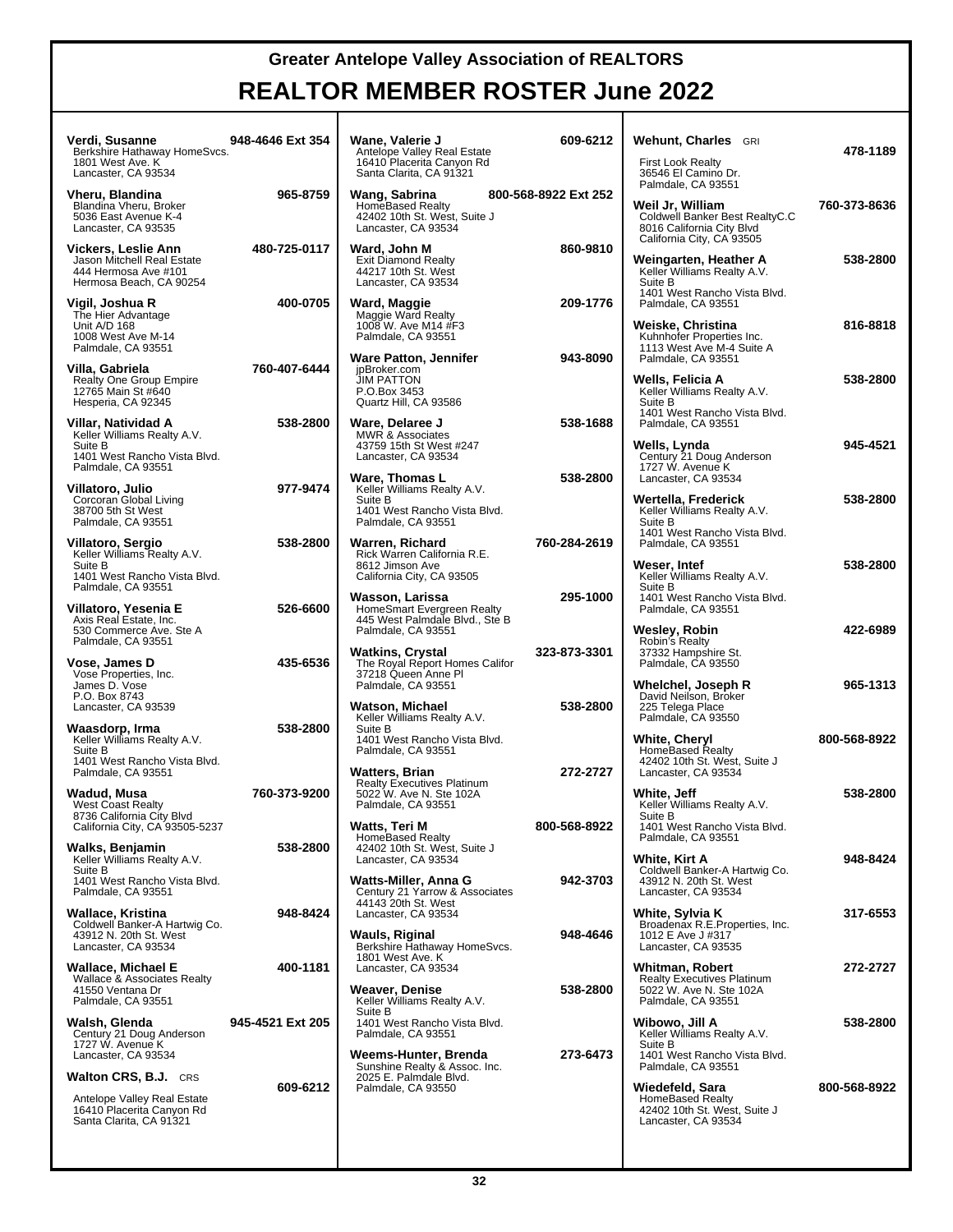| Verdi, Susanne<br>Berkshire Hathaway HomeSvcs.<br>1801 West Ave. K<br>Lancaster, CA 93534                           | 948-4646 Ext 354 | Wane, Valerie J<br>Antelope Valley Real Estate<br>16410 Placerita Canyon Rd<br>Santa Clarita, CA 91321          | 609-6212             | Wehunt, Charles GRI<br><b>First Look Realty</b><br>36546 El Camino Dr.                                                             | 478-1189     |
|---------------------------------------------------------------------------------------------------------------------|------------------|-----------------------------------------------------------------------------------------------------------------|----------------------|------------------------------------------------------------------------------------------------------------------------------------|--------------|
| Vheru, Blandina<br>Blandina Vheru, Broker<br>5036 East Avenue K-4<br>Lancaster, CA 93535                            | 965-8759         | Wang, Sabrina<br><b>HomeBased Realty</b><br>42402 10th St. West, Suite J<br>Lancaster, CA 93534                 | 800-568-8922 Ext 252 | Palmdale, CA 93551<br>Weil Jr, William<br>Coldwell Banker Best RealtyC.C<br>8016 California City Blvd<br>California City, CA 93505 | 760-373-8636 |
| Vickers, Leslie Ann<br>Jason Mitchell Real Estate<br>444 Hermosa Ave #101<br>Hermosa Beach, CA 90254                | 480-725-0117     | Ward, John M<br><b>Exit Diamond Realty</b><br>44217 10th St. West<br>Lancaster, CA 93534                        | 860-9810             | Weingarten, Heather A<br>Keller Williams Realty A.V.<br>Suite B<br>1401 West Rancho Vista Blvd.                                    | 538-2800     |
| Vigil, Joshua R<br>The Hier Advantage<br>Unit A/D 168<br>1008 West Ave M-14<br>Palmdale, CA 93551                   | 400-0705         | Ward, Maggie<br>Maggie Ward Realty<br>1008 W. Ave M14 #F3<br>Palmdale, CA 93551                                 | 209-1776             | Palmdale, CA 93551<br>Weiske, Christina<br>Kuhnhofer Properties Inc.<br>1113 West Ave M-4 Suite A                                  | 816-8818     |
| Villa, Gabriela<br>Realty One Group Empire<br>12765 Main St #640<br>Hesperia, CA 92345                              | 760-407-6444     | Ware Patton, Jennifer<br>jpBroker.com<br><b>JIM PATTON</b><br>P.O.Box 3453<br>Quartz Hill, CA 93586             | 943-8090             | Palmdale, CA 93551<br>Wells, Felicia A<br>Keller Williams Realty A.V.<br>Suite B                                                   | 538-2800     |
| Villar, Natividad A<br>Keller Williams Realty A.V.<br>Suite B<br>1401 West Rancho Vista Blvd.<br>Palmdale, CA 93551 | 538-2800         | Ware, Delaree J<br>MWR & Associates<br>43759 15th St West #247<br>Lancaster, CA 93534                           | 538-1688             | 1401 West Rancho Vista Blvd.<br>Palmdale, CA 93551<br>Wells, Lynda<br>Century 21 Doug Anderson<br>1727 W. Avenue K                 | 945-4521     |
| Villatoro, Julio<br>Corcoran Global Living<br>38700 5th St West<br>Palmdale, CA 93551                               | 977-9474         | Ware, Thomas L<br>Keller Williams Realty A.V.<br>Suite B<br>1401 West Rancho Vista Blvd.<br>Palmdale, CA 93551  | 538-2800             | Lancaster, CA 93534<br>Wertella, Frederick<br>Keller Williams Realty A.V.<br>Suite B                                               | 538-2800     |
| Villatoro, Sergio<br>Keller Williams Realty A.V.<br>Suite B<br>1401 West Rancho Vista Blvd.                         | 538-2800         | Warren. Richard<br>Rick Warren California R.E.<br>8612 Jimson Ave<br>California City, CA 93505                  | 760-284-2619         | 1401 West Rancho Vista Blvd.<br>Palmdale, CA 93551<br>Weser, Intef<br>Keller Williams Realty A.V.                                  | 538-2800     |
| Palmdale, CA 93551<br>Villatoro, Yesenia E<br>Axis Real Estate, Inc.<br>530 Commerce Ave. Ste A                     | 526-6600         | Wasson, Larissa<br>HomeSmart Evergreen Realty<br>445 West Palmdale Blvd., Ste B<br>Palmdale, CA 93551           | 295-1000             | Suite B<br>1401 West Rancho Vista Blvd.<br>Palmdale, CA 93551<br>Wesley, Robin                                                     | 422-6989     |
| Palmdale, CA 93551<br>Vose, James D<br>Vose Properties, Inc.<br>James D. Vose                                       | 435-6536         | Watkins, Crystal<br>The Royal Report Homes Califor<br>37218 Queen Anne Pl<br>Palmdale, CA 93551                 | 323-873-3301         | Robin's Realty<br>37332 Hampshire St.<br>Palmdale, CA 93550<br>Whelchel, Joseph R                                                  | 965-1313     |
| P.O. Box 8743<br>Lancaster, CA 93539<br>Waasdorp, Irma<br>Keller Williams Realty A.V.<br>Suite B                    | 538-2800         | Watson, Michael<br>Keller Williams Realty A.V.<br>Suite B<br>1401 West Rancho Vista Blvd.<br>Palmdale, CA 93551 | 538-2800             | David Neilson, Broker<br>225 Telega Place<br>Palmdale, CA 93550<br>White, Cheryl<br><b>HomeBased Realty</b>                        | 800-568-8922 |
| 1401 West Rancho Vista Blvd.<br>Palmdale, CA 93551<br>Wadud, Musa<br>West Coast Realty                              | 760-373-9200     | Watters, Brian<br><b>Realty Executives Platinum</b><br>5022 W. Ave N. Ste 102A<br>Palmdale, CA 93551            | 272-2727             | 42402 10th St. West, Suite J<br>Lancaster, CA 93534<br>White, Jeff<br>Keller Williams Realty A.V.                                  | 538-2800     |
| 8736 California City Blvd<br>California City, CA 93505-5237<br>Walks, Benjamin<br>Keller Williams Realty A.V.       | 538-2800         | Watts, Teri M<br>HomeBased Realty<br>42402 10th St. West, Suite J<br>Lancaster, CA 93534                        | 800-568-8922         | Suite B<br>1401 West Rancho Vista Blvd.<br>Palmdale, CA 93551<br>White, Kirt A                                                     | 948-8424     |
| Suite B<br>1401 West Rancho Vista Blvd.<br>Palmdale, CA 93551<br>Wallace, Kristina                                  | 948-8424         | Watts-Miller, Anna G<br>Century 21 Yarrow & Associates<br>44143 20th St. West<br>Lancaster, CA 93534            | 942-3703             | Coldwell Banker-A Hartwig Co.<br>43912 N. 20th St. West<br>Lancaster, CA 93534<br>White, Sylvia K                                  | 317-6553     |
| Coldwell Banker-A Hartwig Co.<br>43912 N. 20th St. West<br>Lancaster, CA 93534<br>Wallace, Michael E                | 400-1181         | Wauls, Riginal<br>Berkshire Hathaway HomeSvcs.<br>1801 West Ave. K<br>Lancaster. CA 93534                       | 948-4646             | Broadenax R.E.Properties, Inc.<br>1012 E Ave J #317<br>Lancaster, CA 93535<br><b>Whitman, Robert</b>                               | 272-2727     |
| Wallace & Associates Realty<br>41550 Ventana Dr<br>Palmdale, CA 93551<br>Walsh, Glenda                              | 945-4521 Ext 205 | Weaver, Denise<br>Keller Williams Realty A.V.<br>Suite B<br>1401 West Rancho Vista Blvd.                        | 538-2800             | <b>Realty Executives Platinum</b><br>5022 W. Ave N. Ste 102A<br>Palmdale, CA 93551<br>Wibowo, Jill A                               | 538-2800     |
| Century 21 Doug Anderson<br>1727 W. Avenue K<br>Lancaster, CA 93534<br><b>Walton CRS, B.J.</b> CRS                  |                  | Palmdale, CA 93551<br>Weems-Hunter, Brenda<br>Sunshine Realty & Assoc. Inc.                                     | 273-6473             | Keller Williams Realty A.V.<br>Suite B<br>1401 West Rancho Vista Blvd.<br>Palmdale, CA 93551                                       |              |
| Antelope Valley Real Estate<br>16410 Placerita Canyon Rd<br>Santa Clarita, CA 91321                                 | 609-6212         | 2025 E. Palmdale Blvd.<br>Palmdale, CA 93550                                                                    |                      | Wiedefeld, Sara<br>HomeBased Realty<br>42402 10th St. West, Suite J<br>Lancaster, CA 93534                                         | 800-568-8922 |